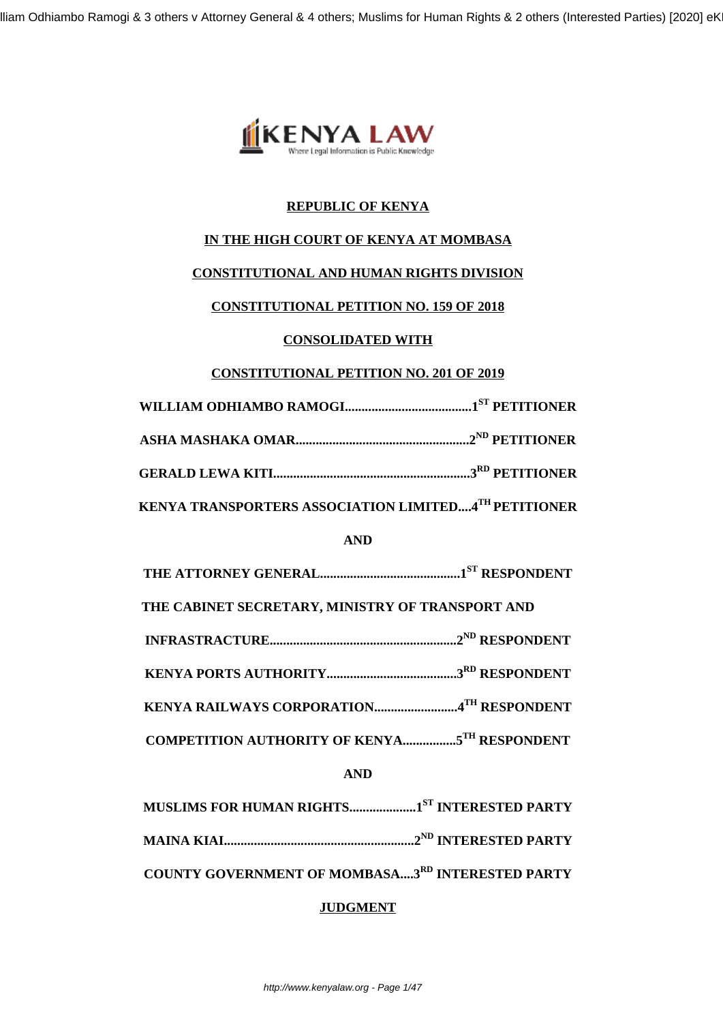lliam Odhiambo Ramogi & 3 others v Attorney General & 4 others; Muslims for Human Rights & 2 others (Interested Parties) [2020] eK



## **REPUBLIC OF KENYA**

## **IN THE HIGH COURT OF KENYA AT MOMBASA**

#### **CONSTITUTIONAL AND HUMAN RIGHTS DIVISION**

#### **CONSTITUTIONAL PETITION NO. 159 OF 2018**

#### **CONSOLIDATED WITH**

#### **CONSTITUTIONAL PETITION NO. 201 OF 2019**

| KENYA TRANSPORTERS ASSOCIATION LIMITED4 <sup>TH</sup> PETITIONER |  |
|------------------------------------------------------------------|--|

# **AND**

**THE ATTORNEY GENERAL..........................................1ST RESPONDENT**

**THE CABINET SECRETARY, MINISTRY OF TRANSPORT AND**

**INFRASTRACTURE........................................................2ND RESPONDENT**

**KENYA PORTS AUTHORITY.......................................3RD RESPONDENT**

**KENYA RAILWAYS CORPORATION.........................4TH RESPONDENT**

**COMPETITION AUTHORITY OF KENYA................5TH RESPONDENT**

## **AND**

**MUSLIMS FOR HUMAN RIGHTS....................1ST INTERESTED PARTY MAINA KIAI.........................................................2ND INTERESTED PARTY**

**COUNTY GOVERNMENT OF MOMBASA....3RD INTERESTED PARTY**

## **JUDGMENT**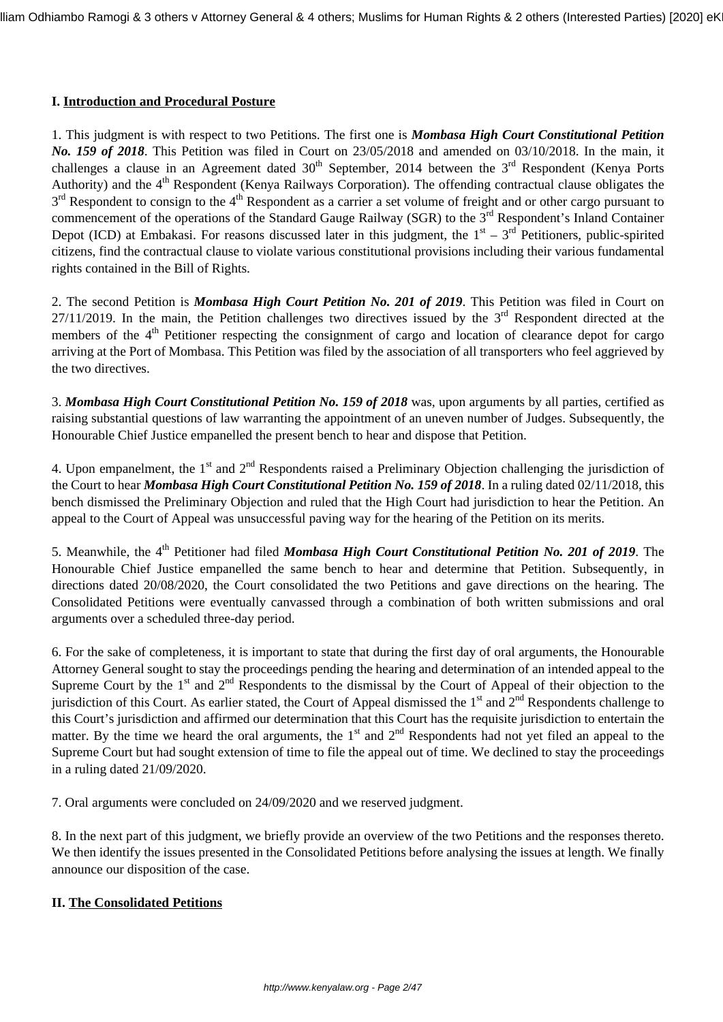#### **I. Introduction and Procedural Posture**

1. This judgment is with respect to two Petitions. The first one is *Mombasa High Court Constitutional Petition No. 159 of 2018*. This Petition was filed in Court on 23/05/2018 and amended on 03/10/2018. In the main, it challenges a clause in an Agreement dated  $30<sup>th</sup>$  September, 2014 between the  $3<sup>rd</sup>$  Respondent (Kenya Ports Authority) and the 4<sup>th</sup> Respondent (Kenya Railways Corporation). The offending contractual clause obligates the 3<sup>rd</sup> Respondent to consign to the 4<sup>th</sup> Respondent as a carrier a set volume of freight and or other cargo pursuant to commencement of the operations of the Standard Gauge Railway (SGR) to the 3<sup>rd</sup> Respondent's Inland Container Depot (ICD) at Embakasi. For reasons discussed later in this judgment, the  $1<sup>st</sup> - 3<sup>rd</sup>$  Petitioners, public-spirited citizens, find the contractual clause to violate various constitutional provisions including their various fundamental rights contained in the Bill of Rights.

2. The second Petition is *Mombasa High Court Petition No. 201 of 2019*. This Petition was filed in Court on  $27/11/2019$ . In the main, the Petition challenges two directives issued by the  $3<sup>rd</sup>$  Respondent directed at the members of the 4<sup>th</sup> Petitioner respecting the consignment of cargo and location of clearance depot for cargo arriving at the Port of Mombasa. This Petition was filed by the association of all transporters who feel aggrieved by the two directives.

3. *Mombasa High Court Constitutional Petition No. 159 of 2018* was, upon arguments by all parties, certified as raising substantial questions of law warranting the appointment of an uneven number of Judges. Subsequently, the Honourable Chief Justice empanelled the present bench to hear and dispose that Petition.

4. Upon empanelment, the  $1<sup>st</sup>$  and  $2<sup>nd</sup>$  Respondents raised a Preliminary Objection challenging the jurisdiction of the Court to hear *Mombasa High Court Constitutional Petition No. 159 of 2018*. In a ruling dated 02/11/2018, this bench dismissed the Preliminary Objection and ruled that the High Court had jurisdiction to hear the Petition. An appeal to the Court of Appeal was unsuccessful paving way for the hearing of the Petition on its merits.

5. Meanwhile, the 4<sup>th</sup> Petitioner had filed *Mombasa High Court Constitutional Petition No. 201 of 2019*. The Honourable Chief Justice empanelled the same bench to hear and determine that Petition. Subsequently, in directions dated 20/08/2020, the Court consolidated the two Petitions and gave directions on the hearing. The Consolidated Petitions were eventually canvassed through a combination of both written submissions and oral arguments over a scheduled three-day period.

6. For the sake of completeness, it is important to state that during the first day of oral arguments, the Honourable Attorney General sought to stay the proceedings pending the hearing and determination of an intended appeal to the Supreme Court by the 1<sup>st</sup> and 2<sup>nd</sup> Respondents to the dismissal by the Court of Appeal of their objection to the jurisdiction of this Court. As earlier stated, the Court of Appeal dismissed the  $1<sup>st</sup>$  and  $2<sup>nd</sup>$  Respondents challenge to this Court's jurisdiction and affirmed our determination that this Court has the requisite jurisdiction to entertain the matter. By the time we heard the oral arguments, the 1<sup>st</sup> and 2<sup>nd</sup> Respondents had not yet filed an appeal to the Supreme Court but had sought extension of time to file the appeal out of time. We declined to stay the proceedings in a ruling dated 21/09/2020.

7. Oral arguments were concluded on 24/09/2020 and we reserved judgment.

8. In the next part of this judgment, we briefly provide an overview of the two Petitions and the responses thereto. We then identify the issues presented in the Consolidated Petitions before analysing the issues at length. We finally announce our disposition of the case.

## **II. The Consolidated Petitions**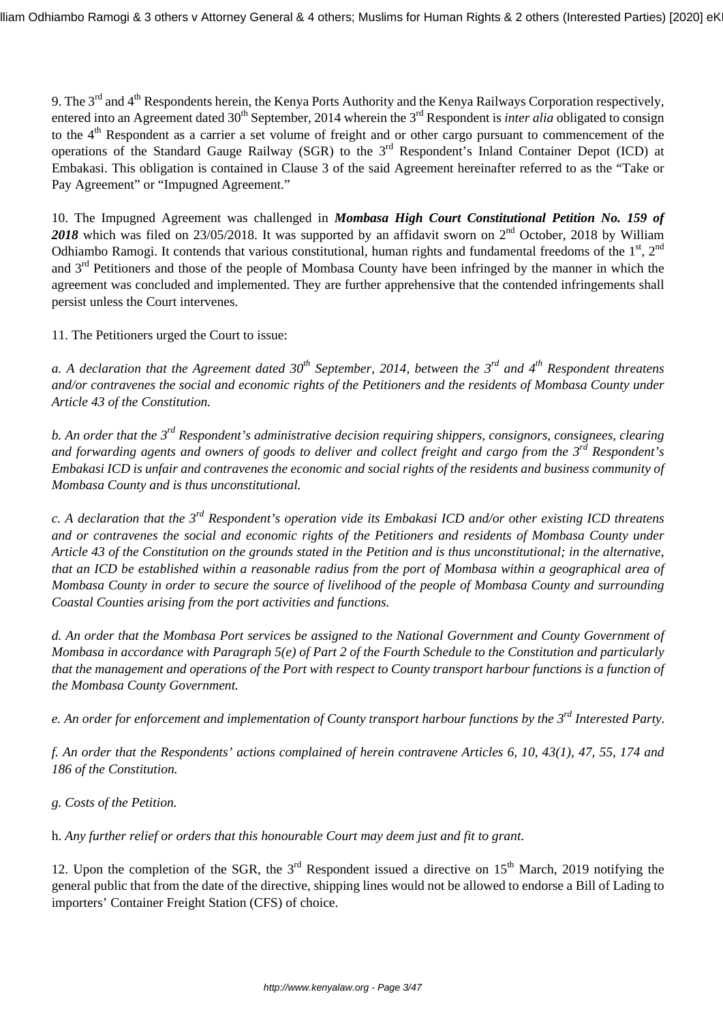9. The 3<sup>rd</sup> and 4<sup>th</sup> Respondents herein, the Kenya Ports Authority and the Kenya Railways Corporation respectively, entered into an Agreement dated 30<sup>th</sup> September, 2014 wherein the 3<sup>rd</sup> Respondent is *inter alia* obligated to consign to the 4<sup>th</sup> Respondent as a carrier a set volume of freight and or other cargo pursuant to commencement of the operations of the Standard Gauge Railway (SGR) to the 3<sup>rd</sup> Respondent's Inland Container Depot (ICD) at Embakasi. This obligation is contained in Clause 3 of the said Agreement hereinafter referred to as the "Take or Pay Agreement" or "Impugned Agreement."

10. The Impugned Agreement was challenged in *Mombasa High Court Constitutional Petition No. 159 of* 2018 which was filed on 23/05/2018. It was supported by an affidavit sworn on 2<sup>nd</sup> October, 2018 by William Odhiambo Ramogi. It contends that various constitutional, human rights and fundamental freedoms of the  $1<sup>st</sup>$ ,  $2<sup>nd</sup>$ and 3<sup>rd</sup> Petitioners and those of the people of Mombasa County have been infringed by the manner in which the agreement was concluded and implemented. They are further apprehensive that the contended infringements shall persist unless the Court intervenes.

11. The Petitioners urged the Court to issue:

*a. A declaration that the Agreement dated 30th September, 2014, between the 3rd and 4th Respondent threatens and/or contravenes the social and economic rights of the Petitioners and the residents of Mombasa County under Article 43 of the Constitution.*

*b. An order that the 3rd Respondent's administrative decision requiring shippers, consignors, consignees, clearing and forwarding agents and owners of goods to deliver and collect freight and cargo from the 3rd Respondent's Embakasi ICD is unfair and contravenes the economic and social rights of the residents and business community of Mombasa County and is thus unconstitutional.*

*c. A declaration that the 3rd Respondent's operation vide its Embakasi ICD and/or other existing ICD threatens and or contravenes the social and economic rights of the Petitioners and residents of Mombasa County under Article 43 of the Constitution on the grounds stated in the Petition and is thus unconstitutional; in the alternative, that an ICD be established within a reasonable radius from the port of Mombasa within a geographical area of Mombasa County in order to secure the source of livelihood of the people of Mombasa County and surrounding Coastal Counties arising from the port activities and functions.*

*d. An order that the Mombasa Port services be assigned to the National Government and County Government of Mombasa in accordance with Paragraph 5(e) of Part 2 of the Fourth Schedule to the Constitution and particularly that the management and operations of the Port with respect to County transport harbour functions is a function of the Mombasa County Government.*

*e. An order for enforcement and implementation of County transport harbour functions by the 3rd Interested Party.*

*f. An order that the Respondents' actions complained of herein contravene Articles 6, 10, 43(1), 47, 55, 174 and 186 of the Constitution.*

*g. Costs of the Petition.*

h. *Any further relief or orders that this honourable Court may deem just and fit to grant*.

12. Upon the completion of the SGR, the  $3<sup>rd</sup>$  Respondent issued a directive on  $15<sup>th</sup>$  March, 2019 notifying the general public that from the date of the directive, shipping lines would not be allowed to endorse a Bill of Lading to importers' Container Freight Station (CFS) of choice.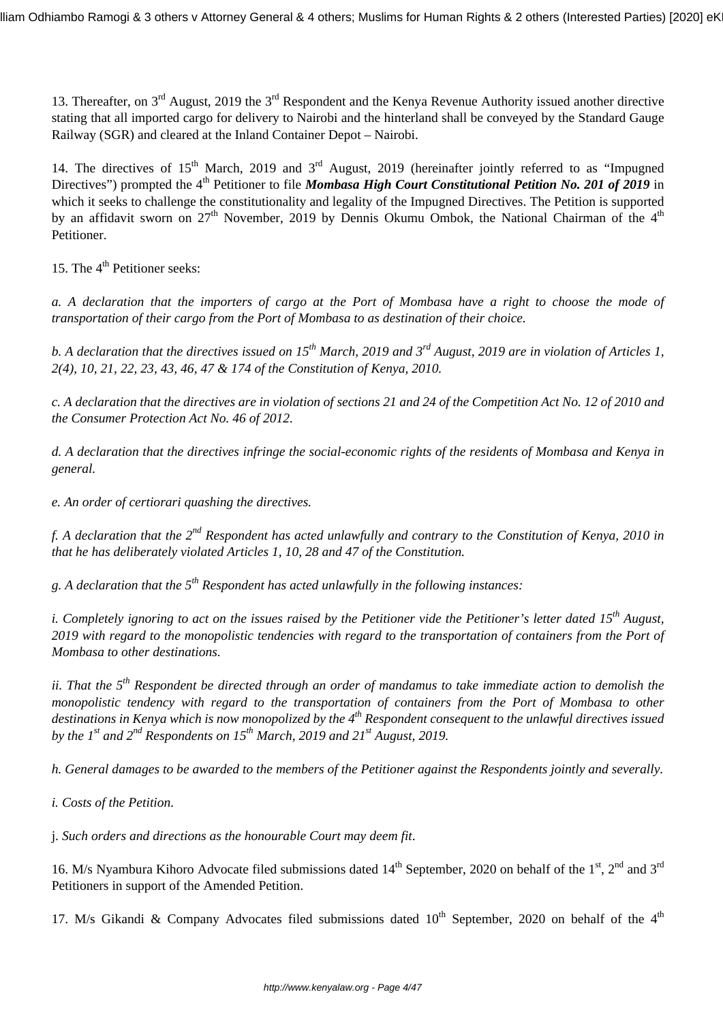13. Thereafter, on  $3^{rd}$  August, 2019 the  $3^{rd}$  Respondent and the Kenya Revenue Authority issued another directive stating that all imported cargo for delivery to Nairobi and the hinterland shall be conveyed by the Standard Gauge Railway (SGR) and cleared at the Inland Container Depot – Nairobi.

14. The directives of 15<sup>th</sup> March, 2019 and 3<sup>rd</sup> August, 2019 (hereinafter jointly referred to as "Impugned Directives") prompted the 4<sup>th</sup> Petitioner to file *Mombasa High Court Constitutional Petition No. 201 of 2019* in which it seeks to challenge the constitutionality and legality of the Impugned Directives. The Petition is supported by an affidavit sworn on  $27<sup>th</sup>$  November, 2019 by Dennis Okumu Ombok, the National Chairman of the  $4<sup>th</sup>$ Petitioner.

15. The 4<sup>th</sup> Petitioner seeks:

*a. A declaration that the importers of cargo at the Port of Mombasa have a right to choose the mode of transportation of their cargo from the Port of Mombasa to as destination of their choice.*

*b. A declaration that the directives issued on 15th March, 2019 and 3rd August, 2019 are in violation of Articles 1, 2(4), 10, 21, 22, 23, 43, 46, 47 & 174 of the Constitution of Kenya, 2010.*

*c. A declaration that the directives are in violation of sections 21 and 24 of the Competition Act No. 12 of 2010 and the Consumer Protection Act No. 46 of 2012.*

*d. A declaration that the directives infringe the social-economic rights of the residents of Mombasa and Kenya in general.*

*e. An order of certiorari quashing the directives.*

*f. A declaration that the 2nd Respondent has acted unlawfully and contrary to the Constitution of Kenya, 2010 in that he has deliberately violated Articles 1, 10, 28 and 47 of the Constitution.*

*g. A declaration that the 5th Respondent has acted unlawfully in the following instances:*

*i. Completely ignoring to act on the issues raised by the Petitioner vide the Petitioner's letter dated 15th August, 2019 with regard to the monopolistic tendencies with regard to the transportation of containers from the Port of Mombasa to other destinations.*

*ii. That the 5th Respondent be directed through an order of mandamus to take immediate action to demolish the monopolistic tendency with regard to the transportation of containers from the Port of Mombasa to other destinations in Kenya which is now monopolized by the 4th Respondent consequent to the unlawful directives issued by the 1st and 2nd Respondents on 15th March, 2019 and 21st August, 2019.*

*h. General damages to be awarded to the members of the Petitioner against the Respondents jointly and severally.*

*i. Costs of the Petition.*

j. *Such orders and directions as the honourable Court may deem fit*.

16. M/s Nyambura Kihoro Advocate filed submissions dated 14<sup>th</sup> September, 2020 on behalf of the 1<sup>st</sup>, 2<sup>nd</sup> and 3<sup>rd</sup> Petitioners in support of the Amended Petition.

17. M/s Gikandi & Company Advocates filed submissions dated  $10<sup>th</sup>$  September, 2020 on behalf of the 4<sup>th</sup>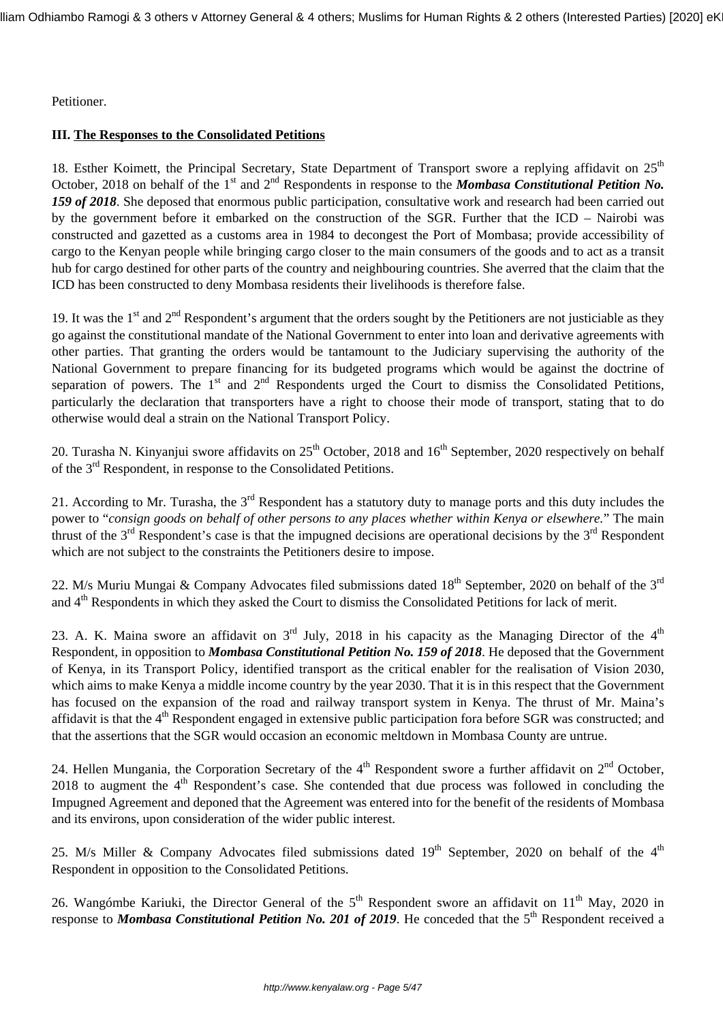Petitioner.

# **III. The Responses to the Consolidated Petitions**

18. Esther Koimett, the Principal Secretary, State Department of Transport swore a replying affidavit on 25<sup>th</sup> October, 2018 on behalf of the 1<sup>st</sup> and 2<sup>nd</sup> Respondents in response to the *Mombasa Constitutional Petition No. 159 of 2018*. She deposed that enormous public participation, consultative work and research had been carried out by the government before it embarked on the construction of the SGR. Further that the ICD – Nairobi was constructed and gazetted as a customs area in 1984 to decongest the Port of Mombasa; provide accessibility of cargo to the Kenyan people while bringing cargo closer to the main consumers of the goods and to act as a transit hub for cargo destined for other parts of the country and neighbouring countries. She averred that the claim that the ICD has been constructed to deny Mombasa residents their livelihoods is therefore false.

19. It was the  $1<sup>st</sup>$  and  $2<sup>nd</sup>$  Respondent's argument that the orders sought by the Petitioners are not justiciable as they go against the constitutional mandate of the National Government to enter into loan and derivative agreements with other parties. That granting the orders would be tantamount to the Judiciary supervising the authority of the National Government to prepare financing for its budgeted programs which would be against the doctrine of separation of powers. The  $1<sup>st</sup>$  and  $2<sup>nd</sup>$  Respondents urged the Court to dismiss the Consolidated Petitions, particularly the declaration that transporters have a right to choose their mode of transport, stating that to do otherwise would deal a strain on the National Transport Policy.

20. Turasha N. Kinyanjui swore affidavits on 25<sup>th</sup> October, 2018 and 16<sup>th</sup> September, 2020 respectively on behalf of the 3rd Respondent, in response to the Consolidated Petitions.

21. According to Mr. Turasha, the  $3<sup>rd</sup>$  Respondent has a statutory duty to manage ports and this duty includes the power to "*consign goods on behalf of other persons to any places whether within Kenya or elsewhere.*" The main thrust of the  $3<sup>rd</sup>$  Respondent's case is that the impugned decisions are operational decisions by the  $3<sup>rd</sup>$  Respondent which are not subject to the constraints the Petitioners desire to impose.

22. M/s Muriu Mungai & Company Advocates filed submissions dated  $18<sup>th</sup>$  September, 2020 on behalf of the  $3<sup>rd</sup>$ and 4<sup>th</sup> Respondents in which they asked the Court to dismiss the Consolidated Petitions for lack of merit.

23. A. K. Maina swore an affidavit on  $3<sup>rd</sup>$  July, 2018 in his capacity as the Managing Director of the  $4<sup>th</sup>$ Respondent, in opposition to *Mombasa Constitutional Petition No. 159 of 2018*. He deposed that the Government of Kenya, in its Transport Policy, identified transport as the critical enabler for the realisation of Vision 2030, which aims to make Kenya a middle income country by the year 2030. That it is in this respect that the Government has focused on the expansion of the road and railway transport system in Kenya. The thrust of Mr. Maina's affidavit is that the 4<sup>th</sup> Respondent engaged in extensive public participation fora before SGR was constructed; and that the assertions that the SGR would occasion an economic meltdown in Mombasa County are untrue.

24. Hellen Mungania, the Corporation Secretary of the  $4<sup>th</sup>$  Respondent swore a further affidavit on  $2<sup>nd</sup>$  October, 2018 to augment the  $4<sup>th</sup>$  Respondent's case. She contended that due process was followed in concluding the Impugned Agreement and deponed that the Agreement was entered into for the benefit of the residents of Mombasa and its environs, upon consideration of the wider public interest.

25. M/s Miller & Company Advocates filed submissions dated  $19<sup>th</sup>$  September, 2020 on behalf of the  $4<sup>th</sup>$ Respondent in opposition to the Consolidated Petitions.

26. Wangómbe Kariuki, the Director General of the 5<sup>th</sup> Respondent swore an affidavit on 11<sup>th</sup> May, 2020 in response to *Mombasa Constitutional Petition No. 201 of 2019*. He conceded that the 5<sup>th</sup> Respondent received a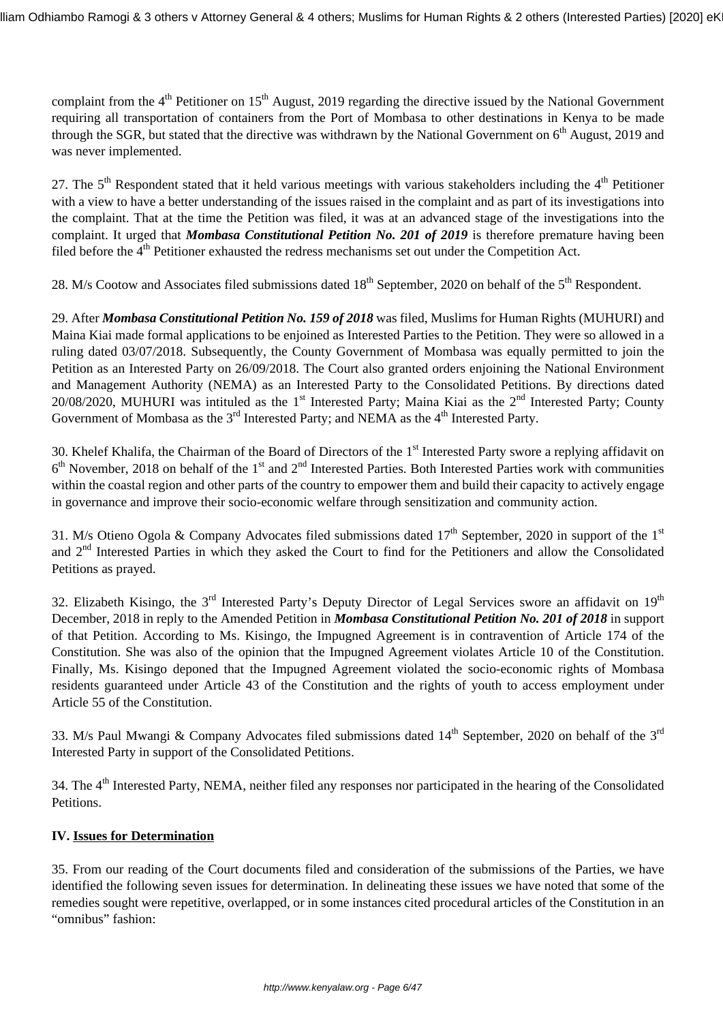complaint from the  $4<sup>th</sup>$  Petitioner on 15<sup>th</sup> August, 2019 regarding the directive issued by the National Government requiring all transportation of containers from the Port of Mombasa to other destinations in Kenya to be made through the SGR, but stated that the directive was withdrawn by the National Government on  $6<sup>th</sup>$  August, 2019 and was never implemented.

27. The  $5<sup>th</sup>$  Respondent stated that it held various meetings with various stakeholders including the  $4<sup>th</sup>$  Petitioner with a view to have a better understanding of the issues raised in the complaint and as part of its investigations into the complaint. That at the time the Petition was filed, it was at an advanced stage of the investigations into the complaint. It urged that *Mombasa Constitutional Petition No. 201 of 2019* is therefore premature having been filed before the  $4<sup>th</sup>$  Petitioner exhausted the redress mechanisms set out under the Competition Act.

28. M/s Cootow and Associates filed submissions dated 18<sup>th</sup> September, 2020 on behalf of the 5<sup>th</sup> Respondent.

29. After *Mombasa Constitutional Petition No. 159 of 2018* was filed, Muslims for Human Rights (MUHURI) and Maina Kiai made formal applications to be enjoined as Interested Parties to the Petition. They were so allowed in a ruling dated 03/07/2018. Subsequently, the County Government of Mombasa was equally permitted to join the Petition as an Interested Party on 26/09/2018. The Court also granted orders enjoining the National Environment and Management Authority (NEMA) as an Interested Party to the Consolidated Petitions. By directions dated 20/08/2020, MUHURI was intituled as the  $1<sup>st</sup>$  Interested Party; Maina Kiai as the  $2<sup>nd</sup>$  Interested Party; County Government of Mombasa as the  $3<sup>rd</sup>$  Interested Party; and NEMA as the  $4<sup>th</sup>$  Interested Party.

30. Khelef Khalifa, the Chairman of the Board of Directors of the 1<sup>st</sup> Interested Party swore a replying affidavit on  $6<sup>th</sup>$  November, 2018 on behalf of the 1<sup>st</sup> and  $2<sup>nd</sup>$  Interested Parties. Both Interested Parties work with communities within the coastal region and other parts of the country to empower them and build their capacity to actively engage in governance and improve their socio-economic welfare through sensitization and community action.

31. M/s Otieno Ogola & Company Advocates filed submissions dated  $17<sup>th</sup>$  September, 2020 in support of the 1<sup>st</sup> and 2nd Interested Parties in which they asked the Court to find for the Petitioners and allow the Consolidated Petitions as prayed.

32. Elizabeth Kisingo, the  $3<sup>rd</sup>$  Interested Party's Deputy Director of Legal Services swore an affidavit on  $19<sup>th</sup>$ December, 2018 in reply to the Amended Petition in *Mombasa Constitutional Petition No. 201 of 2018* in support of that Petition. According to Ms. Kisingo, the Impugned Agreement is in contravention of Article 174 of the Constitution. She was also of the opinion that the Impugned Agreement violates Article 10 of the Constitution. Finally, Ms. Kisingo deponed that the Impugned Agreement violated the socio-economic rights of Mombasa residents guaranteed under Article 43 of the Constitution and the rights of youth to access employment under Article 55 of the Constitution.

33. M/s Paul Mwangi & Company Advocates filed submissions dated 14<sup>th</sup> September, 2020 on behalf of the 3<sup>rd</sup> Interested Party in support of the Consolidated Petitions.

34. The 4<sup>th</sup> Interested Party, NEMA, neither filed any responses nor participated in the hearing of the Consolidated Petitions.

## **IV. Issues for Determination**

35. From our reading of the Court documents filed and consideration of the submissions of the Parties, we have identified the following seven issues for determination. In delineating these issues we have noted that some of the remedies sought were repetitive, overlapped, or in some instances cited procedural articles of the Constitution in an "omnibus" fashion: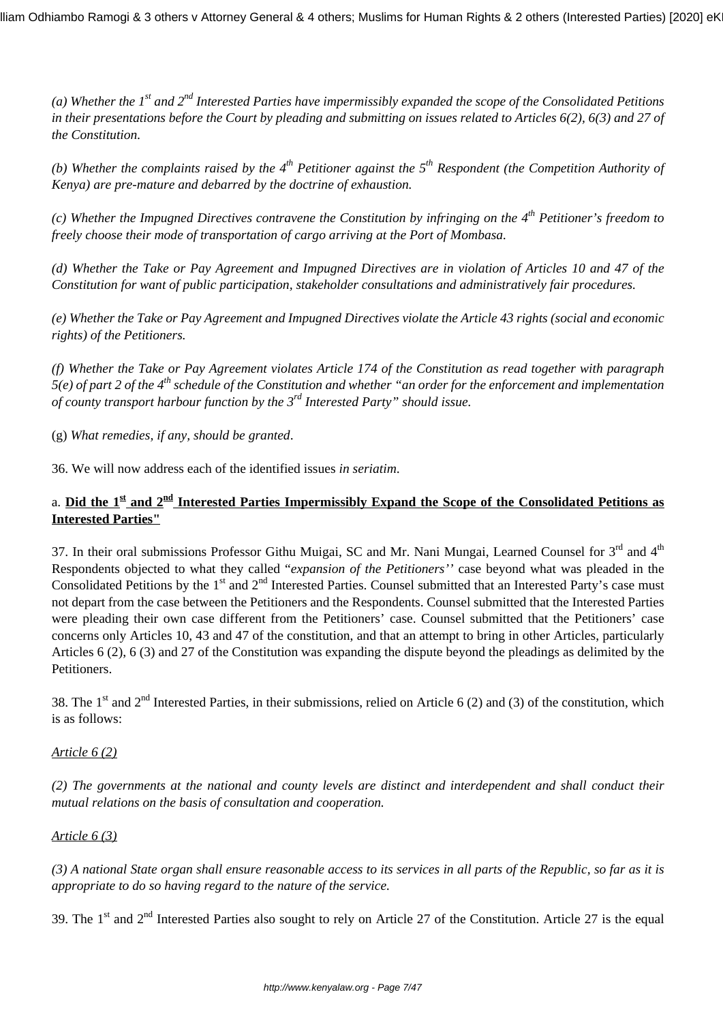*(a) Whether the 1st and 2nd Interested Parties have impermissibly expanded the scope of the Consolidated Petitions in their presentations before the Court by pleading and submitting on issues related to Articles 6(2), 6(3) and 27 of the Constitution.*

*(b) Whether the complaints raised by the 4th Petitioner against the 5th Respondent (the Competition Authority of Kenya) are pre-mature and debarred by the doctrine of exhaustion.*

*(c) Whether the Impugned Directives contravene the Constitution by infringing on the 4th Petitioner's freedom to freely choose their mode of transportation of cargo arriving at the Port of Mombasa.*

*(d) Whether the Take or Pay Agreement and Impugned Directives are in violation of Articles 10 and 47 of the Constitution for want of public participation, stakeholder consultations and administratively fair procedures.*

*(e) Whether the Take or Pay Agreement and Impugned Directives violate the Article 43 rights (social and economic rights) of the Petitioners.*

*(f) Whether the Take or Pay Agreement violates Article 174 of the Constitution as read together with paragraph 5(e) of part 2 of the 4th schedule of the Constitution and whether "an order for the enforcement and implementation of county transport harbour function by the 3rd Interested Party" should issue.*

(g) *What remedies, if any, should be granted*.

36. We will now address each of the identified issues *in seriatim*.

# a. **Did the 1st and 2nd Interested Parties Impermissibly Expand the Scope of the Consolidated Petitions as Interested Parties"**

37. In their oral submissions Professor Githu Muigai, SC and Mr. Nani Mungai, Learned Counsel for 3<sup>rd</sup> and 4<sup>th</sup> Respondents objected to what they called "*expansion of the Petitioners''* case beyond what was pleaded in the Consolidated Petitions by the 1<sup>st</sup> and 2<sup>nd</sup> Interested Parties. Counsel submitted that an Interested Party's case must not depart from the case between the Petitioners and the Respondents. Counsel submitted that the Interested Parties were pleading their own case different from the Petitioners' case. Counsel submitted that the Petitioners' case concerns only Articles 10, 43 and 47 of the constitution, and that an attempt to bring in other Articles, particularly Articles 6 (2), 6 (3) and 27 of the Constitution was expanding the dispute beyond the pleadings as delimited by the Petitioners.

38. The 1<sup>st</sup> and  $2<sup>nd</sup>$  Interested Parties, in their submissions, relied on Article 6 (2) and (3) of the constitution, which is as follows:

## *Article 6 (2)*

*(2) The governments at the national and county levels are distinct and interdependent and shall conduct their mutual relations on the basis of consultation and cooperation.*

## *Article 6 (3)*

*(3) A national State organ shall ensure reasonable access to its services in all parts of the Republic, so far as it is appropriate to do so having regard to the nature of the service.*

39. The  $1<sup>st</sup>$  and  $2<sup>nd</sup>$  Interested Parties also sought to rely on Article 27 of the Constitution. Article 27 is the equal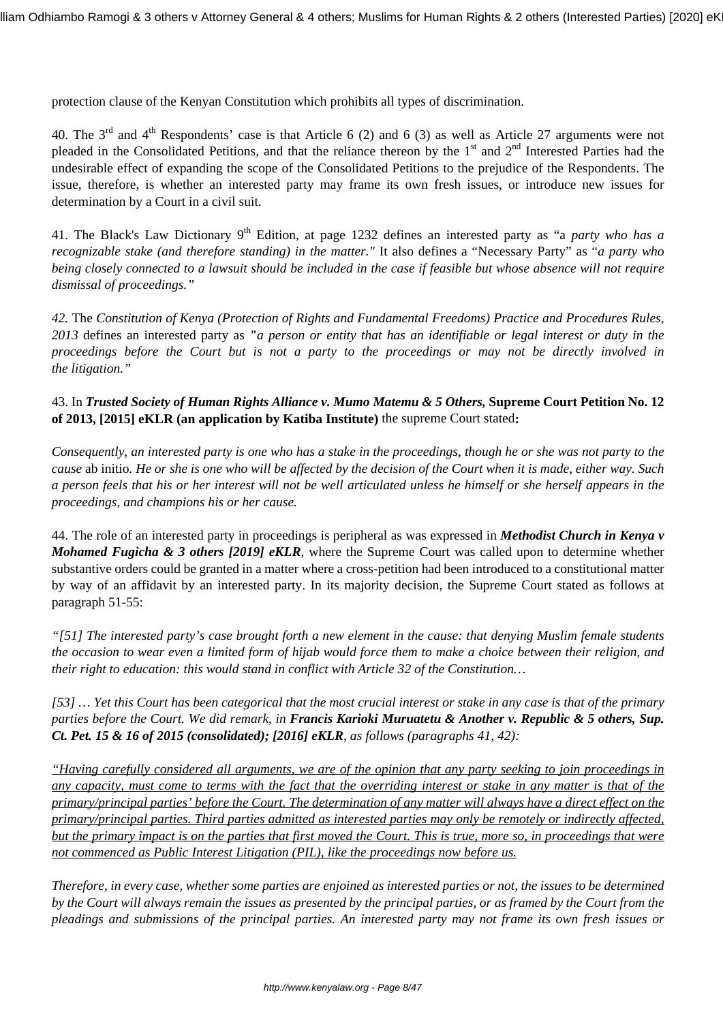protection clause of the Kenyan Constitution which prohibits all types of discrimination.

40. The  $3<sup>rd</sup>$  and  $4<sup>th</sup>$  Respondents' case is that Article 6 (2) and 6 (3) as well as Article 27 arguments were not pleaded in the Consolidated Petitions, and that the reliance thereon by the  $1<sup>st</sup>$  and  $2<sup>nd</sup>$  Interested Parties had the undesirable effect of expanding the scope of the Consolidated Petitions to the prejudice of the Respondents. The issue, therefore, is whether an interested party may frame its own fresh issues, or introduce new issues for determination by a Court in a civil suit.

41. The Black's Law Dictionary 9th Edition, at page 1232 defines an interested party as "a *party who has a recognizable stake (and therefore standing) in the matter."* It also defines a "Necessary Party" as "*a party who being closely connected to a lawsuit should be included in the case if feasible but whose absence will not require dismissal of proceedings."*

*42.* The *Constitution of Kenya (Protection of Rights and Fundamental Freedoms) Practice and Procedures Rules, 2013* defines an interested party as *"a person or entity that has an identifiable or legal interest or duty in the proceedings before the Court but is not a party to the proceedings or may not be directly involved in the litigation."*

43. In *Trusted Society of Human Rights Alliance v. Mumo Matemu & 5 Others,* **Supreme Court Petition No. 12 of 2013, [2015] eKLR (an application by Katiba Institute)** the supreme Court stated**:**

*Consequently, an interested party is one who has a stake in the proceedings, though he or she was not party to the cause* ab initio*. He or she is one who will be affected by the decision of the Court when it is made, either way. Such a person feels that his or her interest will not be well articulated unless he himself or she herself appears in the proceedings, and champions his or her cause.*

44. The role of an interested party in proceedings is peripheral as was expressed in *Methodist Church in Kenya v Mohamed Fugicha & 3 others [2019] eKLR*, where the Supreme Court was called upon to determine whether substantive orders could be granted in a matter where a cross-petition had been introduced to a constitutional matter by way of an affidavit by an interested party. In its majority decision, the Supreme Court stated as follows at paragraph 51-55:

*"[51] The interested party's case brought forth a new element in the cause: that denying Muslim female students the occasion to wear even a limited form of hijab would force them to make a choice between their religion, and their right to education: this would stand in conflict with Article 32 of the Constitution…*

*[53] … Yet this Court has been categorical that the most crucial interest or stake in any case is that of the primary parties before the Court. We did remark, in Francis Karioki Muruatetu & Another v. Republic & 5 others, Sup. Ct. Pet. 15 & 16 of 2015 (consolidated); [2016] eKLR, as follows (paragraphs 41, 42):*

*"Having carefully considered all arguments, we are of the opinion that any party seeking to join proceedings in any capacity, must come to terms with the fact that the overriding interest or stake in any matter is that of the primary/principal parties' before the Court. The determination of any matter will always have a direct effect on the primary/principal parties. Third parties admitted as interested parties may only be remotely or indirectly affected, but the primary impact is on the parties that first moved the Court. This is true, more so, in proceedings that were not commenced as Public Interest Litigation (PIL), like the proceedings now before us.*

*Therefore, in every case, whether some parties are enjoined as interested parties or not, the issues to be determined by the Court will always remain the issues as presented by the principal parties, or as framed by the Court from the pleadings and submissions of the principal parties. An interested party may not frame its own fresh issues or*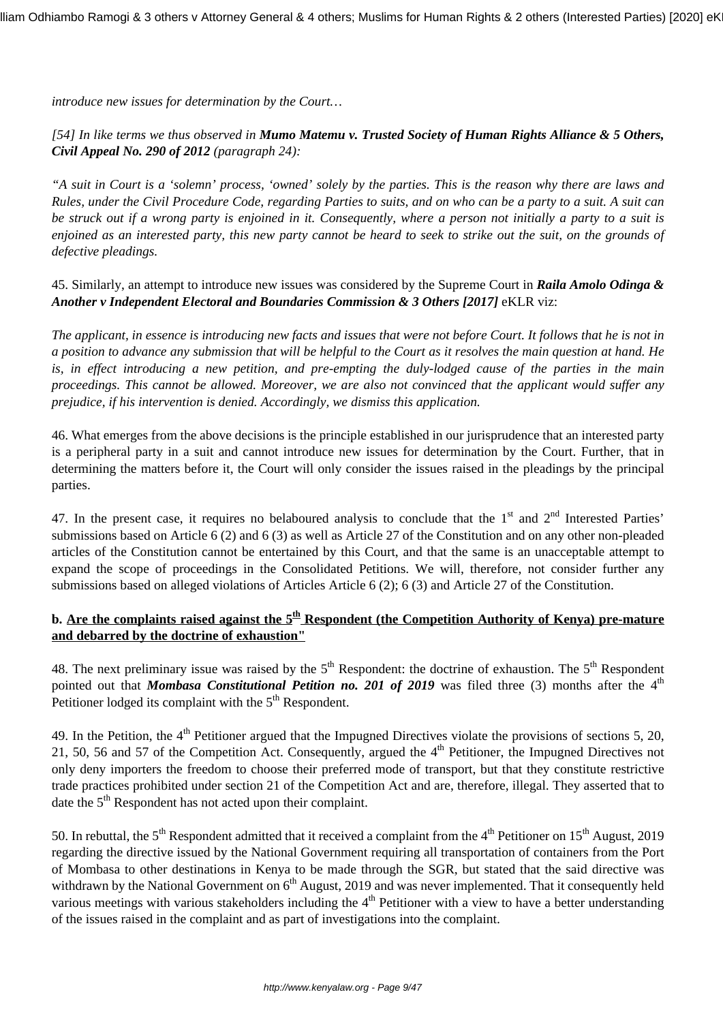*introduce new issues for determination by the Court…*

# *[54] In like terms we thus observed in Mumo Matemu v. Trusted Society of Human Rights Alliance & 5 Others, Civil Appeal No. 290 of 2012 (paragraph 24):*

*"A suit in Court is a 'solemn' process, 'owned' solely by the parties. This is the reason why there are laws and Rules, under the Civil Procedure Code, regarding Parties to suits, and on who can be a party to a suit. A suit can be struck out if a wrong party is enjoined in it. Consequently, where a person not initially a party to a suit is enjoined as an interested party, this new party cannot be heard to seek to strike out the suit, on the grounds of defective pleadings.*

45. Similarly, an attempt to introduce new issues was considered by the Supreme Court in *Raila Amolo Odinga & Another v Independent Electoral and Boundaries Commission & 3 Others [2017]* eKLR viz:

*The applicant, in essence is introducing new facts and issues that were not before Court. It follows that he is not in a position to advance any submission that will be helpful to the Court as it resolves the main question at hand. He is, in effect introducing a new petition, and pre-empting the duly-lodged cause of the parties in the main proceedings. This cannot be allowed. Moreover, we are also not convinced that the applicant would suffer any prejudice, if his intervention is denied. Accordingly, we dismiss this application.*

46. What emerges from the above decisions is the principle established in our jurisprudence that an interested party is a peripheral party in a suit and cannot introduce new issues for determination by the Court. Further, that in determining the matters before it, the Court will only consider the issues raised in the pleadings by the principal parties.

47. In the present case, it requires no belaboured analysis to conclude that the  $1<sup>st</sup>$  and  $2<sup>nd</sup>$  Interested Parties' submissions based on Article 6 (2) and 6 (3) as well as Article 27 of the Constitution and on any other non-pleaded articles of the Constitution cannot be entertained by this Court, and that the same is an unacceptable attempt to expand the scope of proceedings in the Consolidated Petitions. We will, therefore, not consider further any submissions based on alleged violations of Articles Article 6 (2); 6 (3) and Article 27 of the Constitution.

# **b. Are the complaints raised against the 5th Respondent (the Competition Authority of Kenya) pre-mature and debarred by the doctrine of exhaustion"**

48. The next preliminary issue was raised by the  $5<sup>th</sup>$  Respondent: the doctrine of exhaustion. The  $5<sup>th</sup>$  Respondent pointed out that *Mombasa Constitutional Petition no. 201 of 2019* was filed three (3) months after the 4<sup>th</sup> Petitioner lodged its complaint with the 5<sup>th</sup> Respondent.

49. In the Petition, the  $4<sup>th</sup>$  Petitioner argued that the Impugned Directives violate the provisions of sections 5, 20, 21, 50, 56 and 57 of the Competition Act. Consequently, argued the 4<sup>th</sup> Petitioner, the Impugned Directives not only deny importers the freedom to choose their preferred mode of transport, but that they constitute restrictive trade practices prohibited under section 21 of the Competition Act and are, therefore, illegal. They asserted that to date the  $5<sup>th</sup>$  Respondent has not acted upon their complaint.

50. In rebuttal, the  $5<sup>th</sup>$  Respondent admitted that it received a complaint from the 4<sup>th</sup> Petitioner on  $15<sup>th</sup>$  August, 2019 regarding the directive issued by the National Government requiring all transportation of containers from the Port of Mombasa to other destinations in Kenya to be made through the SGR, but stated that the said directive was withdrawn by the National Government on  $6<sup>th</sup>$  August, 2019 and was never implemented. That it consequently held various meetings with various stakeholders including the  $4<sup>th</sup>$  Petitioner with a view to have a better understanding of the issues raised in the complaint and as part of investigations into the complaint.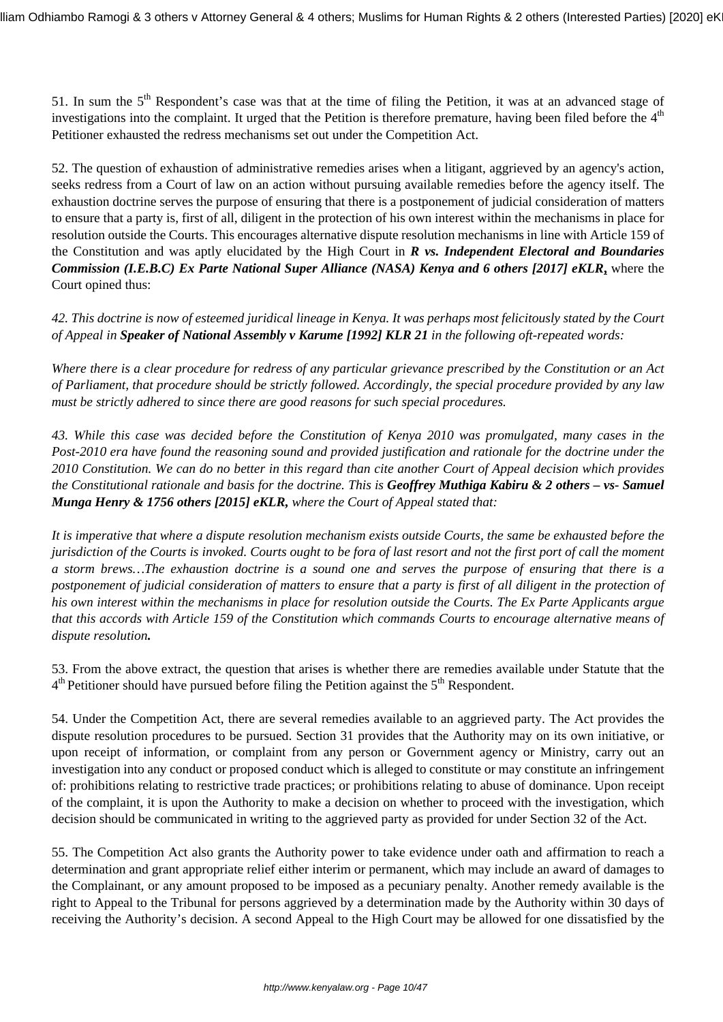51. In sum the 5<sup>th</sup> Respondent's case was that at the time of filing the Petition, it was at an advanced stage of investigations into the complaint. It urged that the Petition is therefore premature, having been filed before the  $4<sup>th</sup>$ Petitioner exhausted the redress mechanisms set out under the Competition Act.

52. The question of exhaustion of administrative remedies arises when a litigant, aggrieved by an agency's action, seeks redress from a Court of law on an action without pursuing available remedies before the agency itself. The exhaustion doctrine serves the purpose of ensuring that there is a postponement of judicial consideration of matters to ensure that a party is, first of all, diligent in the protection of his own interest within the mechanisms in place for resolution outside the Courts. This encourages alternative dispute resolution mechanisms in line with Article 159 of the Constitution and was aptly elucidated by the High Court in *R vs. Independent Electoral and Boundaries Commission (I.E.B.C) Ex Parte National Super Alliance (NASA) Kenya and 6 others [2017] eKLR***,** where the Court opined thus:

*42. This doctrine is now of esteemed juridical lineage in Kenya. It was perhaps most felicitously stated by the Court of Appeal in Speaker of National Assembly v Karume [1992] KLR 21 in the following oft-repeated words:*

*Where there is a clear procedure for redress of any particular grievance prescribed by the Constitution or an Act of Parliament, that procedure should be strictly followed. Accordingly, the special procedure provided by any law must be strictly adhered to since there are good reasons for such special procedures.*

*43. While this case was decided before the Constitution of Kenya 2010 was promulgated, many cases in the Post-2010 era have found the reasoning sound and provided justification and rationale for the doctrine under the 2010 Constitution. We can do no better in this regard than cite another Court of Appeal decision which provides the Constitutional rationale and basis for the doctrine. This is Geoffrey Muthiga Kabiru & 2 others – vs- Samuel Munga Henry & 1756 others [2015] eKLR, where the Court of Appeal stated that:*

*It is imperative that where a dispute resolution mechanism exists outside Courts, the same be exhausted before the jurisdiction of the Courts is invoked. Courts ought to be fora of last resort and not the first port of call the moment a storm brews…The exhaustion doctrine is a sound one and serves the purpose of ensuring that there is a postponement of judicial consideration of matters to ensure that a party is first of all diligent in the protection of his own interest within the mechanisms in place for resolution outside the Courts. The Ex Parte Applicants argue that this accords with Article 159 of the Constitution which commands Courts to encourage alternative means of dispute resolution.*

53. From the above extract, the question that arises is whether there are remedies available under Statute that the 4<sup>th</sup> Petitioner should have pursued before filing the Petition against the 5<sup>th</sup> Respondent.

54. Under the Competition Act, there are several remedies available to an aggrieved party. The Act provides the dispute resolution procedures to be pursued. Section 31 provides that the Authority may on its own initiative, or upon receipt of information, or complaint from any person or Government agency or Ministry, carry out an investigation into any conduct or proposed conduct which is alleged to constitute or may constitute an infringement of: prohibitions relating to restrictive trade practices; or prohibitions relating to abuse of dominance. Upon receipt of the complaint, it is upon the Authority to make a decision on whether to proceed with the investigation, which decision should be communicated in writing to the aggrieved party as provided for under Section 32 of the Act.

55. The Competition Act also grants the Authority power to take evidence under oath and affirmation to reach a determination and grant appropriate relief either interim or permanent, which may include an award of damages to the Complainant, or any amount proposed to be imposed as a pecuniary penalty. Another remedy available is the right to Appeal to the Tribunal for persons aggrieved by a determination made by the Authority within 30 days of receiving the Authority's decision. A second Appeal to the High Court may be allowed for one dissatisfied by the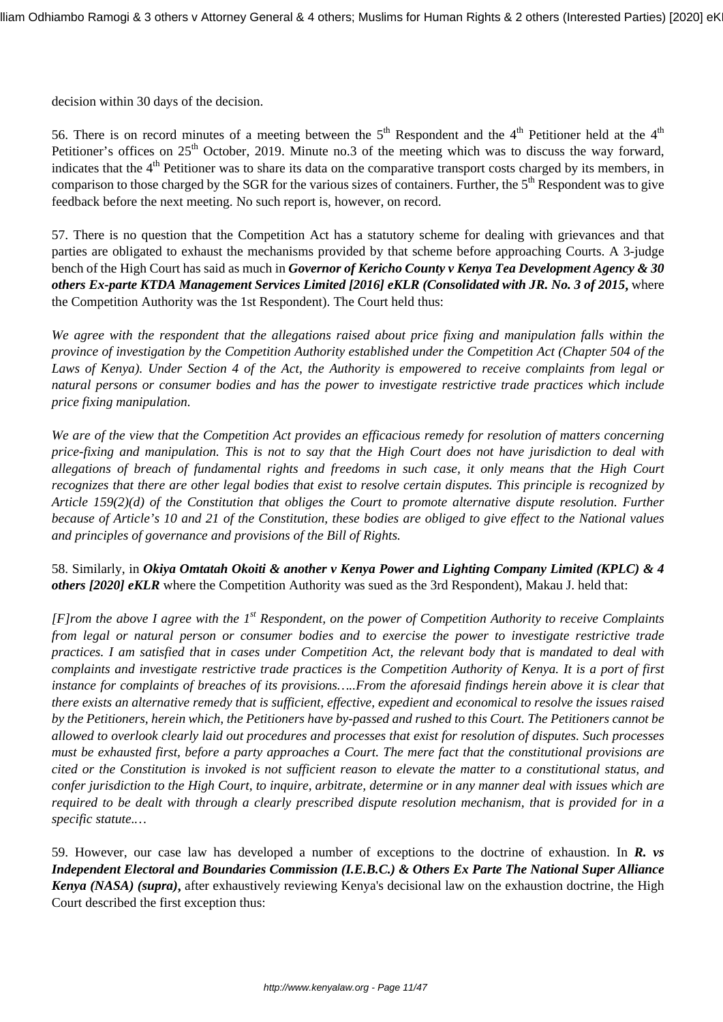decision within 30 days of the decision.

56. There is on record minutes of a meeting between the  $5<sup>th</sup>$  Respondent and the 4<sup>th</sup> Petitioner held at the 4<sup>th</sup> Petitioner's offices on  $25<sup>th</sup>$  October, 2019. Minute no.3 of the meeting which was to discuss the way forward, indicates that the 4<sup>th</sup> Petitioner was to share its data on the comparative transport costs charged by its members, in comparison to those charged by the SGR for the various sizes of containers. Further, the 5<sup>th</sup> Respondent was to give feedback before the next meeting. No such report is, however, on record.

57. There is no question that the Competition Act has a statutory scheme for dealing with grievances and that parties are obligated to exhaust the mechanisms provided by that scheme before approaching Courts. A 3-judge bench of the High Court has said as much in *Governor of Kericho County v Kenya Tea Development Agency & 30 others Ex-parte KTDA Management Services Limited [2016] eKLR (Consolidated with JR. No. 3 of 2015***,** where the Competition Authority was the 1st Respondent). The Court held thus:

*We agree with the respondent that the allegations raised about price fixing and manipulation falls within the province of investigation by the Competition Authority established under the Competition Act (Chapter 504 of the Laws of Kenya). Under Section 4 of the Act, the Authority is empowered to receive complaints from legal or natural persons or consumer bodies and has the power to investigate restrictive trade practices which include price fixing manipulation.*

*We are of the view that the Competition Act provides an efficacious remedy for resolution of matters concerning price-fixing and manipulation. This is not to say that the High Court does not have jurisdiction to deal with allegations of breach of fundamental rights and freedoms in such case, it only means that the High Court recognizes that there are other legal bodies that exist to resolve certain disputes. This principle is recognized by Article 159(2)(d) of the Constitution that obliges the Court to promote alternative dispute resolution. Further because of Article's 10 and 21 of the Constitution, these bodies are obliged to give effect to the National values and principles of governance and provisions of the Bill of Rights.*

58. Similarly, in *Okiya Omtatah Okoiti & another v Kenya Power and Lighting Company Limited (KPLC) & 4 others [2020] eKLR* where the Competition Authority was sued as the 3rd Respondent), Makau J. held that:

*[F]rom the above I agree with the 1st Respondent, on the power of Competition Authority to receive Complaints from legal or natural person or consumer bodies and to exercise the power to investigate restrictive trade practices. I am satisfied that in cases under Competition Act, the relevant body that is mandated to deal with complaints and investigate restrictive trade practices is the Competition Authority of Kenya. It is a port of first instance for complaints of breaches of its provisions…..From the aforesaid findings herein above it is clear that there exists an alternative remedy that is sufficient, effective, expedient and economical to resolve the issues raised by the Petitioners, herein which, the Petitioners have by-passed and rushed to this Court. The Petitioners cannot be allowed to overlook clearly laid out procedures and processes that exist for resolution of disputes. Such processes must be exhausted first, before a party approaches a Court. The mere fact that the constitutional provisions are cited or the Constitution is invoked is not sufficient reason to elevate the matter to a constitutional status, and confer jurisdiction to the High Court, to inquire, arbitrate, determine or in any manner deal with issues which are required to be dealt with through a clearly prescribed dispute resolution mechanism, that is provided for in a specific statute.…*

59. However, our case law has developed a number of exceptions to the doctrine of exhaustion. In *R. vs Independent Electoral and Boundaries Commission (I.E.B.C.) & Others Ex Parte The National Super Alliance Kenya (NASA) (supra)***,** after exhaustively reviewing Kenya's decisional law on the exhaustion doctrine, the High Court described the first exception thus: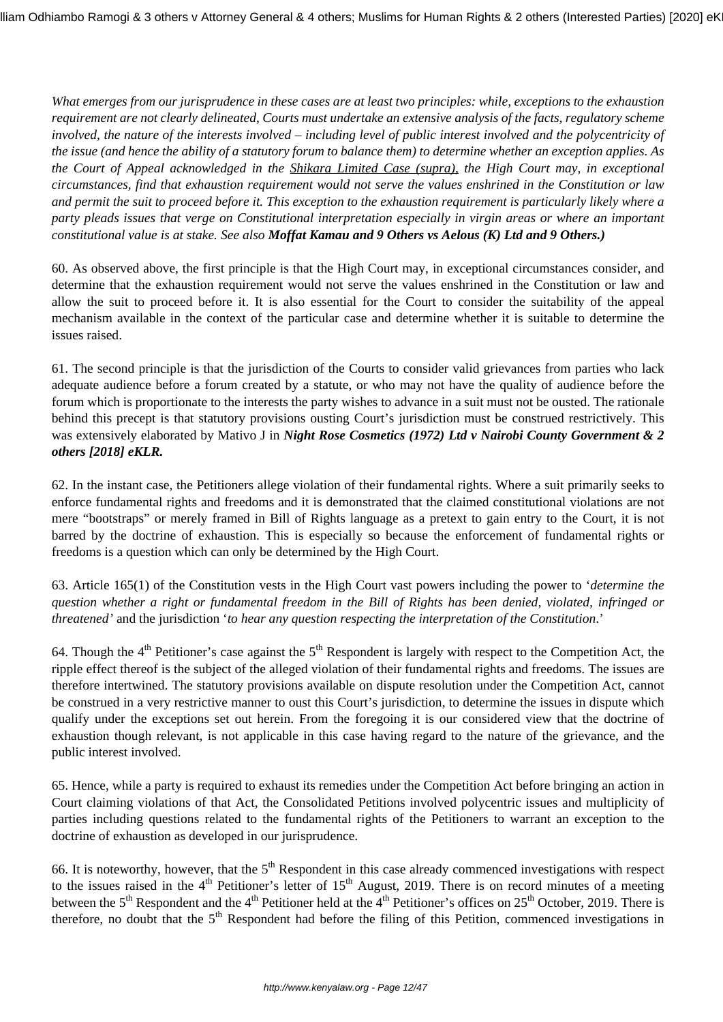*What emerges from our jurisprudence in these cases are at least two principles: while, exceptions to the exhaustion requirement are not clearly delineated, Courts must undertake an extensive analysis of the facts, regulatory scheme involved, the nature of the interests involved – including level of public interest involved and the polycentricity of the issue (and hence the ability of a statutory forum to balance them) to determine whether an exception applies. As the Court of Appeal acknowledged in the Shikara Limited Case (supra), the High Court may, in exceptional circumstances, find that exhaustion requirement would not serve the values enshrined in the Constitution or law and permit the suit to proceed before it. This exception to the exhaustion requirement is particularly likely where a party pleads issues that verge on Constitutional interpretation especially in virgin areas or where an important constitutional value is at stake. See also Moffat Kamau and 9 Others vs Aelous (K) Ltd and 9 Others.)*

60. As observed above, the first principle is that the High Court may, in exceptional circumstances consider, and determine that the exhaustion requirement would not serve the values enshrined in the Constitution or law and allow the suit to proceed before it. It is also essential for the Court to consider the suitability of the appeal mechanism available in the context of the particular case and determine whether it is suitable to determine the issues raised.

61. The second principle is that the jurisdiction of the Courts to consider valid grievances from parties who lack adequate audience before a forum created by a statute, or who may not have the quality of audience before the forum which is proportionate to the interests the party wishes to advance in a suit must not be ousted. The rationale behind this precept is that statutory provisions ousting Court's jurisdiction must be construed restrictively. This was extensively elaborated by Mativo J in *Night Rose Cosmetics (1972) Ltd v Nairobi County Government & 2 others [2018] eKLR.*

62. In the instant case, the Petitioners allege violation of their fundamental rights. Where a suit primarily seeks to enforce fundamental rights and freedoms and it is demonstrated that the claimed constitutional violations are not mere "bootstraps" or merely framed in Bill of Rights language as a pretext to gain entry to the Court, it is not barred by the doctrine of exhaustion. This is especially so because the enforcement of fundamental rights or freedoms is a question which can only be determined by the High Court.

63. Article 165(1) of the Constitution vests in the High Court vast powers including the power to '*determine the question whether a right or fundamental freedom in the Bill of Rights has been denied, violated, infringed or threatened'* and the jurisdiction '*to hear any question respecting the interpretation of the Constitution*.'

64. Though the  $4<sup>th</sup>$  Petitioner's case against the  $5<sup>th</sup>$  Respondent is largely with respect to the Competition Act, the ripple effect thereof is the subject of the alleged violation of their fundamental rights and freedoms. The issues are therefore intertwined. The statutory provisions available on dispute resolution under the Competition Act, cannot be construed in a very restrictive manner to oust this Court's jurisdiction, to determine the issues in dispute which qualify under the exceptions set out herein. From the foregoing it is our considered view that the doctrine of exhaustion though relevant, is not applicable in this case having regard to the nature of the grievance, and the public interest involved.

65. Hence, while a party is required to exhaust its remedies under the Competition Act before bringing an action in Court claiming violations of that Act, the Consolidated Petitions involved polycentric issues and multiplicity of parties including questions related to the fundamental rights of the Petitioners to warrant an exception to the doctrine of exhaustion as developed in our jurisprudence.

66. It is noteworthy, however, that the  $5<sup>th</sup>$  Respondent in this case already commenced investigations with respect to the issues raised in the  $4<sup>th</sup>$  Petitioner's letter of 15<sup>th</sup> August, 2019. There is on record minutes of a meeting between the 5<sup>th</sup> Respondent and the 4<sup>th</sup> Petitioner held at the 4<sup>th</sup> Petitioner's offices on 25<sup>th</sup> October, 2019. There is therefore, no doubt that the  $5<sup>th</sup>$  Respondent had before the filing of this Petition, commenced investigations in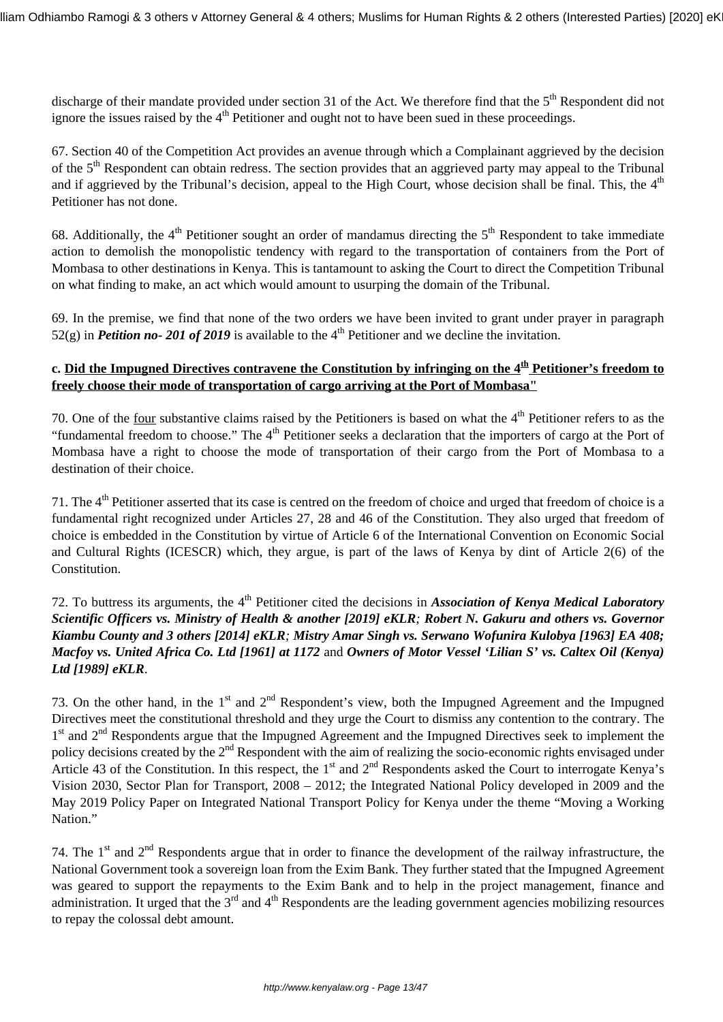discharge of their mandate provided under section 31 of the Act. We therefore find that the  $5<sup>th</sup>$  Respondent did not ignore the issues raised by the  $4<sup>th</sup>$  Petitioner and ought not to have been sued in these proceedings.

67. Section 40 of the Competition Act provides an avenue through which a Complainant aggrieved by the decision of the 5<sup>th</sup> Respondent can obtain redress. The section provides that an aggrieved party may appeal to the Tribunal and if aggrieved by the Tribunal's decision, appeal to the High Court, whose decision shall be final. This, the  $4<sup>th</sup>$ Petitioner has not done.

68. Additionally, the  $4<sup>th</sup>$  Petitioner sought an order of mandamus directing the  $5<sup>th</sup>$  Respondent to take immediate action to demolish the monopolistic tendency with regard to the transportation of containers from the Port of Mombasa to other destinations in Kenya. This is tantamount to asking the Court to direct the Competition Tribunal on what finding to make, an act which would amount to usurping the domain of the Tribunal.

69. In the premise, we find that none of the two orders we have been invited to grant under prayer in paragraph  $52(g)$  in *Petition no- 201 of 2019* is available to the 4<sup>th</sup> Petitioner and we decline the invitation.

# **c. Did the Impugned Directives contravene the Constitution by infringing on the 4th Petitioner's freedom to freely choose their mode of transportation of cargo arriving at the Port of Mombasa"**

70. One of the <u>four</u> substantive claims raised by the Petitioners is based on what the  $4<sup>th</sup>$  Petitioner refers to as the "fundamental freedom to choose." The  $4<sup>th</sup>$  Petitioner seeks a declaration that the importers of cargo at the Port of Mombasa have a right to choose the mode of transportation of their cargo from the Port of Mombasa to a destination of their choice.

71. The 4<sup>th</sup> Petitioner asserted that its case is centred on the freedom of choice and urged that freedom of choice is a fundamental right recognized under Articles 27, 28 and 46 of the Constitution. They also urged that freedom of choice is embedded in the Constitution by virtue of Article 6 of the International Convention on Economic Social and Cultural Rights (ICESCR) which, they argue, is part of the laws of Kenya by dint of Article 2(6) of the Constitution.

# 72. To buttress its arguments, the 4<sup>th</sup> Petitioner cited the decisions in *Association of Kenya Medical Laboratory Scientific Officers vs. Ministry of Health & another [2019] eKLR; Robert N. Gakuru and others vs. Governor Kiambu County and 3 others [2014] eKLR; Mistry Amar Singh vs. Serwano Wofunira Kulobya [1963] EA 408; Macfoy vs. United Africa Co. Ltd [1961] at 1172* and *Owners of Motor Vessel 'Lilian S' vs. Caltex Oil (Kenya) Ltd [1989] eKLR*.

73. On the other hand, in the 1<sup>st</sup> and 2<sup>nd</sup> Respondent's view, both the Impugned Agreement and the Impugned Directives meet the constitutional threshold and they urge the Court to dismiss any contention to the contrary. The 1<sup>st</sup> and 2<sup>nd</sup> Respondents argue that the Impugned Agreement and the Impugned Directives seek to implement the policy decisions created by the 2<sup>nd</sup> Respondent with the aim of realizing the socio-economic rights envisaged under Article 43 of the Constitution. In this respect, the  $1<sup>st</sup>$  and  $2<sup>nd</sup>$  Respondents asked the Court to interrogate Kenya's Vision 2030, Sector Plan for Transport, 2008 – 2012; the Integrated National Policy developed in 2009 and the May 2019 Policy Paper on Integrated National Transport Policy for Kenya under the theme "Moving a Working Nation."

74. The  $1<sup>st</sup>$  and  $2<sup>nd</sup>$  Respondents argue that in order to finance the development of the railway infrastructure, the National Government took a sovereign loan from the Exim Bank. They further stated that the Impugned Agreement was geared to support the repayments to the Exim Bank and to help in the project management, finance and administration. It urged that the  $3<sup>rd</sup>$  and  $4<sup>th</sup>$  Respondents are the leading government agencies mobilizing resources to repay the colossal debt amount.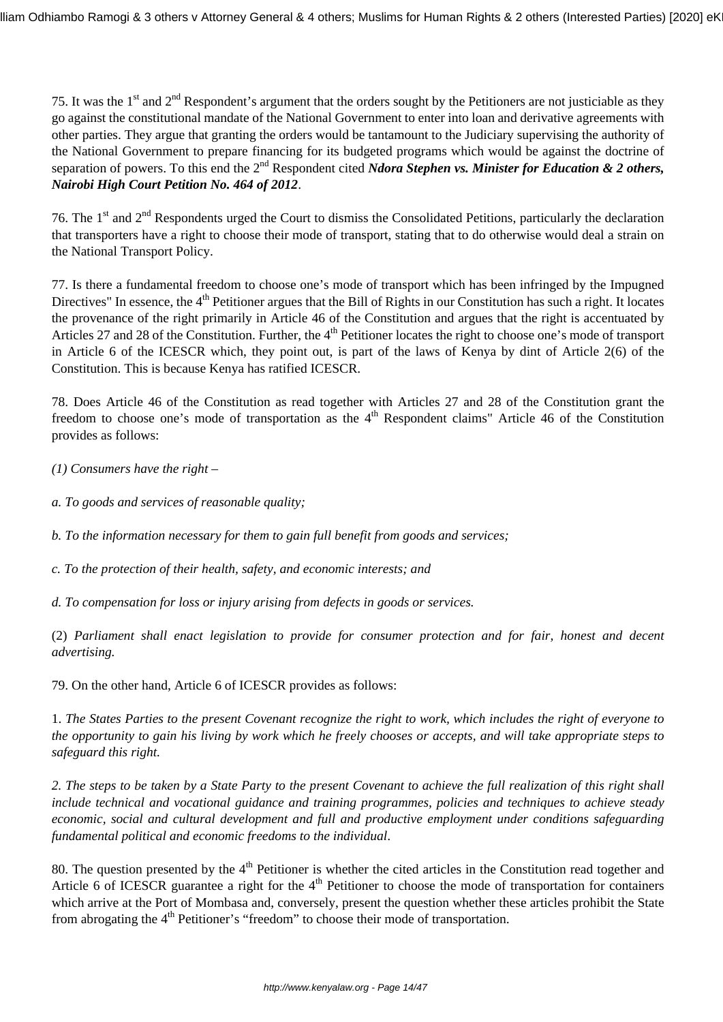75. It was the 1<sup>st</sup> and 2<sup>nd</sup> Respondent's argument that the orders sought by the Petitioners are not justiciable as they go against the constitutional mandate of the National Government to enter into loan and derivative agreements with other parties. They argue that granting the orders would be tantamount to the Judiciary supervising the authority of the National Government to prepare financing for its budgeted programs which would be against the doctrine of separation of powers. To this end the 2<sup>nd</sup> Respondent cited *Ndora Stephen vs. Minister for Education & 2 others, Nairobi High Court Petition No. 464 of 2012*.

76. The 1<sup>st</sup> and 2<sup>nd</sup> Respondents urged the Court to dismiss the Consolidated Petitions, particularly the declaration that transporters have a right to choose their mode of transport, stating that to do otherwise would deal a strain on the National Transport Policy.

77. Is there a fundamental freedom to choose one's mode of transport which has been infringed by the Impugned Directives" In essence, the  $4<sup>th</sup>$  Petitioner argues that the Bill of Rights in our Constitution has such a right. It locates the provenance of the right primarily in Article 46 of the Constitution and argues that the right is accentuated by Articles 27 and 28 of the Constitution. Further, the 4<sup>th</sup> Petitioner locates the right to choose one's mode of transport in Article 6 of the ICESCR which, they point out, is part of the laws of Kenya by dint of Article 2(6) of the Constitution. This is because Kenya has ratified ICESCR.

78. Does Article 46 of the Constitution as read together with Articles 27 and 28 of the Constitution grant the freedom to choose one's mode of transportation as the  $4<sup>th</sup>$  Respondent claims" Article 46 of the Constitution provides as follows:

*(1) Consumers have the right –* 

*a. To goods and services of reasonable quality;*

*b. To the information necessary for them to gain full benefit from goods and services;*

*c. To the protection of their health, safety, and economic interests; and*

*d. To compensation for loss or injury arising from defects in goods or services.*

(2) *Parliament shall enact legislation to provide for consumer protection and for fair, honest and decent advertising.*

79. On the other hand, Article 6 of ICESCR provides as follows:

1. *The States Parties to the present Covenant recognize the right to work, which includes the right of everyone to the opportunity to gain his living by work which he freely chooses or accepts, and will take appropriate steps to safeguard this right.*

*2. The steps to be taken by a State Party to the present Covenant to achieve the full realization of this right shall include technical and vocational guidance and training programmes, policies and techniques to achieve steady economic, social and cultural development and full and productive employment under conditions safeguarding fundamental political and economic freedoms to the individual*.

80. The question presented by the  $4<sup>th</sup>$  Petitioner is whether the cited articles in the Constitution read together and Article 6 of ICESCR guarantee a right for the  $4<sup>th</sup>$  Petitioner to choose the mode of transportation for containers which arrive at the Port of Mombasa and, conversely, present the question whether these articles prohibit the State from abrogating the  $4<sup>th</sup>$  Petitioner's "freedom" to choose their mode of transportation.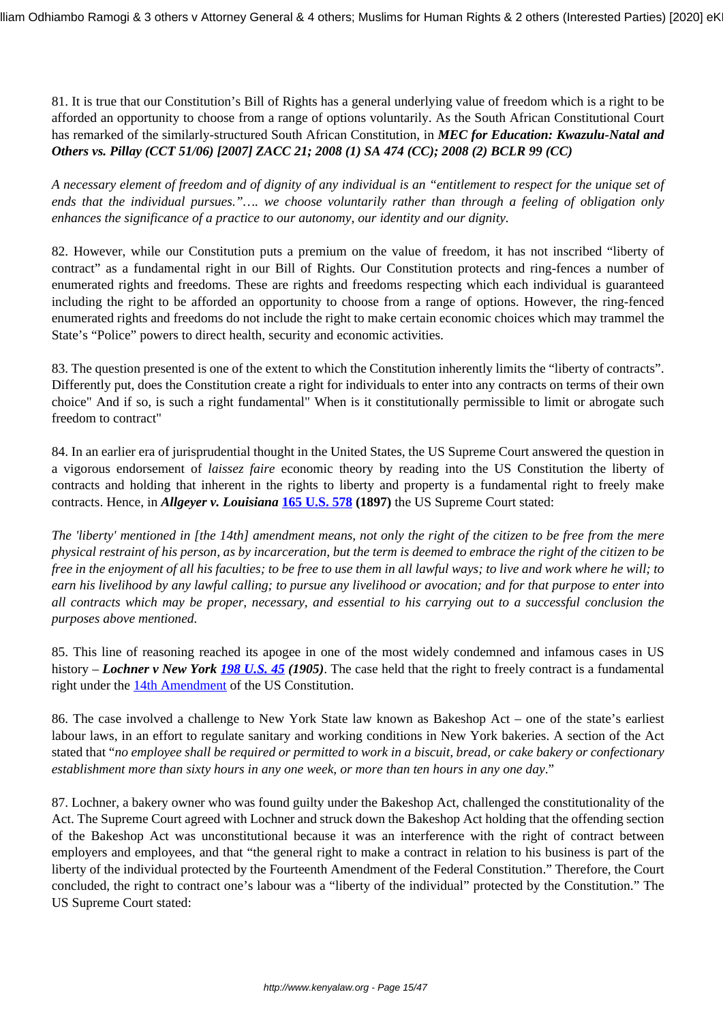81. It is true that our Constitution's Bill of Rights has a general underlying value of freedom which is a right to be afforded an opportunity to choose from a range of options voluntarily. As the South African Constitutional Court has remarked of the similarly-structured South African Constitution, in *MEC for Education: Kwazulu-Natal and Others vs. Pillay (CCT 51/06) [2007] ZACC 21; 2008 (1) SA 474 (CC); 2008 (2) BCLR 99 (CC)*

*A necessary element of freedom and of dignity of any individual is an "entitlement to respect for the unique set of ends that the individual pursues."…. we choose voluntarily rather than through a feeling of obligation only enhances the significance of a practice to our autonomy, our identity and our dignity.*

82. However, while our Constitution puts a premium on the value of freedom, it has not inscribed "liberty of contract" as a fundamental right in our Bill of Rights. Our Constitution protects and ring-fences a number of enumerated rights and freedoms. These are rights and freedoms respecting which each individual is guaranteed including the right to be afforded an opportunity to choose from a range of options. However, the ring-fenced enumerated rights and freedoms do not include the right to make certain economic choices which may trammel the State's "Police" powers to direct health, security and economic activities.

83. The question presented is one of the extent to which the Constitution inherently limits the "liberty of contracts". Differently put, does the Constitution create a right for individuals to enter into any contracts on terms of their own choice" And if so, is such a right fundamental" When is it constitutionally permissible to limit or abrogate such freedom to contract"

84. In an earlier era of jurisprudential thought in the United States, the US Supreme Court answered the question in a vigorous endorsement of *laissez faire* economic theory by reading into the US Constitution the liberty of contracts and holding that inherent in the rights to liberty and property is a fundamental right to freely make contracts. Hence, in *Allgeyer v. Louisiana* **[165 U.S. 578](http://caselaw.lp.findlaw.com/scripts/getcase.pl"court=us&vol=165&invol=578) (1897)** the US Supreme Court stated:

*The 'liberty' mentioned in [the 14th] amendment means, not only the right of the citizen to be free from the mere physical restraint of his person, as by incarceration, but the term is deemed to embrace the right of the citizen to be free in the enjoyment of all his faculties; to be free to use them in all lawful ways; to live and work where he will; to earn his livelihood by any lawful calling; to pursue any livelihood or avocation; and for that purpose to enter into all contracts which may be proper, necessary, and essential to his carrying out to a successful conclusion the purposes above mentioned.*

85. This line of reasoning reached its apogee in one of the most widely condemned and infamous cases in US history – *Lochner v New York [198 U.S. 45](http://caselaw.lp.findlaw.com/scripts/getcase.pl"court=US&vol=198&invol=45) (1905)*. The case held that the right to freely contract is a fundamental right under the [14th Amendment](http://constitutioncenter.org/interactive-constitution/amendments/amendment-xiv/common-interpretation-due-process-clause-of-the-fourteenth-amendment/clause/12) of the US Constitution.

86. The case involved a challenge to New York State law known as Bakeshop Act – one of the state's earliest labour laws, in an effort to regulate sanitary and working conditions in New York bakeries. A section of the Act stated that "*no employee shall be required or permitted to work in a biscuit, bread, or cake bakery or confectionary establishment more than sixty hours in any one week, or more than ten hours in any one day*."

87. Lochner, a bakery owner who was found guilty under the Bakeshop Act, challenged the constitutionality of the Act. The Supreme Court agreed with Lochner and struck down the Bakeshop Act holding that the offending section of the Bakeshop Act was unconstitutional because it was an interference with the right of contract between employers and employees, and that "the general right to make a contract in relation to his business is part of the liberty of the individual protected by the Fourteenth Amendment of the Federal Constitution." Therefore, the Court concluded, the right to contract one's labour was a "liberty of the individual" protected by the Constitution." The US Supreme Court stated: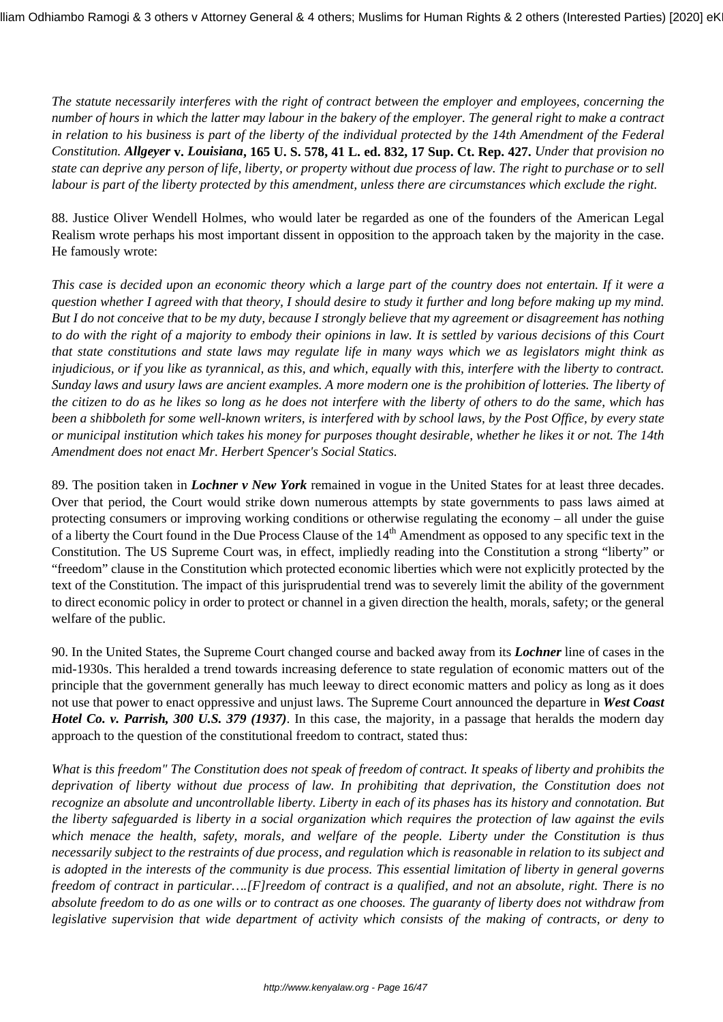*The statute necessarily interferes with the right of contract between the employer and employees, concerning the number of hours in which the latter may labour in the bakery of the employer. The general right to make a contract in relation to his business is part of the liberty of the individual protected by the 14th Amendment of the Federal Constitution. Allgeyer* **v.** *Louisiana***, 165 U. S. 578, 41 L. ed. 832, 17 Sup. Ct. Rep. 427.** *Under that provision no state can deprive any person of life, liberty, or property without due process of law. The right to purchase or to sell labour is part of the liberty protected by this amendment, unless there are circumstances which exclude the right.*

88. Justice Oliver Wendell Holmes, who would later be regarded as one of the founders of the American Legal Realism wrote perhaps his most important dissent in opposition to the approach taken by the majority in the case. He famously wrote:

*This case is decided upon an economic theory which a large part of the country does not entertain. If it were a question whether I agreed with that theory, I should desire to study it further and long before making up my mind. But I do not conceive that to be my duty, because I strongly believe that my agreement or disagreement has nothing to do with the right of a majority to embody their opinions in law. It is settled by various decisions of this Court that state constitutions and state laws may regulate life in many ways which we as legislators might think as injudicious, or if you like as tyrannical, as this, and which, equally with this, interfere with the liberty to contract. Sunday laws and usury laws are ancient examples. A more modern one is the prohibition of lotteries. The liberty of the citizen to do as he likes so long as he does not interfere with the liberty of others to do the same, which has been a shibboleth for some well-known writers, is interfered with by school laws, by the Post Office, by every state or municipal institution which takes his money for purposes thought desirable, whether he likes it or not. The 14th Amendment does not enact Mr. Herbert Spencer's Social Statics.*

89. The position taken in *Lochner v New York* remained in vogue in the United States for at least three decades. Over that period, the Court would strike down numerous attempts by state governments to pass laws aimed at protecting consumers or improving working conditions or otherwise regulating the economy – all under the guise of a liberty the Court found in the Due Process Clause of the 14<sup>th</sup> Amendment as opposed to any specific text in the Constitution. The US Supreme Court was, in effect, impliedly reading into the Constitution a strong "liberty" or "freedom" clause in the Constitution which protected economic liberties which were not explicitly protected by the text of the Constitution. The impact of this jurisprudential trend was to severely limit the ability of the government to direct economic policy in order to protect or channel in a given direction the health, morals, safety; or the general welfare of the public.

90. In the United States, the Supreme Court changed course and backed away from its *Lochner* line of cases in the mid-1930s. This heralded a trend towards increasing deference to state regulation of economic matters out of the principle that the government generally has much leeway to direct economic matters and policy as long as it does not use that power to enact oppressive and unjust laws. The Supreme Court announced the departure in *West Coast Hotel Co. v. Parrish, 300 U.S. 379 (1937)*. In this case, the majority, in a passage that heralds the modern day approach to the question of the constitutional freedom to contract, stated thus:

*What is this freedom" The Constitution does not speak of freedom of contract. It speaks of liberty and prohibits the deprivation of liberty without due process of law. In prohibiting that deprivation, the Constitution does not recognize an absolute and uncontrollable liberty. Liberty in each of its phases has its history and connotation. But the liberty safeguarded is liberty in a social organization which requires the protection of law against the evils which menace the health, safety, morals, and welfare of the people. Liberty under the Constitution is thus necessarily subject to the restraints of due process, and regulation which is reasonable in relation to its subject and is adopted in the interests of the community is due process. This essential limitation of liberty in general governs freedom of contract in particular….[F]reedom of contract is a qualified, and not an absolute, right. There is no absolute freedom to do as one wills or to contract as one chooses. The guaranty of liberty does not withdraw from legislative supervision that wide department of activity which consists of the making of contracts, or deny to*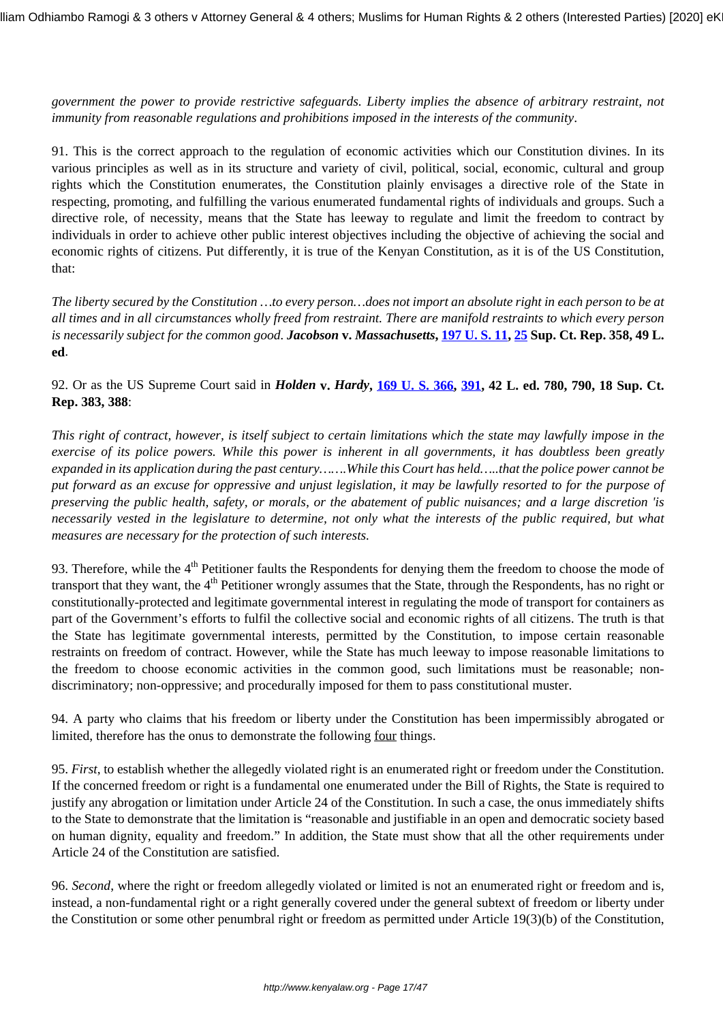*government the power to provide restrictive safeguards. Liberty implies the absence of arbitrary restraint, not immunity from reasonable regulations and prohibitions imposed in the interests of the community*.

91. This is the correct approach to the regulation of economic activities which our Constitution divines. In its various principles as well as in its structure and variety of civil, political, social, economic, cultural and group rights which the Constitution enumerates, the Constitution plainly envisages a directive role of the State in respecting, promoting, and fulfilling the various enumerated fundamental rights of individuals and groups. Such a directive role, of necessity, means that the State has leeway to regulate and limit the freedom to contract by individuals in order to achieve other public interest objectives including the objective of achieving the social and economic rights of citizens. Put differently, it is true of the Kenyan Constitution, as it is of the US Constitution, that:

*The liberty secured by the Constitution …to every person…does not import an absolute right in each person to be at all times and in all circumstances wholly freed from restraint. There are manifold restraints to which every person is necessarily subject for the common good. Jacobson* **v.** *Massachusetts***, [197 U. S. 11](https://www.law.cornell.edu/supremecourt/text/197/11), [25](https://www.law.cornell.edu/supremecourt/text/198/45) Sup. Ct. Rep. 358, 49 L. ed**.

92. Or as the US Supreme Court said in *Holden* **v.** *Hardy***, [169 U. S. 366,](https://www.law.cornell.edu/supremecourt/text/169/366) [391](https://www.law.cornell.edu/supremecourt/text/198/45), 42 L. ed. 780, 790, 18 Sup. Ct. Rep. 383, 388**:

*This right of contract, however, is itself subject to certain limitations which the state may lawfully impose in the exercise of its police powers. While this power is inherent in all governments, it has doubtless been greatly expanded in its application during the past century…….While this Court has held…..that the police power cannot be put forward as an excuse for oppressive and unjust legislation, it may be lawfully resorted to for the purpose of preserving the public health, safety, or morals, or the abatement of public nuisances; and a large discretion 'is necessarily vested in the legislature to determine, not only what the interests of the public required, but what measures are necessary for the protection of such interests.*

93. Therefore, while the  $4<sup>th</sup>$  Petitioner faults the Respondents for denying them the freedom to choose the mode of transport that they want, the 4<sup>th</sup> Petitioner wrongly assumes that the State, through the Respondents, has no right or constitutionally-protected and legitimate governmental interest in regulating the mode of transport for containers as part of the Government's efforts to fulfil the collective social and economic rights of all citizens. The truth is that the State has legitimate governmental interests, permitted by the Constitution, to impose certain reasonable restraints on freedom of contract. However, while the State has much leeway to impose reasonable limitations to the freedom to choose economic activities in the common good, such limitations must be reasonable; nondiscriminatory; non-oppressive; and procedurally imposed for them to pass constitutional muster.

94. A party who claims that his freedom or liberty under the Constitution has been impermissibly abrogated or limited, therefore has the onus to demonstrate the following four things.

95. *First*, to establish whether the allegedly violated right is an enumerated right or freedom under the Constitution. If the concerned freedom or right is a fundamental one enumerated under the Bill of Rights, the State is required to justify any abrogation or limitation under Article 24 of the Constitution. In such a case, the onus immediately shifts to the State to demonstrate that the limitation is "reasonable and justifiable in an open and democratic society based on human dignity, equality and freedom." In addition, the State must show that all the other requirements under Article 24 of the Constitution are satisfied.

96. *Second*, where the right or freedom allegedly violated or limited is not an enumerated right or freedom and is, instead, a non-fundamental right or a right generally covered under the general subtext of freedom or liberty under the Constitution or some other penumbral right or freedom as permitted under Article 19(3)(b) of the Constitution,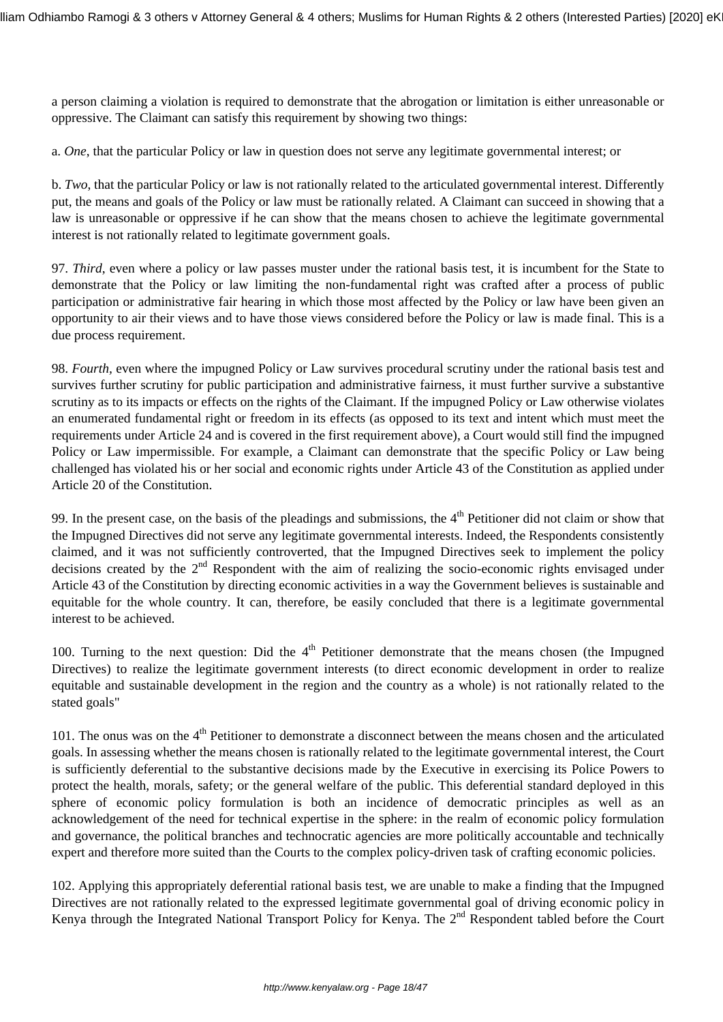a person claiming a violation is required to demonstrate that the abrogation or limitation is either unreasonable or oppressive. The Claimant can satisfy this requirement by showing two things:

a. *One*, that the particular Policy or law in question does not serve any legitimate governmental interest; or

b. *Two*, that the particular Policy or law is not rationally related to the articulated governmental interest. Differently put, the means and goals of the Policy or law must be rationally related. A Claimant can succeed in showing that a law is unreasonable or oppressive if he can show that the means chosen to achieve the legitimate governmental interest is not rationally related to legitimate government goals.

97. *Third*, even where a policy or law passes muster under the rational basis test, it is incumbent for the State to demonstrate that the Policy or law limiting the non-fundamental right was crafted after a process of public participation or administrative fair hearing in which those most affected by the Policy or law have been given an opportunity to air their views and to have those views considered before the Policy or law is made final. This is a due process requirement.

98. *Fourth,* even where the impugned Policy or Law survives procedural scrutiny under the rational basis test and survives further scrutiny for public participation and administrative fairness, it must further survive a substantive scrutiny as to its impacts or effects on the rights of the Claimant. If the impugned Policy or Law otherwise violates an enumerated fundamental right or freedom in its effects (as opposed to its text and intent which must meet the requirements under Article 24 and is covered in the first requirement above), a Court would still find the impugned Policy or Law impermissible. For example, a Claimant can demonstrate that the specific Policy or Law being challenged has violated his or her social and economic rights under Article 43 of the Constitution as applied under Article 20 of the Constitution.

99. In the present case, on the basis of the pleadings and submissions, the  $4<sup>th</sup>$  Petitioner did not claim or show that the Impugned Directives did not serve any legitimate governmental interests. Indeed, the Respondents consistently claimed, and it was not sufficiently controverted, that the Impugned Directives seek to implement the policy decisions created by the  $2<sup>nd</sup>$  Respondent with the aim of realizing the socio-economic rights envisaged under Article 43 of the Constitution by directing economic activities in a way the Government believes is sustainable and equitable for the whole country. It can, therefore, be easily concluded that there is a legitimate governmental interest to be achieved.

100. Turning to the next question: Did the  $4<sup>th</sup>$  Petitioner demonstrate that the means chosen (the Impugned Directives) to realize the legitimate government interests (to direct economic development in order to realize equitable and sustainable development in the region and the country as a whole) is not rationally related to the stated goals"

101. The onus was on the 4<sup>th</sup> Petitioner to demonstrate a disconnect between the means chosen and the articulated goals. In assessing whether the means chosen is rationally related to the legitimate governmental interest, the Court is sufficiently deferential to the substantive decisions made by the Executive in exercising its Police Powers to protect the health, morals, safety; or the general welfare of the public. This deferential standard deployed in this sphere of economic policy formulation is both an incidence of democratic principles as well as an acknowledgement of the need for technical expertise in the sphere: in the realm of economic policy formulation and governance, the political branches and technocratic agencies are more politically accountable and technically expert and therefore more suited than the Courts to the complex policy-driven task of crafting economic policies.

102. Applying this appropriately deferential rational basis test, we are unable to make a finding that the Impugned Directives are not rationally related to the expressed legitimate governmental goal of driving economic policy in Kenya through the Integrated National Transport Policy for Kenya. The  $2<sup>nd</sup>$  Respondent tabled before the Court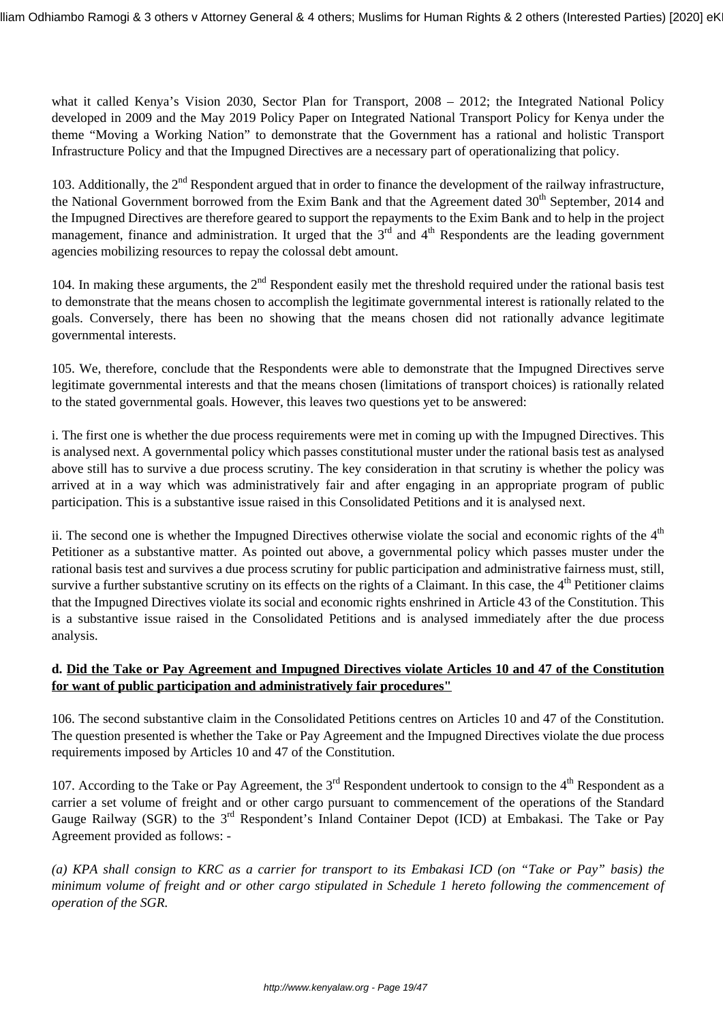what it called Kenya's Vision 2030, Sector Plan for Transport, 2008 – 2012; the Integrated National Policy developed in 2009 and the May 2019 Policy Paper on Integrated National Transport Policy for Kenya under the theme "Moving a Working Nation" to demonstrate that the Government has a rational and holistic Transport Infrastructure Policy and that the Impugned Directives are a necessary part of operationalizing that policy.

103. Additionally, the 2<sup>nd</sup> Respondent argued that in order to finance the development of the railway infrastructure, the National Government borrowed from the Exim Bank and that the Agreement dated 30<sup>th</sup> September, 2014 and the Impugned Directives are therefore geared to support the repayments to the Exim Bank and to help in the project management, finance and administration. It urged that the  $3<sup>rd</sup>$  and  $4<sup>th</sup>$  Respondents are the leading government agencies mobilizing resources to repay the colossal debt amount.

104. In making these arguments, the  $2<sup>nd</sup>$  Respondent easily met the threshold required under the rational basis test to demonstrate that the means chosen to accomplish the legitimate governmental interest is rationally related to the goals. Conversely, there has been no showing that the means chosen did not rationally advance legitimate governmental interests.

105. We, therefore, conclude that the Respondents were able to demonstrate that the Impugned Directives serve legitimate governmental interests and that the means chosen (limitations of transport choices) is rationally related to the stated governmental goals. However, this leaves two questions yet to be answered:

i. The first one is whether the due process requirements were met in coming up with the Impugned Directives. This is analysed next. A governmental policy which passes constitutional muster under the rational basis test as analysed above still has to survive a due process scrutiny. The key consideration in that scrutiny is whether the policy was arrived at in a way which was administratively fair and after engaging in an appropriate program of public participation. This is a substantive issue raised in this Consolidated Petitions and it is analysed next.

ii. The second one is whether the Impugned Directives otherwise violate the social and economic rights of the  $4<sup>th</sup>$ Petitioner as a substantive matter. As pointed out above, a governmental policy which passes muster under the rational basis test and survives a due process scrutiny for public participation and administrative fairness must, still, survive a further substantive scrutiny on its effects on the rights of a Claimant. In this case, the 4<sup>th</sup> Petitioner claims that the Impugned Directives violate its social and economic rights enshrined in Article 43 of the Constitution. This is a substantive issue raised in the Consolidated Petitions and is analysed immediately after the due process analysis.

# **d. Did the Take or Pay Agreement and Impugned Directives violate Articles 10 and 47 of the Constitution for want of public participation and administratively fair procedures"**

106. The second substantive claim in the Consolidated Petitions centres on Articles 10 and 47 of the Constitution. The question presented is whether the Take or Pay Agreement and the Impugned Directives violate the due process requirements imposed by Articles 10 and 47 of the Constitution.

107. According to the Take or Pay Agreement, the  $3<sup>rd</sup>$  Respondent undertook to consign to the  $4<sup>th</sup>$  Respondent as a carrier a set volume of freight and or other cargo pursuant to commencement of the operations of the Standard Gauge Railway (SGR) to the 3<sup>rd</sup> Respondent's Inland Container Depot (ICD) at Embakasi. The Take or Pay Agreement provided as follows: -

*(a) KPA shall consign to KRC as a carrier for transport to its Embakasi ICD (on "Take or Pay" basis) the minimum volume of freight and or other cargo stipulated in Schedule 1 hereto following the commencement of operation of the SGR.*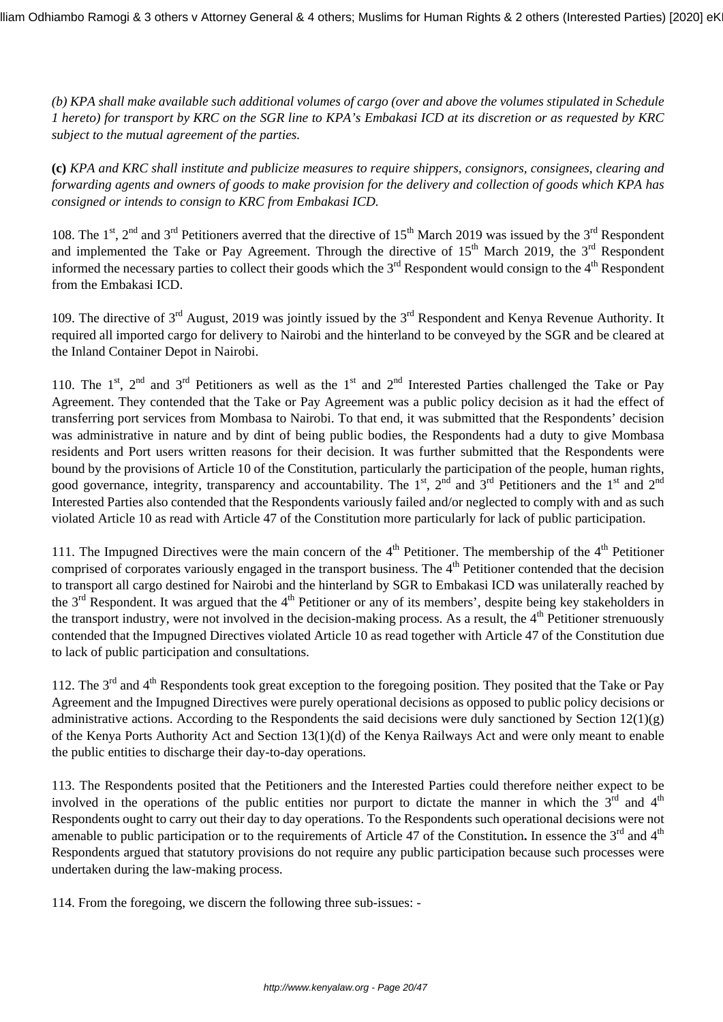*(b) KPA shall make available such additional volumes of cargo (over and above the volumes stipulated in Schedule 1 hereto) for transport by KRC on the SGR line to KPA's Embakasi ICD at its discretion or as requested by KRC subject to the mutual agreement of the parties.*

**(c)** *KPA and KRC shall institute and publicize measures to require shippers, consignors, consignees, clearing and forwarding agents and owners of goods to make provision for the delivery and collection of goods which KPA has consigned or intends to consign to KRC from Embakasi ICD.*

108. The 1<sup>st</sup>, 2<sup>nd</sup> and 3<sup>rd</sup> Petitioners averred that the directive of 15<sup>th</sup> March 2019 was issued by the 3<sup>rd</sup> Respondent and implemented the Take or Pay Agreement. Through the directive of  $15<sup>th</sup>$  March 2019, the  $3<sup>rd</sup>$  Respondent informed the necessary parties to collect their goods which the 3<sup>rd</sup> Respondent would consign to the 4<sup>th</sup> Respondent informed the necessary parties to collect their goods which the 3<sup>rd</sup> Respondent would consign to the 4 from the Embakasi ICD.

109. The directive of 3<sup>rd</sup> August, 2019 was jointly issued by the 3<sup>rd</sup> Respondent and Kenya Revenue Authority. It required all imported cargo for delivery to Nairobi and the hinterland to be conveyed by the SGR and be cleared at the Inland Container Depot in Nairobi.

110. The 1<sup>st</sup>, 2<sup>nd</sup> and 3<sup>rd</sup> Petitioners as well as the 1<sup>st</sup> and 2<sup>nd</sup> Interested Parties challenged the Take or Pay Agreement. They contended that the Take or Pay Agreement was a public policy decision as it had the effect of transferring port services from Mombasa to Nairobi. To that end, it was submitted that the Respondents' decision was administrative in nature and by dint of being public bodies, the Respondents had a duty to give Mombasa residents and Port users written reasons for their decision. It was further submitted that the Respondents were bound by the provisions of Article 10 of the Constitution, particularly the participation of the people, human rights, good governance, integrity, transparency and accountability. The  $1^{st}$ ,  $2^{nd}$  and  $3^{rd}$  Petitioners and the  $1^{st}$  and  $2^{nd}$ Interested Parties also contended that the Respondents variously failed and/or neglected to comply with and as such violated Article 10 as read with Article 47 of the Constitution more particularly for lack of public participation.

111. The Impugned Directives were the main concern of the  $4<sup>th</sup>$  Petitioner. The membership of the  $4<sup>th</sup>$  Petitioner comprised of corporates variously engaged in the transport business. The  $4<sup>th</sup>$  Petitioner contended that the decision to transport all cargo destined for Nairobi and the hinterland by SGR to Embakasi ICD was unilaterally reached by the  $3<sup>rd</sup>$  Respondent. It was argued that the  $4<sup>th</sup>$  Petitioner or any of its members', despite being key stakeholders in the transport industry, were not involved in the decision-making process. As a result, the  $4<sup>th</sup>$  Petitioner strenuously contended that the Impugned Directives violated Article 10 as read together with Article 47 of the Constitution due to lack of public participation and consultations.

112. The 3<sup>rd</sup> and 4<sup>th</sup> Respondents took great exception to the foregoing position. They posited that the Take or Pay Agreement and the Impugned Directives were purely operational decisions as opposed to public policy decisions or administrative actions. According to the Respondents the said decisions were duly sanctioned by Section 12(1)(g) of the Kenya Ports Authority Act and Section 13(1)(d) of the Kenya Railways Act and were only meant to enable the public entities to discharge their day-to-day operations.

113. The Respondents posited that the Petitioners and the Interested Parties could therefore neither expect to be involved in the operations of the public entities nor purport to dictate the manner in which the  $3<sup>rd</sup>$  and  $4<sup>th</sup>$ Respondents ought to carry out their day to day operations. To the Respondents such operational decisions were not amenable to public participation or to the requirements of Article 47 of the Constitution. In essence the 3<sup>rd</sup> and 4<sup>th</sup> Respondents argued that statutory provisions do not require any public participation because such processes were undertaken during the law-making process.

114. From the foregoing, we discern the following three sub-issues: -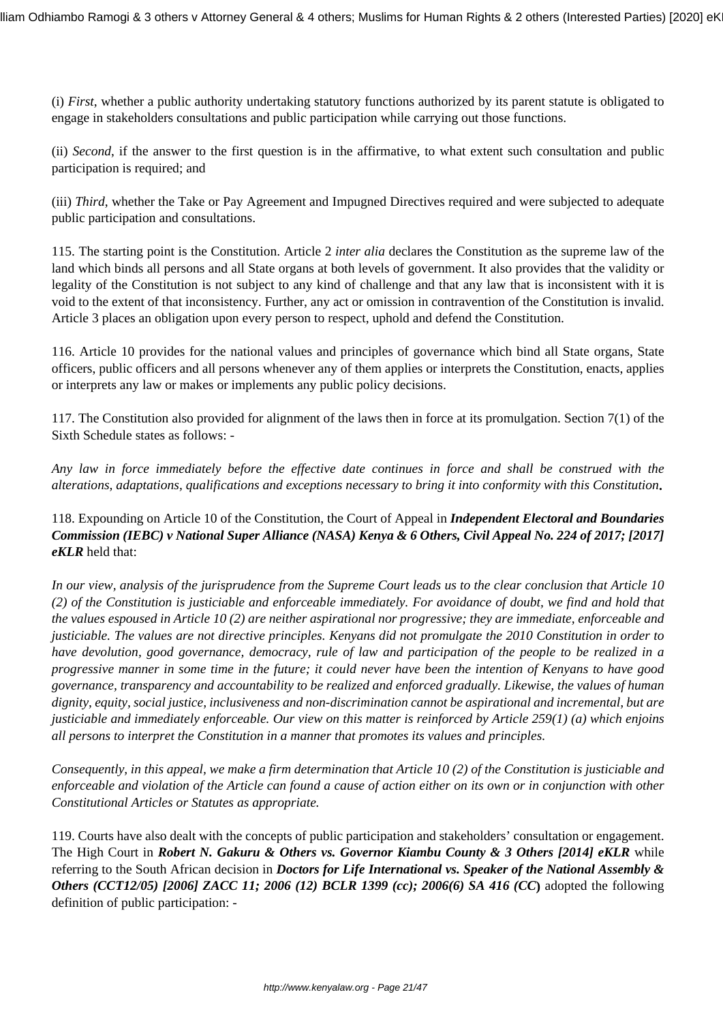(i) *First*, whether a public authority undertaking statutory functions authorized by its parent statute is obligated to engage in stakeholders consultations and public participation while carrying out those functions.

(ii) *Second*, if the answer to the first question is in the affirmative, to what extent such consultation and public participation is required; and

(iii) *Third*, whether the Take or Pay Agreement and Impugned Directives required and were subjected to adequate public participation and consultations.

115. The starting point is the Constitution. Article 2 *inter alia* declares the Constitution as the supreme law of the land which binds all persons and all State organs at both levels of government. It also provides that the validity or legality of the Constitution is not subject to any kind of challenge and that any law that is inconsistent with it is void to the extent of that inconsistency. Further, any act or omission in contravention of the Constitution is invalid. Article 3 places an obligation upon every person to respect, uphold and defend the Constitution.

116. Article 10 provides for the national values and principles of governance which bind all State organs, State officers, public officers and all persons whenever any of them applies or interprets the Constitution, enacts, applies or interprets any law or makes or implements any public policy decisions.

117. The Constitution also provided for alignment of the laws then in force at its promulgation. Section 7(1) of the Sixth Schedule states as follows: -

*Any law in force immediately before the effective date continues in force and shall be construed with the alterations, adaptations, qualifications and exceptions necessary to bring it into conformity with this Constitution***.**

118. Expounding on Article 10 of the Constitution, the Court of Appeal in *Independent Electoral and Boundaries Commission (IEBC) v National Super Alliance (NASA) Kenya & 6 Others, Civil Appeal No. 224 of 2017; [2017] eKLR* held that:

*In our view, analysis of the jurisprudence from the Supreme Court leads us to the clear conclusion that Article 10 (2) of the Constitution is justiciable and enforceable immediately. For avoidance of doubt, we find and hold that the values espoused in Article 10 (2) are neither aspirational nor progressive; they are immediate, enforceable and justiciable. The values are not directive principles. Kenyans did not promulgate the 2010 Constitution in order to have devolution, good governance, democracy, rule of law and participation of the people to be realized in a progressive manner in some time in the future; it could never have been the intention of Kenyans to have good governance, transparency and accountability to be realized and enforced gradually. Likewise, the values of human dignity, equity, social justice, inclusiveness and non-discrimination cannot be aspirational and incremental, but are justiciable and immediately enforceable. Our view on this matter is reinforced by Article 259(1) (a) which enjoins all persons to interpret the Constitution in a manner that promotes its values and principles.*

*Consequently, in this appeal, we make a firm determination that Article 10 (2) of the Constitution is justiciable and enforceable and violation of the Article can found a cause of action either on its own or in conjunction with other Constitutional Articles or Statutes as appropriate.*

119. Courts have also dealt with the concepts of public participation and stakeholders' consultation or engagement. The High Court in *Robert N. Gakuru & Others vs. Governor Kiambu County & 3 Others [2014] eKLR* while referring to the South African decision in *Doctors for Life International vs. Speaker of the National Assembly & Others (CCT12/05) [2006] ZACC 11; 2006 (12) BCLR 1399 (cc); 2006(6) SA 416 (CC***)** adopted the following definition of public participation: -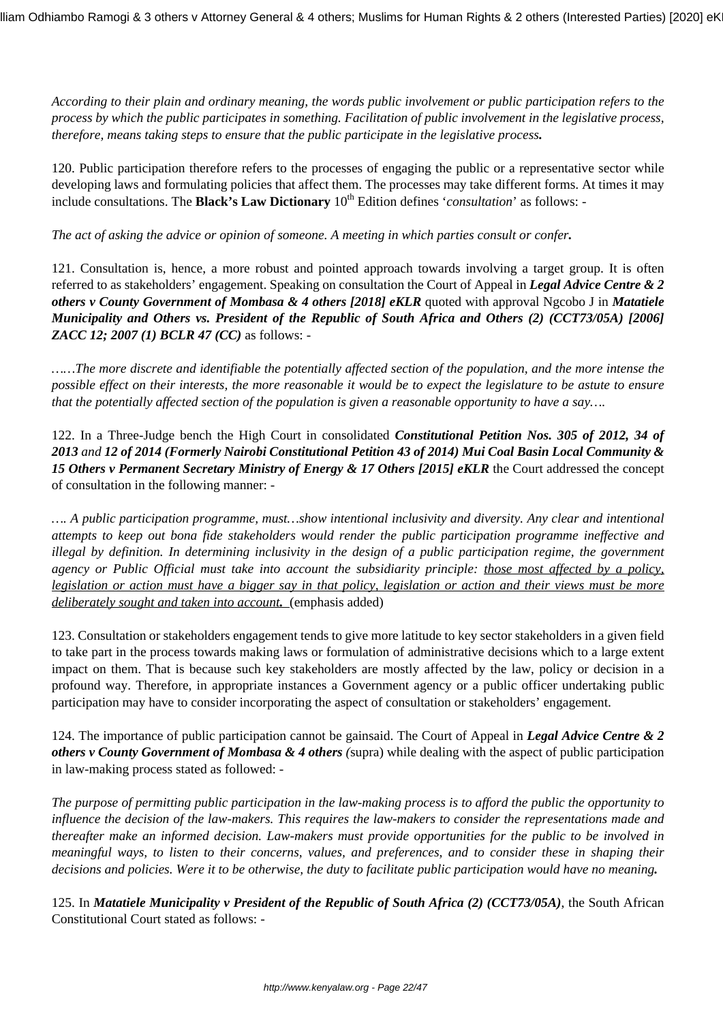*According to their plain and ordinary meaning, the words public involvement or public participation refers to the process by which the public participates in something. Facilitation of public involvement in the legislative process, therefore, means taking steps to ensure that the public participate in the legislative process.*

120. Public participation therefore refers to the processes of engaging the public or a representative sector while developing laws and formulating policies that affect them. The processes may take different forms. At times it may include consultations. The **Black's Law Dictionary**  $10^{th}$  Edition defines '*consultation*' as follows: -

*The act of asking the advice or opinion of someone. A meeting in which parties consult or confer.*

121. Consultation is, hence, a more robust and pointed approach towards involving a target group. It is often referred to as stakeholders' engagement. Speaking on consultation the Court of Appeal in *Legal Advice Centre & 2 others v County Government of Mombasa & 4 others [2018] eKLR* quoted with approval Ngcobo J in *Matatiele Municipality and Others vs. President of the Republic of South Africa and Others (2) (CCT73/05A) [2006] ZACC 12; 2007 (1) BCLR 47 (CC)* as follows: -

*……The more discrete and identifiable the potentially affected section of the population, and the more intense the possible effect on their interests, the more reasonable it would be to expect the legislature to be astute to ensure that the potentially affected section of the population is given a reasonable opportunity to have a say….*

122. In a Three-Judge bench the High Court in consolidated *Constitutional Petition Nos. 305 of 2012, 34 of 2013 and 12 of 2014 (Formerly Nairobi Constitutional Petition 43 of 2014) Mui Coal Basin Local Community & 15 Others v Permanent Secretary Ministry of Energy & 17 Others [2015] eKLR* the Court addressed the concept of consultation in the following manner: -

*…. A public participation programme, must…show intentional inclusivity and diversity. Any clear and intentional attempts to keep out bona fide stakeholders would render the public participation programme ineffective and illegal by definition. In determining inclusivity in the design of a public participation regime, the government agency or Public Official must take into account the subsidiarity principle: those most affected by a policy, legislation or action must have a bigger say in that policy, legislation or action and their views must be more deliberately sought and taken into account.* (emphasis added)

123. Consultation or stakeholders engagement tends to give more latitude to key sector stakeholders in a given field to take part in the process towards making laws or formulation of administrative decisions which to a large extent impact on them. That is because such key stakeholders are mostly affected by the law, policy or decision in a profound way. Therefore, in appropriate instances a Government agency or a public officer undertaking public participation may have to consider incorporating the aspect of consultation or stakeholders' engagement.

124. The importance of public participation cannot be gainsaid. The Court of Appeal in *Legal Advice Centre & 2 others v County Government of Mombasa & 4 others (*supra) while dealing with the aspect of public participation in law-making process stated as followed: -

*The purpose of permitting public participation in the law-making process is to afford the public the opportunity to influence the decision of the law-makers. This requires the law-makers to consider the representations made and thereafter make an informed decision. Law-makers must provide opportunities for the public to be involved in meaningful ways, to listen to their concerns, values, and preferences, and to consider these in shaping their decisions and policies. Were it to be otherwise, the duty to facilitate public participation would have no meaning.*

125. In *Matatiele Municipality v President of the Republic of South Africa (2) (CCT73/05A)*, the South African Constitutional Court stated as follows: -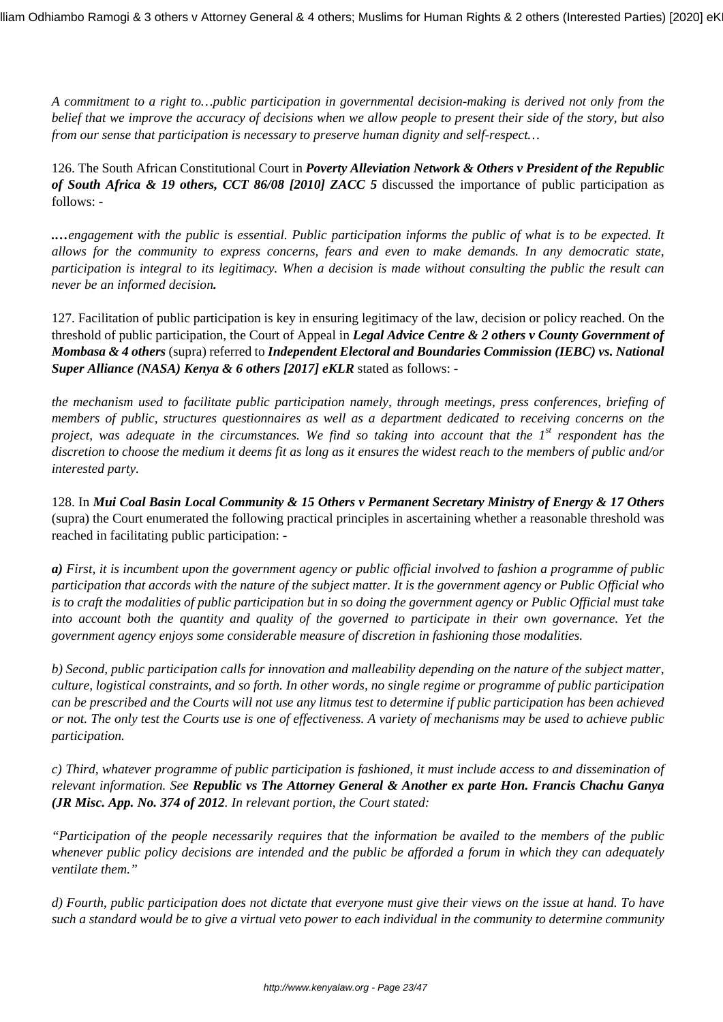*A commitment to a right to…public participation in governmental decision-making is derived not only from the belief that we improve the accuracy of decisions when we allow people to present their side of the story, but also from our sense that participation is necessary to preserve human dignity and self-respect…* 

126. The South African Constitutional Court in *Poverty Alleviation Network & Others v President of the Republic of South Africa & 19 others, CCT 86/08 [2010] ZACC 5* discussed the importance of public participation as follows: -

*.…engagement with the public is essential. Public participation informs the public of what is to be expected. It allows for the community to express concerns, fears and even to make demands. In any democratic state, participation is integral to its legitimacy. When a decision is made without consulting the public the result can never be an informed decision.*

127. Facilitation of public participation is key in ensuring legitimacy of the law, decision or policy reached. On the threshold of public participation, the Court of Appeal in *Legal Advice Centre & 2 others v County Government of Mombasa & 4 others* (supra) referred to *Independent Electoral and Boundaries Commission (IEBC) vs. National Super Alliance (NASA) Kenya & 6 others [2017] eKLR* stated as follows: -

*the mechanism used to facilitate public participation namely, through meetings, press conferences, briefing of members of public, structures questionnaires as well as a department dedicated to receiving concerns on the project, was adequate in the circumstances. We find so taking into account that the 1st respondent has the discretion to choose the medium it deems fit as long as it ensures the widest reach to the members of public and/or interested party.*

128. In *Mui Coal Basin Local Community & 15 Others v Permanent Secretary Ministry of Energy & 17 Others* (supra) the Court enumerated the following practical principles in ascertaining whether a reasonable threshold was reached in facilitating public participation: -

*a) First, it is incumbent upon the government agency or public official involved to fashion a programme of public participation that accords with the nature of the subject matter. It is the government agency or Public Official who is to craft the modalities of public participation but in so doing the government agency or Public Official must take into account both the quantity and quality of the governed to participate in their own governance. Yet the government agency enjoys some considerable measure of discretion in fashioning those modalities.*

*b) Second, public participation calls for innovation and malleability depending on the nature of the subject matter, culture, logistical constraints, and so forth. In other words, no single regime or programme of public participation can be prescribed and the Courts will not use any litmus test to determine if public participation has been achieved or not. The only test the Courts use is one of effectiveness. A variety of mechanisms may be used to achieve public participation.*

*c) Third, whatever programme of public participation is fashioned, it must include access to and dissemination of relevant information. See Republic vs The Attorney General & Another ex parte Hon. Francis Chachu Ganya (JR Misc. App. No. 374 of 2012. In relevant portion, the Court stated:*

*"Participation of the people necessarily requires that the information be availed to the members of the public whenever public policy decisions are intended and the public be afforded a forum in which they can adequately ventilate them."*

*d) Fourth, public participation does not dictate that everyone must give their views on the issue at hand. To have such a standard would be to give a virtual veto power to each individual in the community to determine community*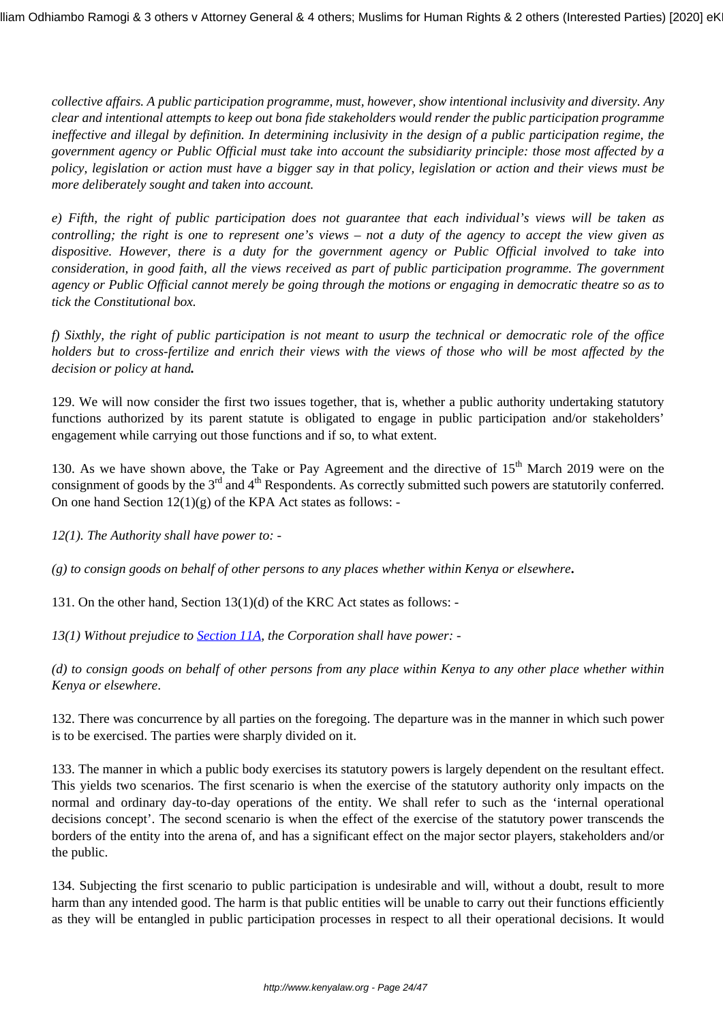*collective affairs. A public participation programme, must, however, show intentional inclusivity and diversity. Any clear and intentional attempts to keep out bona fide stakeholders would render the public participation programme ineffective and illegal by definition. In determining inclusivity in the design of a public participation regime, the government agency or Public Official must take into account the subsidiarity principle: those most affected by a policy, legislation or action must have a bigger say in that policy, legislation or action and their views must be more deliberately sought and taken into account.* 

*e) Fifth, the right of public participation does not guarantee that each individual's views will be taken as controlling; the right is one to represent one's views – not a duty of the agency to accept the view given as dispositive. However, there is a duty for the government agency or Public Official involved to take into consideration, in good faith, all the views received as part of public participation programme. The government agency or Public Official cannot merely be going through the motions or engaging in democratic theatre so as to tick the Constitutional box.*

*f) Sixthly, the right of public participation is not meant to usurp the technical or democratic role of the office holders but to cross-fertilize and enrich their views with the views of those who will be most affected by the decision or policy at hand.*

129. We will now consider the first two issues together, that is, whether a public authority undertaking statutory functions authorized by its parent statute is obligated to engage in public participation and/or stakeholders' engagement while carrying out those functions and if so, to what extent.

130. As we have shown above, the Take or Pay Agreement and the directive of 15<sup>th</sup> March 2019 were on the consignment of goods by the 3<sup>rd</sup> and 4<sup>th</sup> Respondents. As correctly submitted such powers are statutorily conferred. On one hand Section  $12(1)(g)$  of the KPA Act states as follows: -

*12(1). The Authority shall have power to: -*

*(g) to consign goods on behalf of other persons to any places whether within Kenya or elsewhere***.**

131. On the other hand, Section 13(1)(d) of the KRC Act states as follows: -

*13(1) Without prejudice to [Section 11A](http://kenyalaw.org:8181/exist/kenyalex/actview.xql"actid=CAP.%20397#KE/LEG/EN/AR/K/CHAPTER%20397/sec_11A), the Corporation shall have power: -*

*(d) to consign goods on behalf of other persons from any place within Kenya to any other place whether within Kenya or elsewhere*.

132. There was concurrence by all parties on the foregoing. The departure was in the manner in which such power is to be exercised. The parties were sharply divided on it.

133. The manner in which a public body exercises its statutory powers is largely dependent on the resultant effect. This yields two scenarios. The first scenario is when the exercise of the statutory authority only impacts on the normal and ordinary day-to-day operations of the entity. We shall refer to such as the 'internal operational decisions concept'. The second scenario is when the effect of the exercise of the statutory power transcends the borders of the entity into the arena of, and has a significant effect on the major sector players, stakeholders and/or the public.

134. Subjecting the first scenario to public participation is undesirable and will, without a doubt, result to more harm than any intended good. The harm is that public entities will be unable to carry out their functions efficiently as they will be entangled in public participation processes in respect to all their operational decisions. It would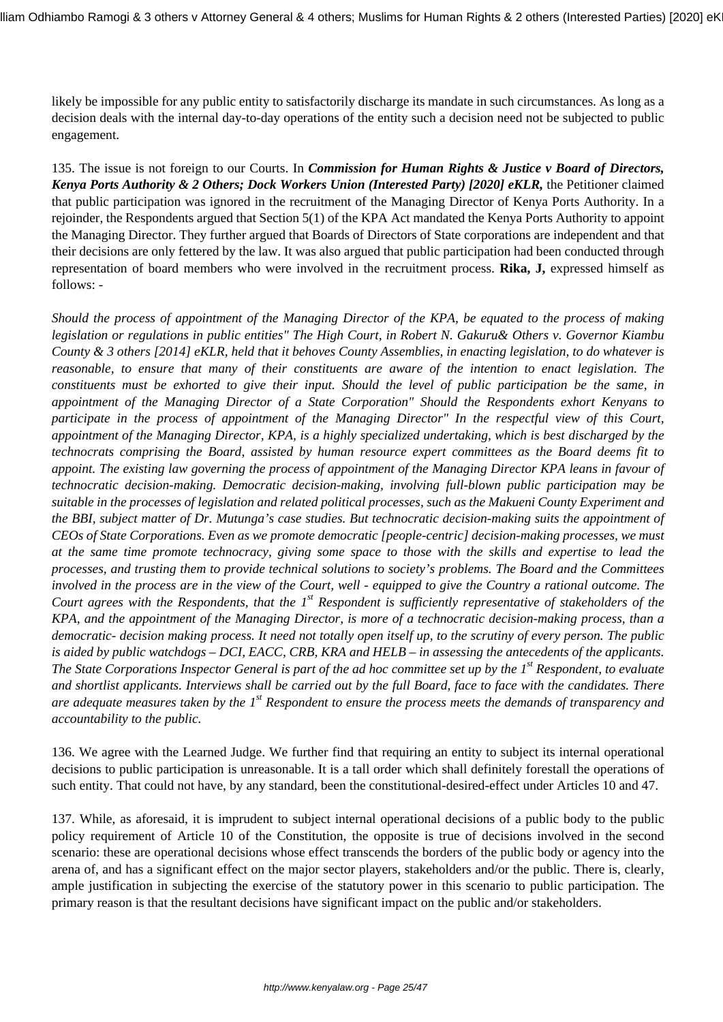likely be impossible for any public entity to satisfactorily discharge its mandate in such circumstances. As long as a decision deals with the internal day-to-day operations of the entity such a decision need not be subjected to public engagement.

135. The issue is not foreign to our Courts. In *Commission for Human Rights & Justice v Board of Directors, Kenya Ports Authority & 2 Others; Dock Workers Union (Interested Party) [2020] eKLR,* the Petitioner claimed that public participation was ignored in the recruitment of the Managing Director of Kenya Ports Authority. In a rejoinder, the Respondents argued that Section 5(1) of the KPA Act mandated the Kenya Ports Authority to appoint the Managing Director. They further argued that Boards of Directors of State corporations are independent and that their decisions are only fettered by the law. It was also argued that public participation had been conducted through representation of board members who were involved in the recruitment process. **Rika, J,** expressed himself as follows: -

*Should the process of appointment of the Managing Director of the KPA, be equated to the process of making legislation or regulations in public entities" The High Court, in Robert N. Gakuru& Others v. Governor Kiambu County & 3 others [2014] eKLR, held that it behoves County Assemblies, in enacting legislation, to do whatever is reasonable, to ensure that many of their constituents are aware of the intention to enact legislation. The constituents must be exhorted to give their input. Should the level of public participation be the same, in appointment of the Managing Director of a State Corporation" Should the Respondents exhort Kenyans to participate in the process of appointment of the Managing Director" In the respectful view of this Court, appointment of the Managing Director, KPA, is a highly specialized undertaking, which is best discharged by the technocrats comprising the Board, assisted by human resource expert committees as the Board deems fit to appoint. The existing law governing the process of appointment of the Managing Director KPA leans in favour of technocratic decision-making. Democratic decision-making, involving full-blown public participation may be suitable in the processes of legislation and related political processes, such as the Makueni County Experiment and the BBI, subject matter of Dr. Mutunga's case studies. But technocratic decision-making suits the appointment of CEOs of State Corporations. Even as we promote democratic [people-centric] decision-making processes, we must at the same time promote technocracy, giving some space to those with the skills and expertise to lead the processes, and trusting them to provide technical solutions to society's problems. The Board and the Committees involved in the process are in the view of the Court, well - equipped to give the Country a rational outcome. The Court agrees with the Respondents, that the 1st Respondent is sufficiently representative of stakeholders of the KPA, and the appointment of the Managing Director, is more of a technocratic decision-making process, than a democratic- decision making process. It need not totally open itself up, to the scrutiny of every person. The public is aided by public watchdogs – DCI, EACC, CRB, KRA and HELB – in assessing the antecedents of the applicants. The State Corporations Inspector General is part of the ad hoc committee set up by the 1st Respondent, to evaluate and shortlist applicants. Interviews shall be carried out by the full Board, face to face with the candidates. There are adequate measures taken by the 1st Respondent to ensure the process meets the demands of transparency and accountability to the public.*

136. We agree with the Learned Judge. We further find that requiring an entity to subject its internal operational decisions to public participation is unreasonable. It is a tall order which shall definitely forestall the operations of such entity. That could not have, by any standard, been the constitutional-desired-effect under Articles 10 and 47.

137. While, as aforesaid, it is imprudent to subject internal operational decisions of a public body to the public policy requirement of Article 10 of the Constitution, the opposite is true of decisions involved in the second scenario: these are operational decisions whose effect transcends the borders of the public body or agency into the arena of, and has a significant effect on the major sector players, stakeholders and/or the public. There is, clearly, ample justification in subjecting the exercise of the statutory power in this scenario to public participation. The primary reason is that the resultant decisions have significant impact on the public and/or stakeholders.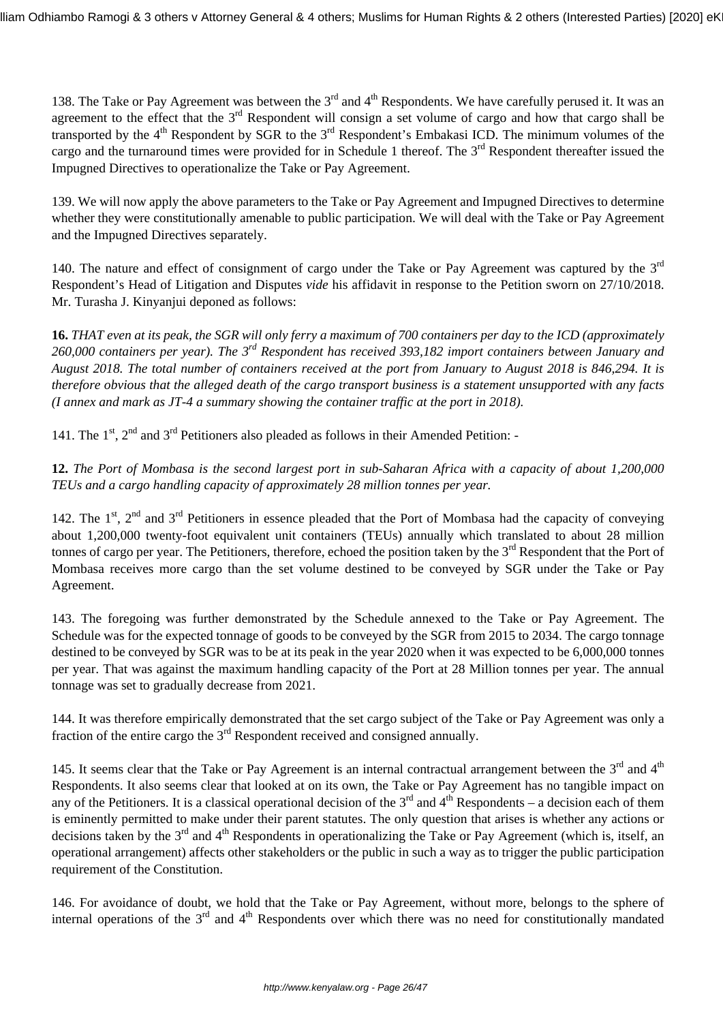138. The Take or Pay Agreement was between the  $3<sup>rd</sup>$  and  $4<sup>th</sup>$  Respondents. We have carefully perused it. It was an agreement to the effect that the  $3<sup>rd</sup>$  Respondent will consign a set volume of cargo and how that cargo shall be transported by the 4<sup>th</sup> Respondent by SGR to the 3<sup>rd</sup> Respondent's Embakasi ICD. The minimum volumes of the cargo and the turnaround times were provided for in Schedule 1 thereof. The  $3<sup>rd</sup>$  Respondent thereafter issued the Impugned Directives to operationalize the Take or Pay Agreement.

139. We will now apply the above parameters to the Take or Pay Agreement and Impugned Directives to determine whether they were constitutionally amenable to public participation. We will deal with the Take or Pay Agreement and the Impugned Directives separately.

140. The nature and effect of consignment of cargo under the Take or Pay Agreement was captured by the  $3<sup>rd</sup>$ Respondent's Head of Litigation and Disputes *vide* his affidavit in response to the Petition sworn on 27/10/2018. Mr. Turasha J. Kinyanjui deponed as follows:

**16.** *THAT even at its peak, the SGR will only ferry a maximum of 700 containers per day to the ICD (approximately 260,000 containers per year). The 3rd Respondent has received 393,182 import containers between January and August 2018. The total number of containers received at the port from January to August 2018 is 846,294. It is therefore obvious that the alleged death of the cargo transport business is a statement unsupported with any facts (I annex and mark as JT-4 a summary showing the container traffic at the port in 2018).* 

141. The  $1^{st}$ ,  $2^{nd}$  and  $3^{rd}$  Petitioners also pleaded as follows in their Amended Petition: -

**12.** *The Port of Mombasa is the second largest port in sub-Saharan Africa with a capacity of about 1,200,000 TEUs and a cargo handling capacity of approximately 28 million tonnes per year.* 

142. The  $1<sup>st</sup>$ ,  $2<sup>nd</sup>$  and  $3<sup>rd</sup>$  Petitioners in essence pleaded that the Port of Mombasa had the capacity of conveying about 1,200,000 twenty-foot equivalent unit containers (TEUs) annually which translated to about 28 million tonnes of cargo per year. The Petitioners, therefore, echoed the position taken by the  $3<sup>rd</sup>$  Respondent that the Port of Mombasa receives more cargo than the set volume destined to be conveyed by SGR under the Take or Pay Agreement.

143. The foregoing was further demonstrated by the Schedule annexed to the Take or Pay Agreement. The Schedule was for the expected tonnage of goods to be conveyed by the SGR from 2015 to 2034. The cargo tonnage destined to be conveyed by SGR was to be at its peak in the year 2020 when it was expected to be 6,000,000 tonnes per year. That was against the maximum handling capacity of the Port at 28 Million tonnes per year. The annual tonnage was set to gradually decrease from 2021.

144. It was therefore empirically demonstrated that the set cargo subject of the Take or Pay Agreement was only a fraction of the entire cargo the  $3<sup>rd</sup>$  Respondent received and consigned annually.

145. It seems clear that the Take or Pay Agreement is an internal contractual arrangement between the  $3<sup>rd</sup>$  and  $4<sup>th</sup>$ Respondents. It also seems clear that looked at on its own, the Take or Pay Agreement has no tangible impact on any of the Petitioners. It is a classical operational decision of the  $3<sup>rd</sup>$  and  $4<sup>th</sup>$  Respondents – a decision each of them is eminently permitted to make under their parent statutes. The only question that arises is whether any actions or decisions taken by the  $3<sup>rd</sup>$  and  $4<sup>th</sup>$  Respondents in operationalizing the Take or Pay Agreement (which is, itself, an operational arrangement) affects other stakeholders or the public in such a way as to trigger the public participation requirement of the Constitution.

146. For avoidance of doubt, we hold that the Take or Pay Agreement, without more, belongs to the sphere of internal operations of the  $3<sup>rd</sup>$  and  $4<sup>th</sup>$  Respondents over which there was no need for constitutionally mandated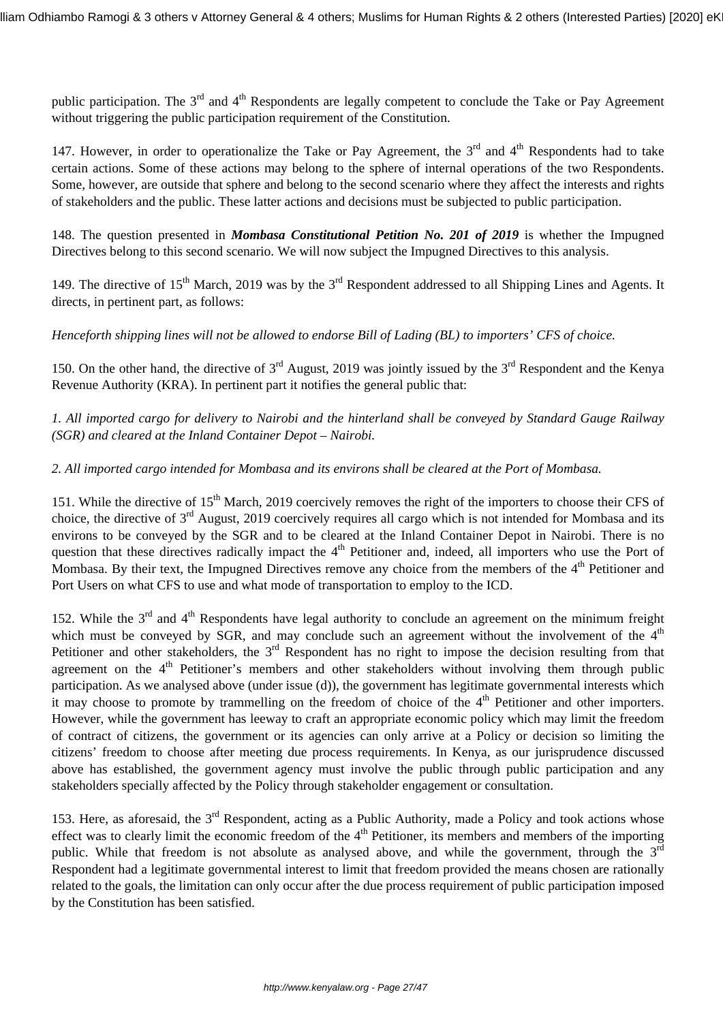public participation. The  $3<sup>rd</sup>$  and  $4<sup>th</sup>$  Respondents are legally competent to conclude the Take or Pay Agreement without triggering the public participation requirement of the Constitution.

147. However, in order to operationalize the Take or Pay Agreement, the  $3<sup>rd</sup>$  and  $4<sup>th</sup>$  Respondents had to take certain actions. Some of these actions may belong to the sphere of internal operations of the two Respondents. Some, however, are outside that sphere and belong to the second scenario where they affect the interests and rights of stakeholders and the public. These latter actions and decisions must be subjected to public participation.

148. The question presented in *Mombasa Constitutional Petition No. 201 of 2019* is whether the Impugned Directives belong to this second scenario. We will now subject the Impugned Directives to this analysis.

149. The directive of  $15<sup>th</sup>$  March, 2019 was by the  $3<sup>rd</sup>$  Respondent addressed to all Shipping Lines and Agents. It directs, in pertinent part, as follows:

*Henceforth shipping lines will not be allowed to endorse Bill of Lading (BL) to importers' CFS of choice.*

150. On the other hand, the directive of  $3^{rd}$  August, 2019 was jointly issued by the  $3^{rd}$  Respondent and the Kenya Revenue Authority (KRA). In pertinent part it notifies the general public that:

*1. All imported cargo for delivery to Nairobi and the hinterland shall be conveyed by Standard Gauge Railway (SGR) and cleared at the Inland Container Depot – Nairobi.*

## *2. All imported cargo intended for Mombasa and its environs shall be cleared at the Port of Mombasa.*

151. While the directive of 15<sup>th</sup> March, 2019 coercively removes the right of the importers to choose their CFS of choice, the directive of  $3<sup>rd</sup>$  August, 2019 coercively requires all cargo which is not intended for Mombasa and its environs to be conveyed by the SGR and to be cleared at the Inland Container Depot in Nairobi. There is no question that these directives radically impact the  $4<sup>th</sup>$  Petitioner and, indeed, all importers who use the Port of Mombasa. By their text, the Impugned Directives remove any choice from the members of the 4<sup>th</sup> Petitioner and Port Users on what CFS to use and what mode of transportation to employ to the ICD.

152. While the  $3<sup>rd</sup>$  and  $4<sup>th</sup>$  Respondents have legal authority to conclude an agreement on the minimum freight which must be conveyed by SGR, and may conclude such an agreement without the involvement of the  $4<sup>th</sup>$ Petitioner and other stakeholders, the  $3<sup>rd</sup>$  Respondent has no right to impose the decision resulting from that agreement on the  $4<sup>th</sup>$  Petitioner's members and other stakeholders without involving them through public participation. As we analysed above (under issue (d)), the government has legitimate governmental interests which it may choose to promote by trammelling on the freedom of choice of the  $4<sup>th</sup>$  Petitioner and other importers. However, while the government has leeway to craft an appropriate economic policy which may limit the freedom of contract of citizens, the government or its agencies can only arrive at a Policy or decision so limiting the citizens' freedom to choose after meeting due process requirements. In Kenya, as our jurisprudence discussed above has established, the government agency must involve the public through public participation and any stakeholders specially affected by the Policy through stakeholder engagement or consultation.

153. Here, as aforesaid, the  $3<sup>rd</sup>$  Respondent, acting as a Public Authority, made a Policy and took actions whose effect was to clearly limit the economic freedom of the  $4<sup>th</sup>$  Petitioner, its members and members of the importing public. While that freedom is not absolute as analysed above, and while the government, through the 3<sup>rd</sup> Respondent had a legitimate governmental interest to limit that freedom provided the means chosen are rationally related to the goals, the limitation can only occur after the due process requirement of public participation imposed by the Constitution has been satisfied.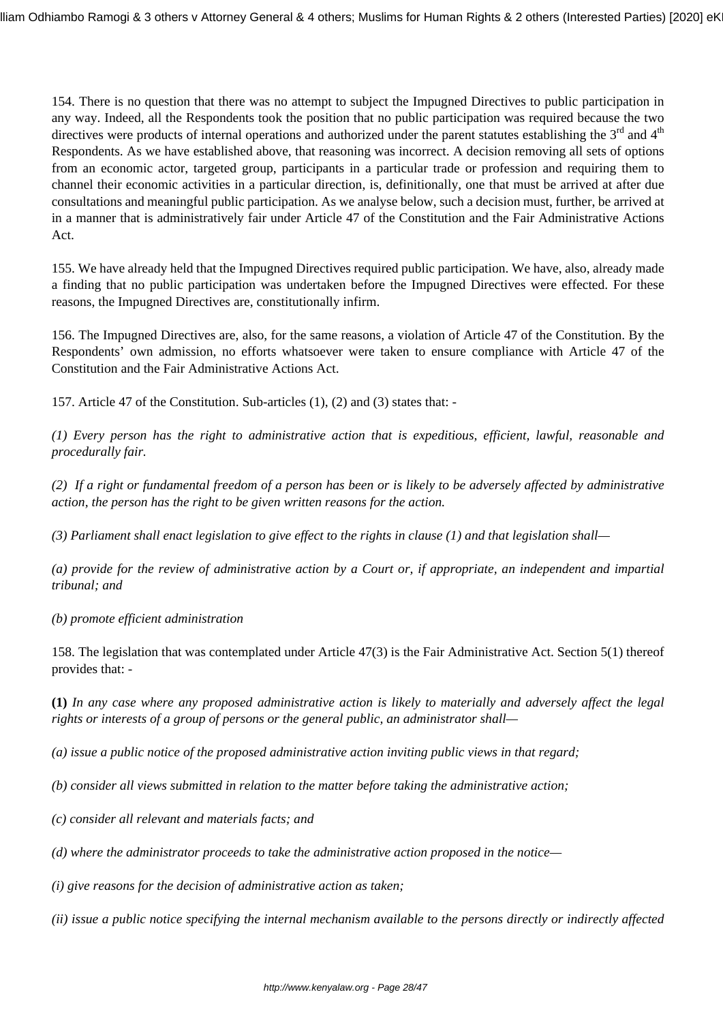154. There is no question that there was no attempt to subject the Impugned Directives to public participation in any way. Indeed, all the Respondents took the position that no public participation was required because the two directives were products of internal operations and authorized under the parent statutes establishing the  $3<sup>rd</sup>$  and  $4<sup>th</sup>$ Respondents. As we have established above, that reasoning was incorrect. A decision removing all sets of options from an economic actor, targeted group, participants in a particular trade or profession and requiring them to channel their economic activities in a particular direction, is, definitionally, one that must be arrived at after due consultations and meaningful public participation. As we analyse below, such a decision must, further, be arrived at in a manner that is administratively fair under Article 47 of the Constitution and the Fair Administrative Actions Act.

155. We have already held that the Impugned Directives required public participation. We have, also, already made a finding that no public participation was undertaken before the Impugned Directives were effected. For these reasons, the Impugned Directives are, constitutionally infirm.

156. The Impugned Directives are, also, for the same reasons, a violation of Article 47 of the Constitution. By the Respondents' own admission, no efforts whatsoever were taken to ensure compliance with Article 47 of the Constitution and the Fair Administrative Actions Act.

157. Article 47 of the Constitution. Sub-articles (1), (2) and (3) states that: -

*(1) Every person has the right to administrative action that is expeditious, efficient, lawful, reasonable and procedurally fair.*

*(2) If a right or fundamental freedom of a person has been or is likely to be adversely affected by administrative action, the person has the right to be given written reasons for the action.*

*(3) Parliament shall enact legislation to give effect to the rights in clause (1) and that legislation shall—*

*(a) provide for the review of administrative action by a Court or, if appropriate, an independent and impartial tribunal; and*

*(b) promote efficient administration*

158. The legislation that was contemplated under Article 47(3) is the Fair Administrative Act. Section 5(1) thereof provides that: -

**(1)** *In any case where any proposed administrative action is likely to materially and adversely affect the legal rights or interests of a group of persons or the general public, an administrator shall—*

*(a) issue a public notice of the proposed administrative action inviting public views in that regard;*

*(b) consider all views submitted in relation to the matter before taking the administrative action;*

*(c) consider all relevant and materials facts; and*

*(d) where the administrator proceeds to take the administrative action proposed in the notice—*

*(i) give reasons for the decision of administrative action as taken;*

*(ii) issue a public notice specifying the internal mechanism available to the persons directly or indirectly affected*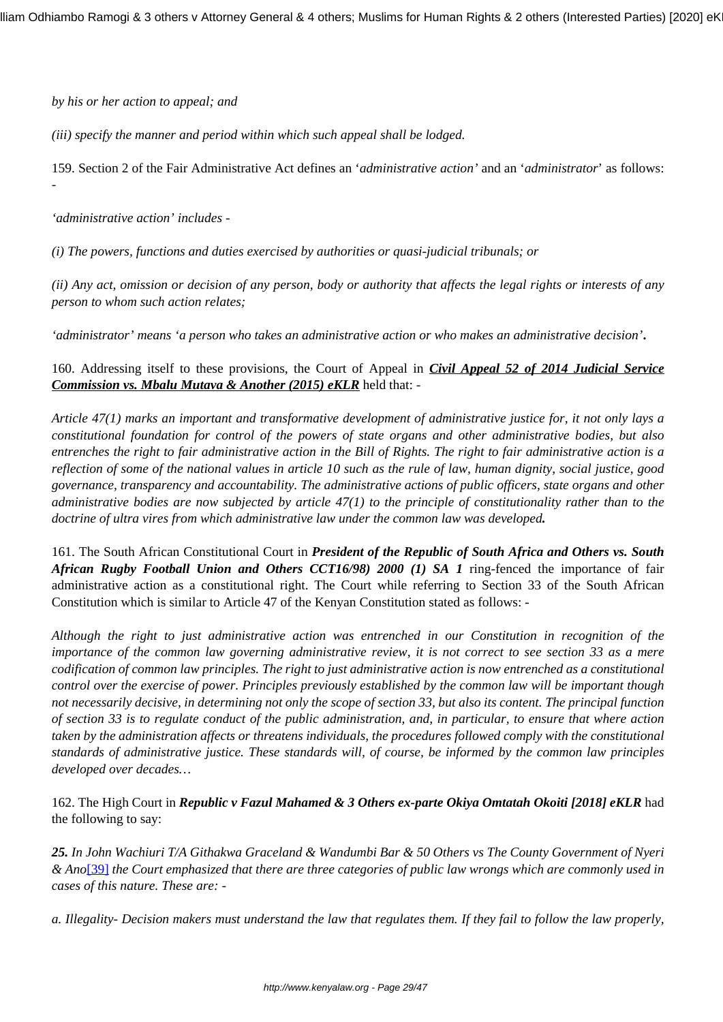*by his or her action to appeal; and*

*(iii) specify the manner and period within which such appeal shall be lodged.*

159. Section 2 of the Fair Administrative Act defines an '*administrative action'* and an '*administrator*' as follows: -

*'administrative action' includes -*

*(i) The powers, functions and duties exercised by authorities or quasi-judicial tribunals; or*

*(ii) Any act, omission or decision of any person, body or authority that affects the legal rights or interests of any person to whom such action relates;*

*'administrator' means 'a person who takes an administrative action or who makes an administrative decision'***.**

160. Addressing itself to these provisions, the Court of Appeal in *Civil Appeal 52 of 2014 Judicial Service Commission vs. Mbalu Mutava & Another (2015) eKLR* held that: -

*Article 47(1) marks an important and transformative development of administrative justice for, it not only lays a constitutional foundation for control of the powers of state organs and other administrative bodies, but also entrenches the right to fair administrative action in the Bill of Rights. The right to fair administrative action is a reflection of some of the national values in article 10 such as the rule of law, human dignity, social justice, good governance, transparency and accountability. The administrative actions of public officers, state organs and other administrative bodies are now subjected by article 47(1) to the principle of constitutionality rather than to the doctrine of ultra vires from which administrative law under the common law was developed.*

161. The South African Constitutional Court in *President of the Republic of South Africa and Others vs. South African Rugby Football Union and Others CCT16/98) 2000 (1) SA 1* ring-fenced the importance of fair administrative action as a constitutional right. The Court while referring to Section 33 of the South African Constitution which is similar to Article 47 of the Kenyan Constitution stated as follows: -

*Although the right to just administrative action was entrenched in our Constitution in recognition of the importance of the common law governing administrative review, it is not correct to see section 33 as a mere codification of common law principles. The right to just administrative action is now entrenched as a constitutional control over the exercise of power. Principles previously established by the common law will be important though not necessarily decisive, in determining not only the scope of section 33, but also its content. The principal function of section 33 is to regulate conduct of the public administration, and, in particular, to ensure that where action taken by the administration affects or threatens individuals, the procedures followed comply with the constitutional standards of administrative justice. These standards will, of course, be informed by the common law principles developed over decades…*

162. The High Court in *Republic v Fazul Mahamed & 3 Others ex-parte Okiya Omtatah Okoiti [2018] eKLR* had the following to say:

*25. In John Wachiuri T/A Githakwa Graceland & Wandumbi Bar & 50 Others vs The County Government of Nyeri & Ano*[\[39\]](http://kenyalaw.org/caselaw/cases/view/158432/#_ftn39) *the Court emphasized that there are three categories of public law wrongs which are commonly used in cases of this nature. These are: -*

*a. Illegality- Decision makers must understand the law that regulates them. If they fail to follow the law properly,*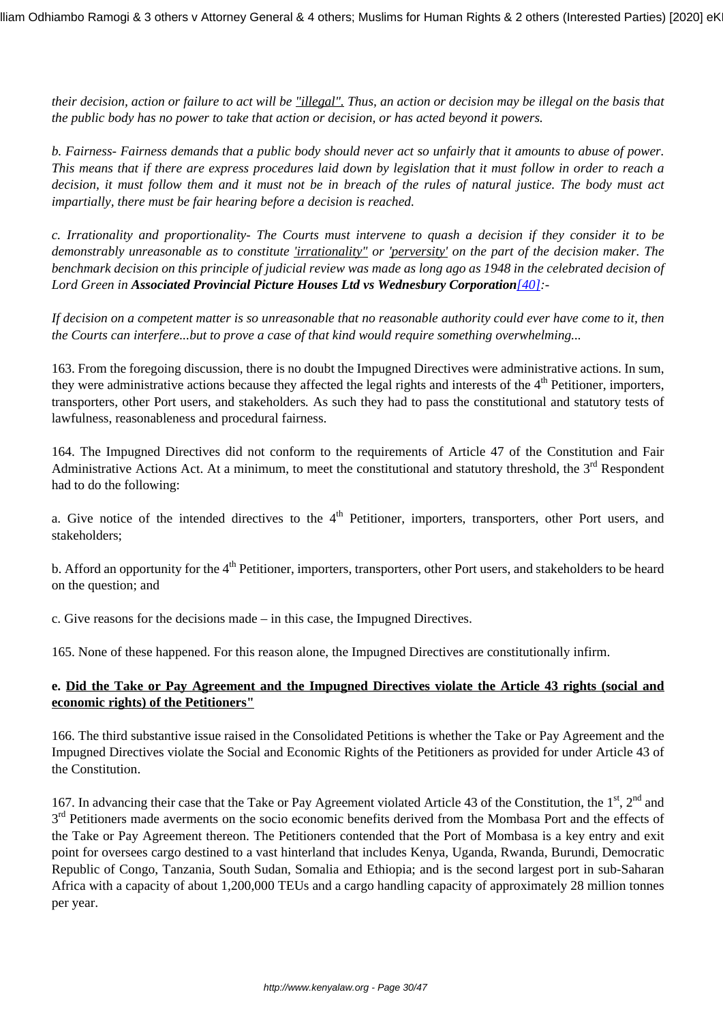*their decision, action or failure to act will be "illegal". Thus, an action or decision may be illegal on the basis that the public body has no power to take that action or decision, or has acted beyond it powers.*

*b. Fairness- Fairness demands that a public body should never act so unfairly that it amounts to abuse of power. This means that if there are express procedures laid down by legislation that it must follow in order to reach a decision, it must follow them and it must not be in breach of the rules of natural justice. The body must act impartially, there must be fair hearing before a decision is reached.*

*c. Irrationality and proportionality- The Courts must intervene to quash a decision if they consider it to be demonstrably unreasonable as to constitute 'irrationality" or 'perversity' on the part of the decision maker. The benchmark decision on this principle of judicial review was made as long ago as 1948 in the celebrated decision of Lord Green in Associated Provincial Picture Houses Ltd vs Wednesbury Corporation[\[40\]](http://kenyalaw.org/caselaw/cases/view/158432/#_ftn40):-*

*If decision on a competent matter is so unreasonable that no reasonable authority could ever have come to it, then the Courts can interfere...but to prove a case of that kind would require something overwhelming...*

163. From the foregoing discussion, there is no doubt the Impugned Directives were administrative actions. In sum, they were administrative actions because they affected the legal rights and interests of the 4<sup>th</sup> Petitioner, importers, transporters, other Port users, and stakeholders*.* As such they had to pass the constitutional and statutory tests of lawfulness, reasonableness and procedural fairness.

164. The Impugned Directives did not conform to the requirements of Article 47 of the Constitution and Fair Administrative Actions Act. At a minimum, to meet the constitutional and statutory threshold, the  $3<sup>rd</sup>$  Respondent had to do the following:

a. Give notice of the intended directives to the  $4<sup>th</sup>$  Petitioner, importers, transporters, other Port users, and stakeholders;

b. Afford an opportunity for the  $4<sup>th</sup>$  Petitioner, importers, transporters, other Port users, and stakeholders to be heard on the question; and

c. Give reasons for the decisions made – in this case, the Impugned Directives.

165. None of these happened. For this reason alone, the Impugned Directives are constitutionally infirm.

## **e. Did the Take or Pay Agreement and the Impugned Directives violate the Article 43 rights (social and economic rights) of the Petitioners"**

166. The third substantive issue raised in the Consolidated Petitions is whether the Take or Pay Agreement and the Impugned Directives violate the Social and Economic Rights of the Petitioners as provided for under Article 43 of the Constitution.

167. In advancing their case that the Take or Pay Agreement violated Article 43 of the Constitution, the  $1<sup>st</sup>$ ,  $2<sup>nd</sup>$  and 3<sup>rd</sup> Petitioners made averments on the socio economic benefits derived from the Mombasa Port and the effects of the Take or Pay Agreement thereon. The Petitioners contended that the Port of Mombasa is a key entry and exit point for oversees cargo destined to a vast hinterland that includes Kenya, Uganda, Rwanda, Burundi, Democratic Republic of Congo, Tanzania, South Sudan, Somalia and Ethiopia; and is the second largest port in sub-Saharan Africa with a capacity of about 1,200,000 TEUs and a cargo handling capacity of approximately 28 million tonnes per year.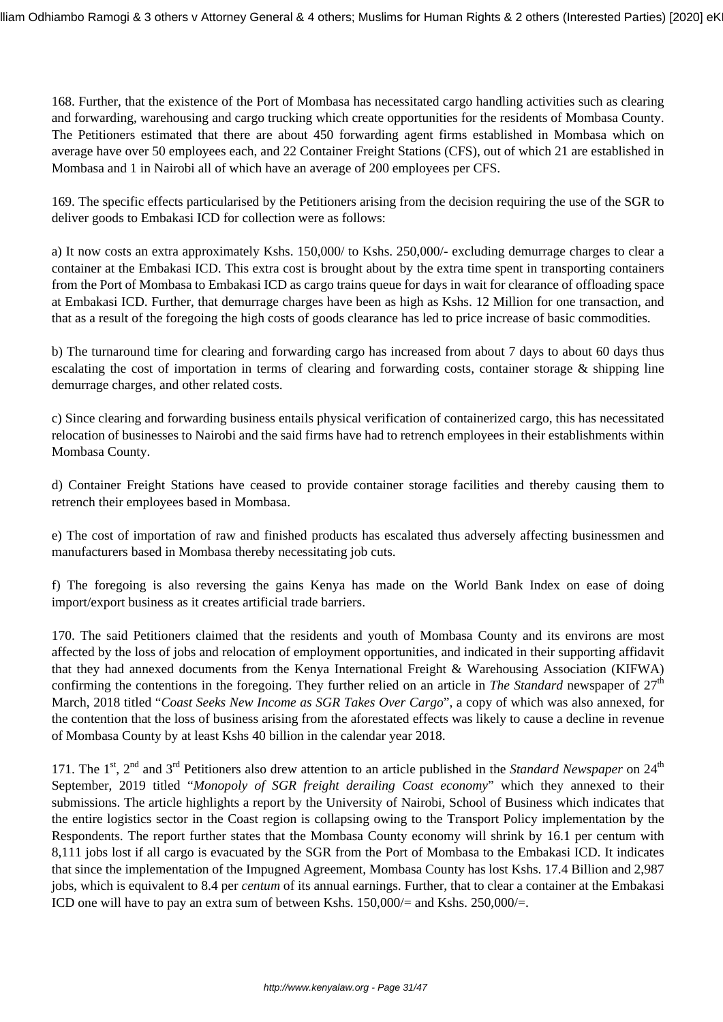168. Further, that the existence of the Port of Mombasa has necessitated cargo handling activities such as clearing and forwarding, warehousing and cargo trucking which create opportunities for the residents of Mombasa County. The Petitioners estimated that there are about 450 forwarding agent firms established in Mombasa which on average have over 50 employees each, and 22 Container Freight Stations (CFS), out of which 21 are established in Mombasa and 1 in Nairobi all of which have an average of 200 employees per CFS.

169. The specific effects particularised by the Petitioners arising from the decision requiring the use of the SGR to deliver goods to Embakasi ICD for collection were as follows:

a) It now costs an extra approximately Kshs. 150,000/ to Kshs. 250,000/- excluding demurrage charges to clear a container at the Embakasi ICD. This extra cost is brought about by the extra time spent in transporting containers from the Port of Mombasa to Embakasi ICD as cargo trains queue for days in wait for clearance of offloading space at Embakasi ICD. Further, that demurrage charges have been as high as Kshs. 12 Million for one transaction, and that as a result of the foregoing the high costs of goods clearance has led to price increase of basic commodities.

b) The turnaround time for clearing and forwarding cargo has increased from about 7 days to about 60 days thus escalating the cost of importation in terms of clearing and forwarding costs, container storage & shipping line demurrage charges, and other related costs.

c) Since clearing and forwarding business entails physical verification of containerized cargo, this has necessitated relocation of businesses to Nairobi and the said firms have had to retrench employees in their establishments within Mombasa County.

d) Container Freight Stations have ceased to provide container storage facilities and thereby causing them to retrench their employees based in Mombasa.

e) The cost of importation of raw and finished products has escalated thus adversely affecting businessmen and manufacturers based in Mombasa thereby necessitating job cuts.

f) The foregoing is also reversing the gains Kenya has made on the World Bank Index on ease of doing import/export business as it creates artificial trade barriers.

170. The said Petitioners claimed that the residents and youth of Mombasa County and its environs are most affected by the loss of jobs and relocation of employment opportunities, and indicated in their supporting affidavit that they had annexed documents from the Kenya International Freight & Warehousing Association (KIFWA) confirming the contentions in the foregoing. They further relied on an article in *The Standard* newspaper of  $27<sup>th</sup>$ March, 2018 titled "*Coast Seeks New Income as SGR Takes Over Cargo*", a copy of which was also annexed, for the contention that the loss of business arising from the aforestated effects was likely to cause a decline in revenue of Mombasa County by at least Kshs 40 billion in the calendar year 2018.

171. The 1<sup>st</sup>,  $2<sup>nd</sup>$  and  $3<sup>rd</sup>$  Petitioners also drew attention to an article published in the *Standard Newspaper* on  $24<sup>th</sup>$ September, 2019 titled "*Monopoly of SGR freight derailing Coast economy*" which they annexed to their submissions. The article highlights a report by the University of Nairobi, School of Business which indicates that the entire logistics sector in the Coast region is collapsing owing to the Transport Policy implementation by the Respondents. The report further states that the Mombasa County economy will shrink by 16.1 per centum with 8,111 jobs lost if all cargo is evacuated by the SGR from the Port of Mombasa to the Embakasi ICD. It indicates that since the implementation of the Impugned Agreement, Mombasa County has lost Kshs. 17.4 Billion and 2,987 jobs, which is equivalent to 8.4 per *centum* of its annual earnings. Further, that to clear a container at the Embakasi ICD one will have to pay an extra sum of between Kshs.  $150,000/=$  and Kshs.  $250,000/=$ .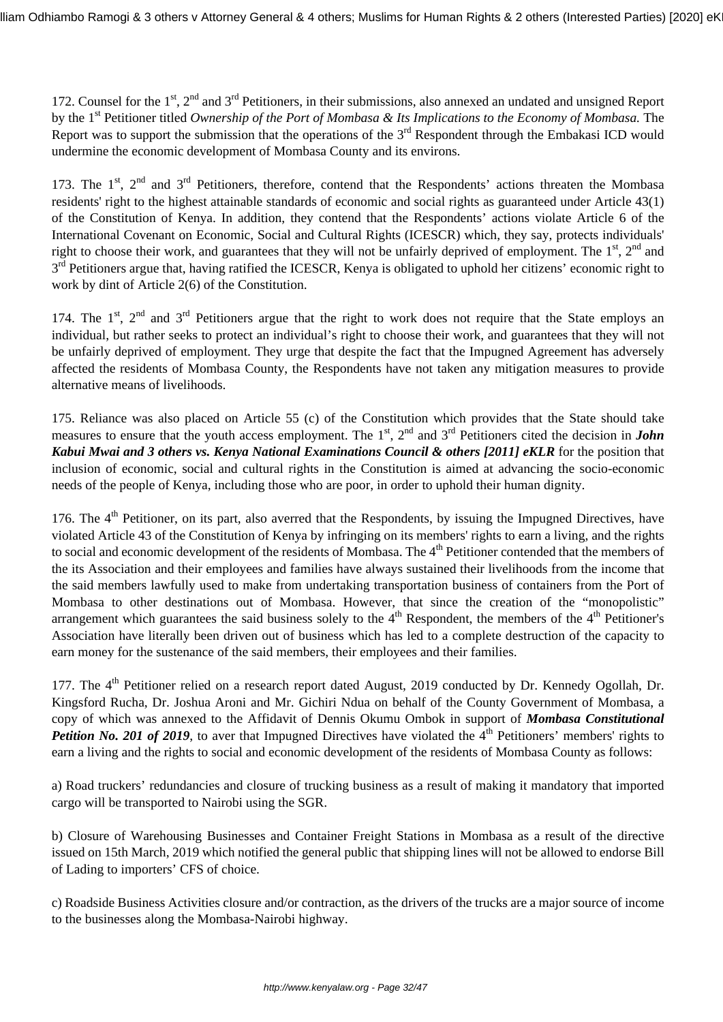172. Counsel for the 1<sup>st</sup>, 2<sup>nd</sup> and 3<sup>rd</sup> Petitioners, in their submissions, also annexed an undated and unsigned Report by the 1st Petitioner titled *Ownership of the Port of Mombasa & Its Implications to the Economy of Mombasa.* The Report was to support the submission that the operations of the 3<sup>rd</sup> Respondent through the Embakasi ICD would undermine the economic development of Mombasa County and its environs.

173. The  $1^{st}$ ,  $2^{nd}$  and  $3^{rd}$  Petitioners, therefore, contend that the Respondents' actions threaten the Mombasa residents' right to the highest attainable standards of economic and social rights as guaranteed under Article 43(1) of the Constitution of Kenya. In addition, they contend that the Respondents' actions violate Article 6 of the International Covenant on Economic, Social and Cultural Rights (ICESCR) which, they say, protects individuals' right to choose their work, and guarantees that they will not be unfairly deprived of employment. The  $1<sup>st</sup>$ ,  $2<sup>nd</sup>$  and 3<sup>rd</sup> Petitioners argue that, having ratified the ICESCR, Kenya is obligated to uphold her citizens' economic right to work by dint of Article 2(6) of the Constitution.

174. The 1<sup>st</sup>, 2<sup>nd</sup> and 3<sup>rd</sup> Petitioners argue that the right to work does not require that the State employs an individual, but rather seeks to protect an individual's right to choose their work, and guarantees that they will not be unfairly deprived of employment. They urge that despite the fact that the Impugned Agreement has adversely affected the residents of Mombasa County, the Respondents have not taken any mitigation measures to provide alternative means of livelihoods.

175. Reliance was also placed on Article 55 (c) of the Constitution which provides that the State should take measures to ensure that the youth access employment. The 1<sup>st</sup>, 2<sup>nd</sup> and 3<sup>rd</sup> Petitioners cited the decision in *John Kabui Mwai and 3 others vs. Kenya National Examinations Council & others [2011] eKLR* for the position that inclusion of economic, social and cultural rights in the Constitution is aimed at advancing the socio-economic needs of the people of Kenya, including those who are poor, in order to uphold their human dignity.

176. The  $4<sup>th</sup>$  Petitioner, on its part, also averred that the Respondents, by issuing the Impugned Directives, have violated Article 43 of the Constitution of Kenya by infringing on its members' rights to earn a living, and the rights to social and economic development of the residents of Mombasa. The 4<sup>th</sup> Petitioner contended that the members of the its Association and their employees and families have always sustained their livelihoods from the income that the said members lawfully used to make from undertaking transportation business of containers from the Port of Mombasa to other destinations out of Mombasa. However, that since the creation of the "monopolistic" arrangement which guarantees the said business solely to the  $4<sup>th</sup>$  Respondent, the members of the  $4<sup>th</sup>$  Petitioner's Association have literally been driven out of business which has led to a complete destruction of the capacity to earn money for the sustenance of the said members, their employees and their families.

177. The 4<sup>th</sup> Petitioner relied on a research report dated August, 2019 conducted by Dr. Kennedy Ogollah, Dr. Kingsford Rucha, Dr. Joshua Aroni and Mr. Gichiri Ndua on behalf of the County Government of Mombasa, a copy of which was annexed to the Affidavit of Dennis Okumu Ombok in support of *Mombasa Constitutional Petition No. 201 of 2019*, to aver that Impugned Directives have violated the 4<sup>th</sup> Petitioners' members' rights to earn a living and the rights to social and economic development of the residents of Mombasa County as follows:

a) Road truckers' redundancies and closure of trucking business as a result of making it mandatory that imported cargo will be transported to Nairobi using the SGR.

b) Closure of Warehousing Businesses and Container Freight Stations in Mombasa as a result of the directive issued on 15th March, 2019 which notified the general public that shipping lines will not be allowed to endorse Bill of Lading to importers' CFS of choice.

c) Roadside Business Activities closure and/or contraction, as the drivers of the trucks are a major source of income to the businesses along the Mombasa-Nairobi highway.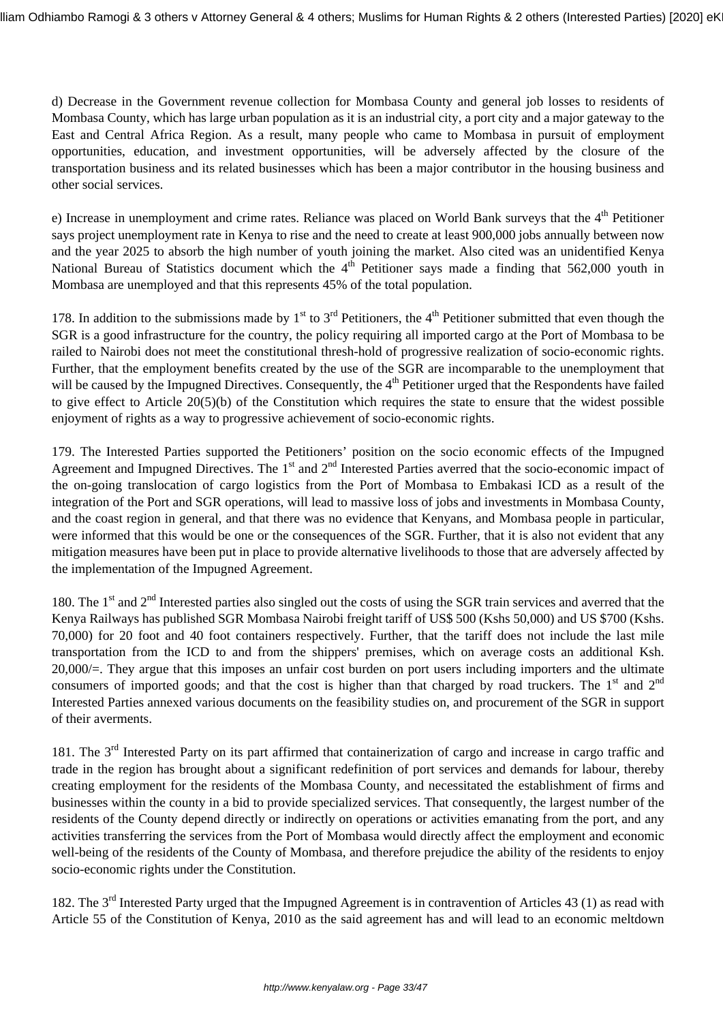d) Decrease in the Government revenue collection for Mombasa County and general job losses to residents of Mombasa County, which has large urban population as it is an industrial city, a port city and a major gateway to the East and Central Africa Region. As a result, many people who came to Mombasa in pursuit of employment opportunities, education, and investment opportunities, will be adversely affected by the closure of the transportation business and its related businesses which has been a major contributor in the housing business and other social services.

e) Increase in unemployment and crime rates. Reliance was placed on World Bank surveys that the 4<sup>th</sup> Petitioner says project unemployment rate in Kenya to rise and the need to create at least 900,000 jobs annually between now and the year 2025 to absorb the high number of youth joining the market. Also cited was an unidentified Kenya National Bureau of Statistics document which the  $4<sup>th</sup>$  Petitioner says made a finding that 562,000 youth in Mombasa are unemployed and that this represents 45% of the total population.

178. In addition to the submissions made by  $1<sup>st</sup>$  to  $3<sup>rd</sup>$  Petitioners, the 4<sup>th</sup> Petitioner submitted that even though the SGR is a good infrastructure for the country, the policy requiring all imported cargo at the Port of Mombasa to be railed to Nairobi does not meet the constitutional thresh-hold of progressive realization of socio-economic rights. Further, that the employment benefits created by the use of the SGR are incomparable to the unemployment that will be caused by the Impugned Directives. Consequently, the 4<sup>th</sup> Petitioner urged that the Respondents have failed to give effect to Article 20(5)(b) of the Constitution which requires the state to ensure that the widest possible enjoyment of rights as a way to progressive achievement of socio-economic rights.

179. The Interested Parties supported the Petitioners' position on the socio economic effects of the Impugned Agreement and Impugned Directives. The  $1<sup>st</sup>$  and  $2<sup>nd</sup>$  Interested Parties averred that the socio-economic impact of the on-going translocation of cargo logistics from the Port of Mombasa to Embakasi ICD as a result of the integration of the Port and SGR operations, will lead to massive loss of jobs and investments in Mombasa County, and the coast region in general, and that there was no evidence that Kenyans, and Mombasa people in particular, were informed that this would be one or the consequences of the SGR. Further, that it is also not evident that any mitigation measures have been put in place to provide alternative livelihoods to those that are adversely affected by the implementation of the Impugned Agreement.

180. The  $1<sup>st</sup>$  and  $2<sup>nd</sup>$  Interested parties also singled out the costs of using the SGR train services and averred that the Kenya Railways has published SGR Mombasa Nairobi freight tariff of US\$ 500 (Kshs 50,000) and US \$700 (Kshs. 70,000) for 20 foot and 40 foot containers respectively. Further, that the tariff does not include the last mile transportation from the ICD to and from the shippers' premises, which on average costs an additional Ksh. 20,000/=. They argue that this imposes an unfair cost burden on port users including importers and the ultimate consumers of imported goods; and that the cost is higher than that charged by road truckers. The  $1<sup>st</sup>$  and  $2<sup>nd</sup>$ Interested Parties annexed various documents on the feasibility studies on, and procurement of the SGR in support of their averments.

181. The 3<sup>rd</sup> Interested Party on its part affirmed that containerization of cargo and increase in cargo traffic and trade in the region has brought about a significant redefinition of port services and demands for labour, thereby creating employment for the residents of the Mombasa County, and necessitated the establishment of firms and businesses within the county in a bid to provide specialized services. That consequently, the largest number of the residents of the County depend directly or indirectly on operations or activities emanating from the port, and any activities transferring the services from the Port of Mombasa would directly affect the employment and economic well-being of the residents of the County of Mombasa, and therefore prejudice the ability of the residents to enjoy socio-economic rights under the Constitution.

182. The 3<sup>rd</sup> Interested Party urged that the Impugned Agreement is in contravention of Articles 43 (1) as read with Article 55 of the Constitution of Kenya, 2010 as the said agreement has and will lead to an economic meltdown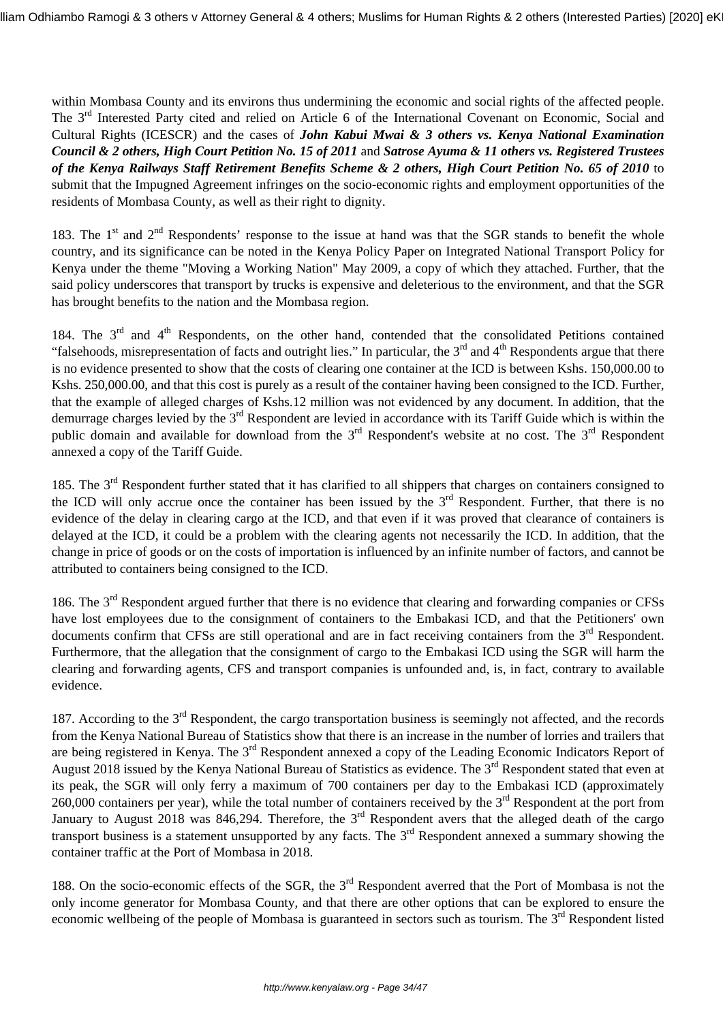within Mombasa County and its environs thus undermining the economic and social rights of the affected people. The 3<sup>rd</sup> Interested Party cited and relied on Article 6 of the International Covenant on Economic, Social and Cultural Rights (ICESCR) and the cases of *John Kabui Mwai & 3 others vs. Kenya National Examination Council & 2 others, High Court Petition No. 15 of 2011* and *Satrose Ayuma & 11 others vs. Registered Trustees of the Kenya Railways Staff Retirement Benefits Scheme & 2 others, High Court Petition No. 65 of 2010* to submit that the Impugned Agreement infringes on the socio-economic rights and employment opportunities of the residents of Mombasa County, as well as their right to dignity.

183. The  $1<sup>st</sup>$  and  $2<sup>nd</sup>$  Respondents' response to the issue at hand was that the SGR stands to benefit the whole country, and its significance can be noted in the Kenya Policy Paper on Integrated National Transport Policy for Kenya under the theme "Moving a Working Nation" May 2009, a copy of which they attached. Further, that the said policy underscores that transport by trucks is expensive and deleterious to the environment, and that the SGR has brought benefits to the nation and the Mombasa region.

184. The 3<sup>rd</sup> and 4<sup>th</sup> Respondents, on the other hand, contended that the consolidated Petitions contained "falsehoods, misrepresentation of facts and outright lies." In particular, the  $3<sup>rd</sup>$  and  $4<sup>th</sup>$  Respondents argue that there is no evidence presented to show that the costs of clearing one container at the ICD is between Kshs. 150,000.00 to Kshs. 250,000.00, and that this cost is purely as a result of the container having been consigned to the ICD. Further, that the example of alleged charges of Kshs.12 million was not evidenced by any document. In addition, that the demurrage charges levied by the 3<sup>rd</sup> Respondent are levied in accordance with its Tariff Guide which is within the public domain and available for download from the 3<sup>rd</sup> Respondent's website at no cost. The 3<sup>rd</sup> Respondent annexed a copy of the Tariff Guide.

185. The 3<sup>rd</sup> Respondent further stated that it has clarified to all shippers that charges on containers consigned to the ICD will only accrue once the container has been issued by the 3<sup>rd</sup> Respondent. Further, that there is no evidence of the delay in clearing cargo at the ICD, and that even if it was proved that clearance of containers is delayed at the ICD, it could be a problem with the clearing agents not necessarily the ICD. In addition, that the change in price of goods or on the costs of importation is influenced by an infinite number of factors, and cannot be attributed to containers being consigned to the ICD.

186. The 3<sup>rd</sup> Respondent argued further that there is no evidence that clearing and forwarding companies or CFSs have lost employees due to the consignment of containers to the Embakasi ICD, and that the Petitioners' own documents confirm that CFSs are still operational and are in fact receiving containers from the 3<sup>rd</sup> Respondent. Furthermore, that the allegation that the consignment of cargo to the Embakasi ICD using the SGR will harm the clearing and forwarding agents, CFS and transport companies is unfounded and, is, in fact, contrary to available evidence.

187. According to the 3<sup>rd</sup> Respondent, the cargo transportation business is seemingly not affected, and the records from the Kenya National Bureau of Statistics show that there is an increase in the number of lorries and trailers that are being registered in Kenya. The 3<sup>rd</sup> Respondent annexed a copy of the Leading Economic Indicators Report of August 2018 issued by the Kenya National Bureau of Statistics as evidence. The 3<sup>rd</sup> Respondent stated that even at its peak, the SGR will only ferry a maximum of 700 containers per day to the Embakasi ICD (approximately 260,000 containers per year), while the total number of containers received by the  $3<sup>rd</sup>$  Respondent at the port from January to August 2018 was 846,294. Therefore, the  $3<sup>rd</sup>$  Respondent avers that the alleged death of the cargo transport business is a statement unsupported by any facts. The 3<sup>rd</sup> Respondent annexed a summary showing the container traffic at the Port of Mombasa in 2018.

188. On the socio-economic effects of the SGR, the 3<sup>rd</sup> Respondent averred that the Port of Mombasa is not the only income generator for Mombasa County, and that there are other options that can be explored to ensure the economic wellbeing of the people of Mombasa is guaranteed in sectors such as tourism. The 3<sup>rd</sup> Respondent listed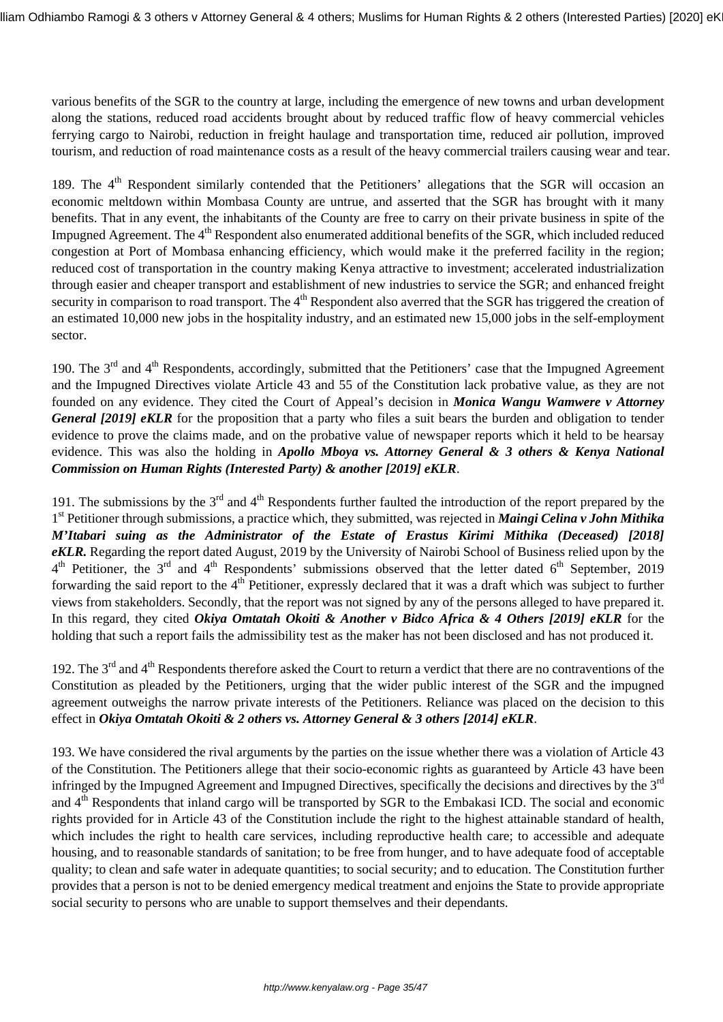various benefits of the SGR to the country at large, including the emergence of new towns and urban development along the stations, reduced road accidents brought about by reduced traffic flow of heavy commercial vehicles ferrying cargo to Nairobi, reduction in freight haulage and transportation time, reduced air pollution, improved tourism, and reduction of road maintenance costs as a result of the heavy commercial trailers causing wear and tear.

189. The 4<sup>th</sup> Respondent similarly contended that the Petitioners' allegations that the SGR will occasion an economic meltdown within Mombasa County are untrue, and asserted that the SGR has brought with it many benefits. That in any event, the inhabitants of the County are free to carry on their private business in spite of the Impugned Agreement. The 4<sup>th</sup> Respondent also enumerated additional benefits of the SGR, which included reduced congestion at Port of Mombasa enhancing efficiency, which would make it the preferred facility in the region; reduced cost of transportation in the country making Kenya attractive to investment; accelerated industrialization through easier and cheaper transport and establishment of new industries to service the SGR; and enhanced freight security in comparison to road transport. The 4<sup>th</sup> Respondent also averred that the SGR has triggered the creation of an estimated 10,000 new jobs in the hospitality industry, and an estimated new 15,000 jobs in the self-employment sector.

190. The 3<sup>rd</sup> and 4<sup>th</sup> Respondents, accordingly, submitted that the Petitioners' case that the Impugned Agreement and the Impugned Directives violate Article 43 and 55 of the Constitution lack probative value, as they are not founded on any evidence. They cited the Court of Appeal's decision in *Monica Wangu Wamwere v Attorney General [2019] eKLR* for the proposition that a party who files a suit bears the burden and obligation to tender evidence to prove the claims made, and on the probative value of newspaper reports which it held to be hearsay evidence. This was also the holding in *Apollo Mboya vs. Attorney General & 3 others & Kenya National Commission on Human Rights (Interested Party) & another [2019] eKLR*.

191. The submissions by the  $3<sup>rd</sup>$  and  $4<sup>th</sup>$  Respondents further faulted the introduction of the report prepared by the 1<sup>st</sup> Petitioner through submissions, a practice which, they submitted, was rejected in *Maingi Celina v John Mithika M'Itabari suing as the Administrator of the Estate of Erastus Kirimi Mithika (Deceased) [2018] eKLR.* Regarding the report dated August, 2019 by the University of Nairobi School of Business relied upon by the  $4<sup>th</sup>$  Petitioner, the 3<sup>rd</sup> and 4<sup>th</sup> Respondents' submissions observed that the letter dated 6<sup>th</sup> September, 2019 forwarding the said report to the 4<sup>th</sup> Petitioner, expressly declared that it was a draft which was subject to further views from stakeholders. Secondly, that the report was not signed by any of the persons alleged to have prepared it. In this regard, they cited *Okiya Omtatah Okoiti & Another v Bidco Africa & 4 Others [2019] eKLR* for the holding that such a report fails the admissibility test as the maker has not been disclosed and has not produced it.

192. The  $3<sup>rd</sup>$  and  $4<sup>th</sup>$  Respondents therefore asked the Court to return a verdict that there are no contraventions of the Constitution as pleaded by the Petitioners, urging that the wider public interest of the SGR and the impugned agreement outweighs the narrow private interests of the Petitioners. Reliance was placed on the decision to this effect in *Okiya Omtatah Okoiti & 2 others vs. Attorney General & 3 others [2014] eKLR*.

193. We have considered the rival arguments by the parties on the issue whether there was a violation of Article 43 of the Constitution. The Petitioners allege that their socio-economic rights as guaranteed by Article 43 have been infringed by the Impugned Agreement and Impugned Directives, specifically the decisions and directives by the  $3<sup>rd</sup>$ and 4th Respondents that inland cargo will be transported by SGR to the Embakasi ICD. The social and economic rights provided for in Article 43 of the Constitution include the right to the highest attainable standard of health, which includes the right to health care services, including reproductive health care; to accessible and adequate housing, and to reasonable standards of sanitation; to be free from hunger, and to have adequate food of acceptable quality; to clean and safe water in adequate quantities; to social security; and to education. The Constitution further provides that a person is not to be denied emergency medical treatment and enjoins the State to provide appropriate social security to persons who are unable to support themselves and their dependants.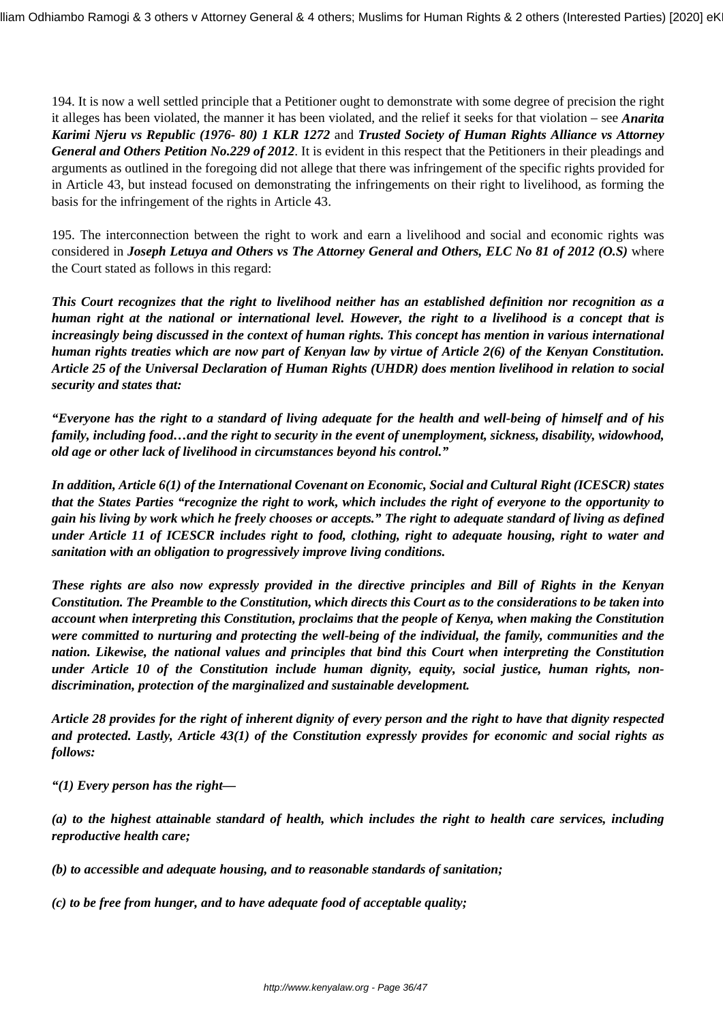194. It is now a well settled principle that a Petitioner ought to demonstrate with some degree of precision the right it alleges has been violated, the manner it has been violated, and the relief it seeks for that violation – see *Anarita Karimi Njeru vs Republic (1976- 80) 1 KLR 1272* and *Trusted Society of Human Rights Alliance vs Attorney General and Others Petition No.229 of 2012*. It is evident in this respect that the Petitioners in their pleadings and arguments as outlined in the foregoing did not allege that there was infringement of the specific rights provided for in Article 43, but instead focused on demonstrating the infringements on their right to livelihood, as forming the basis for the infringement of the rights in Article 43.

195. The interconnection between the right to work and earn a livelihood and social and economic rights was considered in *Joseph Letuya and Others vs The Attorney General and Others, ELC No 81 of 2012 (O.S)* where the Court stated as follows in this regard:

*This Court recognizes that the right to livelihood neither has an established definition nor recognition as a human right at the national or international level. However, the right to a livelihood is a concept that is increasingly being discussed in the context of human rights. This concept has mention in various international human rights treaties which are now part of Kenyan law by virtue of Article 2(6) of the Kenyan Constitution. Article 25 of the Universal Declaration of Human Rights (UHDR) does mention livelihood in relation to social security and states that:*

*"Everyone has the right to a standard of living adequate for the health and well-being of himself and of his family, including food…and the right to security in the event of unemployment, sickness, disability, widowhood, old age or other lack of livelihood in circumstances beyond his control."*

*In addition, Article 6(1) of the International Covenant on Economic, Social and Cultural Right (ICESCR) states that the States Parties "recognize the right to work, which includes the right of everyone to the opportunity to gain his living by work which he freely chooses or accepts." The right to adequate standard of living as defined under Article 11 of ICESCR includes right to food, clothing, right to adequate housing, right to water and sanitation with an obligation to progressively improve living conditions.*

*These rights are also now expressly provided in the directive principles and Bill of Rights in the Kenyan Constitution. The Preamble to the Constitution, which directs this Court as to the considerations to be taken into account when interpreting this Constitution, proclaims that the people of Kenya, when making the Constitution were committed to nurturing and protecting the well-being of the individual, the family, communities and the nation. Likewise, the national values and principles that bind this Court when interpreting the Constitution under Article 10 of the Constitution include human dignity, equity, social justice, human rights, nondiscrimination, protection of the marginalized and sustainable development.*

*Article 28 provides for the right of inherent dignity of every person and the right to have that dignity respected and protected. Lastly, Article 43(1) of the Constitution expressly provides for economic and social rights as follows:*

*"(1) Every person has the right—*

*(a) to the highest attainable standard of health, which includes the right to health care services, including reproductive health care;*

*(b) to accessible and adequate housing, and to reasonable standards of sanitation;*

*(c) to be free from hunger, and to have adequate food of acceptable quality;*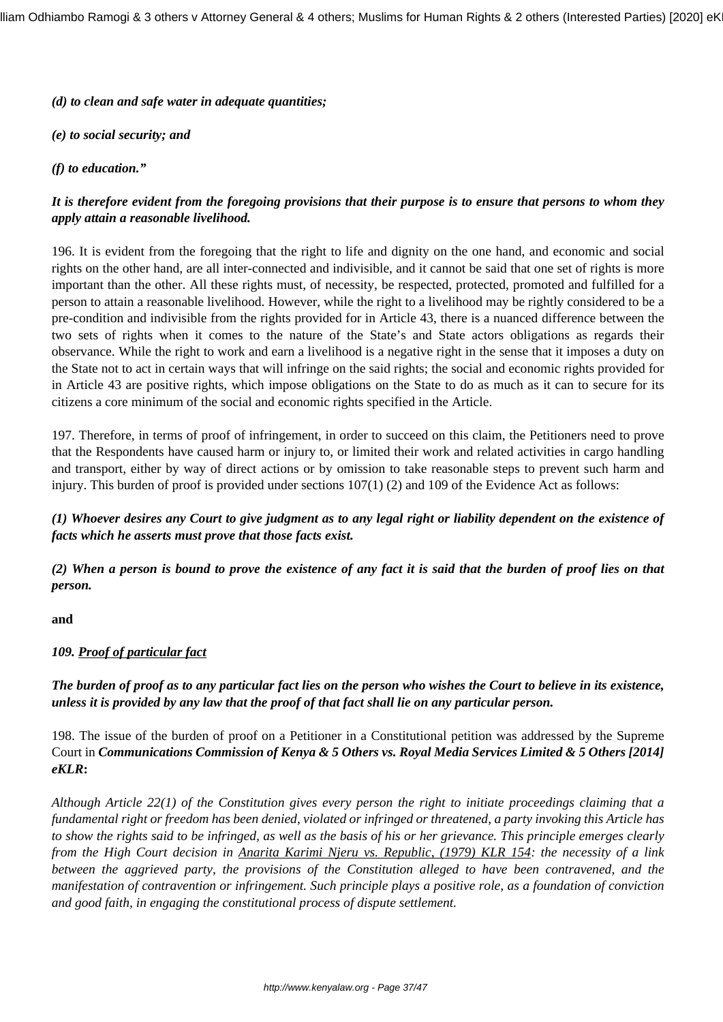*(d) to clean and safe water in adequate quantities;*

*(e) to social security; and*

#### *(f) to education."*

# *It is therefore evident from the foregoing provisions that their purpose is to ensure that persons to whom they apply attain a reasonable livelihood.*

196. It is evident from the foregoing that the right to life and dignity on the one hand, and economic and social rights on the other hand, are all inter-connected and indivisible, and it cannot be said that one set of rights is more important than the other. All these rights must, of necessity, be respected, protected, promoted and fulfilled for a person to attain a reasonable livelihood. However, while the right to a livelihood may be rightly considered to be a pre-condition and indivisible from the rights provided for in Article 43, there is a nuanced difference between the two sets of rights when it comes to the nature of the State's and State actors obligations as regards their observance. While the right to work and earn a livelihood is a negative right in the sense that it imposes a duty on the State not to act in certain ways that will infringe on the said rights; the social and economic rights provided for in Article 43 are positive rights, which impose obligations on the State to do as much as it can to secure for its citizens a core minimum of the social and economic rights specified in the Article.

197. Therefore, in terms of proof of infringement, in order to succeed on this claim, the Petitioners need to prove that the Respondents have caused harm or injury to, or limited their work and related activities in cargo handling and transport, either by way of direct actions or by omission to take reasonable steps to prevent such harm and injury. This burden of proof is provided under sections  $107(1)$  (2) and 109 of the Evidence Act as follows:

*(1) Whoever desires any Court to give judgment as to any legal right or liability dependent on the existence of facts which he asserts must prove that those facts exist.*

*(2) When a person is bound to prove the existence of any fact it is said that the burden of proof lies on that person.*

**and**

#### *109. Proof of particular fact*

*The burden of proof as to any particular fact lies on the person who wishes the Court to believe in its existence, unless it is provided by any law that the proof of that fact shall lie on any particular person.*

198. The issue of the burden of proof on a Petitioner in a Constitutional petition was addressed by the Supreme Court in *Communications Commission of Kenya & 5 Others vs. Royal Media Services Limited & 5 Others [2014] eKLR***:**

*Although Article 22(1) of the Constitution gives every person the right to initiate proceedings claiming that a fundamental right or freedom has been denied, violated or infringed or threatened, a party invoking this Article has to show the rights said to be infringed, as well as the basis of his or her grievance. This principle emerges clearly from the High Court decision in Anarita Karimi Njeru vs. Republic, (1979) KLR 154: the necessity of a link between the aggrieved party, the provisions of the Constitution alleged to have been contravened, and the manifestation of contravention or infringement. Such principle plays a positive role, as a foundation of conviction and good faith, in engaging the constitutional process of dispute settlement.*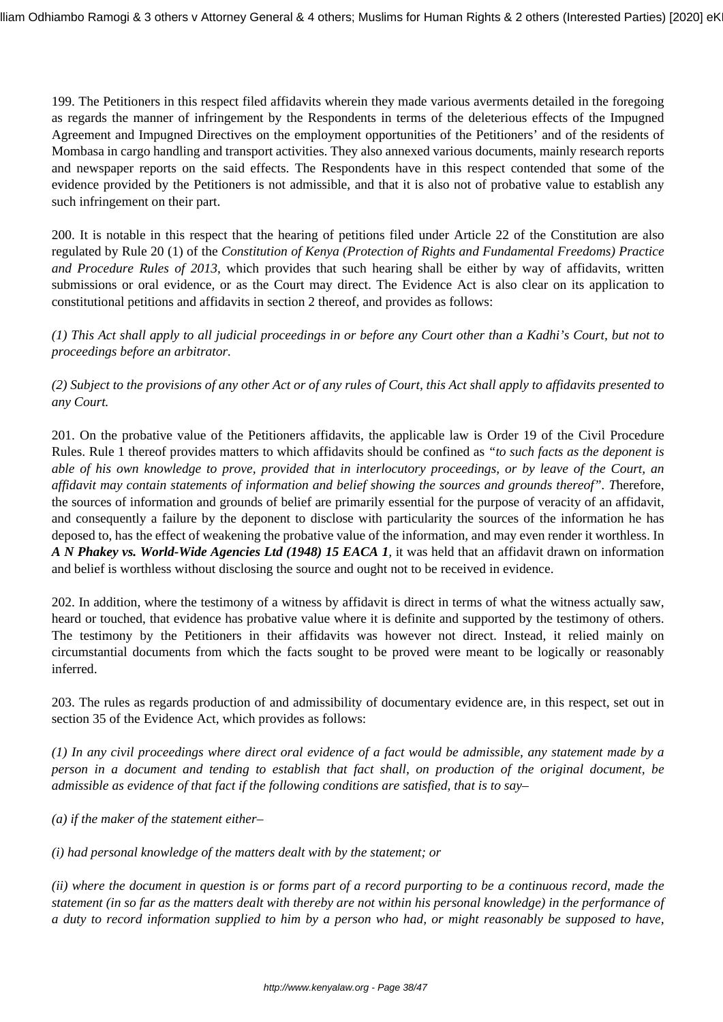199. The Petitioners in this respect filed affidavits wherein they made various averments detailed in the foregoing as regards the manner of infringement by the Respondents in terms of the deleterious effects of the Impugned Agreement and Impugned Directives on the employment opportunities of the Petitioners' and of the residents of Mombasa in cargo handling and transport activities. They also annexed various documents, mainly research reports and newspaper reports on the said effects. The Respondents have in this respect contended that some of the evidence provided by the Petitioners is not admissible, and that it is also not of probative value to establish any such infringement on their part.

200. It is notable in this respect that the hearing of petitions filed under Article 22 of the Constitution are also regulated by Rule 20 (1) of the *Constitution of Kenya (Protection of Rights and Fundamental Freedoms) Practice and Procedure Rules of 2013*, which provides that such hearing shall be either by way of affidavits, written submissions or oral evidence, or as the Court may direct. The Evidence Act is also clear on its application to constitutional petitions and affidavits in section 2 thereof, and provides as follows:

*(1) This Act shall apply to all judicial proceedings in or before any Court other than a Kadhi's Court, but not to proceedings before an arbitrator.*

*(2) Subject to the provisions of any other Act or of any rules of Court, this Act shall apply to affidavits presented to any Court.*

201. On the probative value of the Petitioners affidavits, the applicable law is Order 19 of the Civil Procedure Rules. Rule 1 thereof provides matters to which affidavits should be confined as *"to such facts as the deponent is able of his own knowledge to prove, provided that in interlocutory proceedings, or by leave of the Court, an affidavit may contain statements of information and belief showing the sources and grounds thereof". T*herefore, the sources of information and grounds of belief are primarily essential for the purpose of veracity of an affidavit, and consequently a failure by the deponent to disclose with particularity the sources of the information he has deposed to, has the effect of weakening the probative value of the information, and may even render it worthless. In *A N Phakey vs. World-Wide Agencies Ltd (1948) 15 EACA 1,* it was held that an affidavit drawn on information and belief is worthless without disclosing the source and ought not to be received in evidence.

202. In addition, where the testimony of a witness by affidavit is direct in terms of what the witness actually saw, heard or touched, that evidence has probative value where it is definite and supported by the testimony of others. The testimony by the Petitioners in their affidavits was however not direct. Instead, it relied mainly on circumstantial documents from which the facts sought to be proved were meant to be logically or reasonably inferred.

203. The rules as regards production of and admissibility of documentary evidence are, in this respect, set out in section 35 of the Evidence Act, which provides as follows:

*(1) In any civil proceedings where direct oral evidence of a fact would be admissible, any statement made by a person in a document and tending to establish that fact shall, on production of the original document, be admissible as evidence of that fact if the following conditions are satisfied, that is to say–*

*(a) if the maker of the statement either–*

*(i) had personal knowledge of the matters dealt with by the statement; or*

*(ii) where the document in question is or forms part of a record purporting to be a continuous record, made the statement (in so far as the matters dealt with thereby are not within his personal knowledge) in the performance of a duty to record information supplied to him by a person who had, or might reasonably be supposed to have,*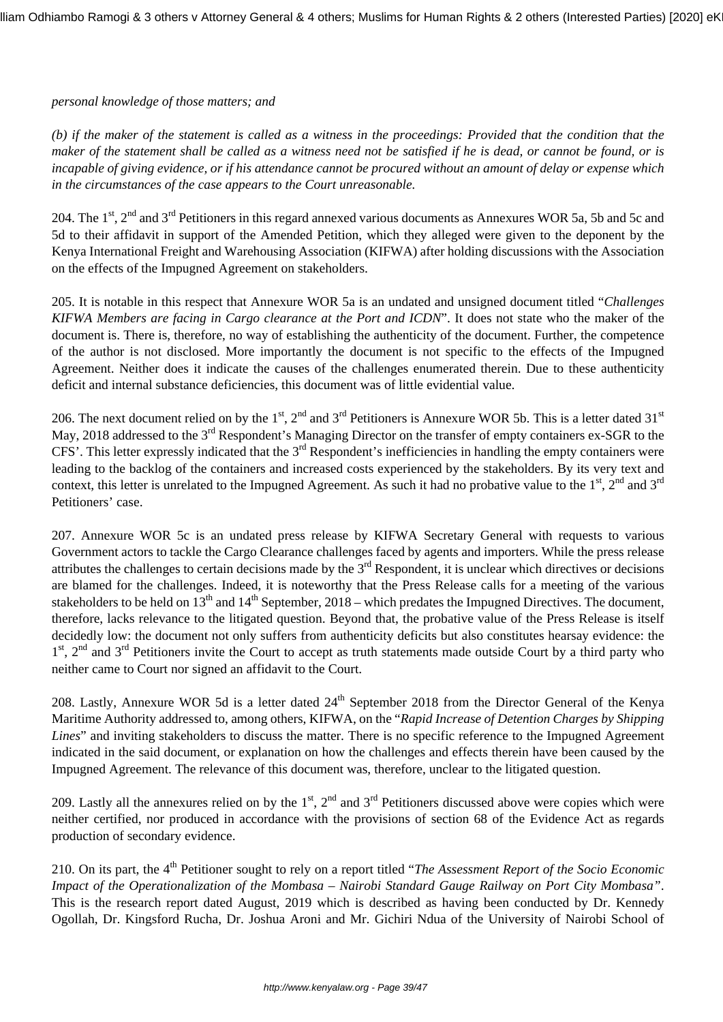#### *personal knowledge of those matters; and*

*(b) if the maker of the statement is called as a witness in the proceedings: Provided that the condition that the maker of the statement shall be called as a witness need not be satisfied if he is dead, or cannot be found, or is incapable of giving evidence, or if his attendance cannot be procured without an amount of delay or expense which in the circumstances of the case appears to the Court unreasonable.*

204. The 1<sup>st</sup>, 2<sup>nd</sup> and 3<sup>rd</sup> Petitioners in this regard annexed various documents as Annexures WOR 5a, 5b and 5c and 5d to their affidavit in support of the Amended Petition, which they alleged were given to the deponent by the Kenya International Freight and Warehousing Association (KIFWA) after holding discussions with the Association on the effects of the Impugned Agreement on stakeholders.

205. It is notable in this respect that Annexure WOR 5a is an undated and unsigned document titled "*Challenges KIFWA Members are facing in Cargo clearance at the Port and ICDN*". It does not state who the maker of the document is. There is, therefore, no way of establishing the authenticity of the document. Further, the competence of the author is not disclosed. More importantly the document is not specific to the effects of the Impugned Agreement. Neither does it indicate the causes of the challenges enumerated therein. Due to these authenticity deficit and internal substance deficiencies, this document was of little evidential value.

206. The next document relied on by the 1<sup>st</sup>, 2<sup>nd</sup> and 3<sup>rd</sup> Petitioners is Annexure WOR 5b. This is a letter dated 31<sup>st</sup> May, 2018 addressed to the 3<sup>rd</sup> Respondent's Managing Director on the transfer of empty containers ex-SGR to the CFS'. This letter expressly indicated that the  $3<sup>rd</sup>$  Respondent's inefficiencies in handling the empty containers were leading to the backlog of the containers and increased costs experienced by the stakeholders. By its very text and context, this letter is unrelated to the Impugned Agreement. As such it had no probative value to the  $1<sup>st</sup>$ ,  $2<sup>nd</sup>$  and  $3<sup>rd</sup>$ Petitioners' case.

207. Annexure WOR 5c is an undated press release by KIFWA Secretary General with requests to various Government actors to tackle the Cargo Clearance challenges faced by agents and importers. While the press release attributes the challenges to certain decisions made by the  $3<sup>rd</sup>$  Respondent, it is unclear which directives or decisions are blamed for the challenges. Indeed, it is noteworthy that the Press Release calls for a meeting of the various stakeholders to be held on  $13<sup>th</sup>$  and  $14<sup>th</sup>$  September, 2018 – which predates the Impugned Directives. The document, therefore, lacks relevance to the litigated question. Beyond that, the probative value of the Press Release is itself decidedly low: the document not only suffers from authenticity deficits but also constitutes hearsay evidence: the 1<sup>st</sup>, 2<sup>nd</sup> and 3<sup>rd</sup> Petitioners invite the Court to accept as truth statements made outside Court by a third party who neither came to Court nor signed an affidavit to the Court.

208. Lastly, Annexure WOR 5d is a letter dated 24<sup>th</sup> September 2018 from the Director General of the Kenya Maritime Authority addressed to, among others, KIFWA, on the "*Rapid Increase of Detention Charges by Shipping Lines*" and inviting stakeholders to discuss the matter. There is no specific reference to the Impugned Agreement indicated in the said document, or explanation on how the challenges and effects therein have been caused by the Impugned Agreement. The relevance of this document was, therefore, unclear to the litigated question.

209. Lastly all the annexures relied on by the  $1<sup>st</sup>$ ,  $2<sup>nd</sup>$  and  $3<sup>rd</sup>$  Petitioners discussed above were copies which were neither certified, nor produced in accordance with the provisions of section 68 of the Evidence Act as regards production of secondary evidence.

210. On its part, the 4th Petitioner sought to rely on a report titled "*The Assessment Report of the Socio Economic Impact of the Operationalization of the Mombasa – Nairobi Standard Gauge Railway on Port City Mombasa"*. This is the research report dated August, 2019 which is described as having been conducted by Dr. Kennedy Ogollah, Dr. Kingsford Rucha, Dr. Joshua Aroni and Mr. Gichiri Ndua of the University of Nairobi School of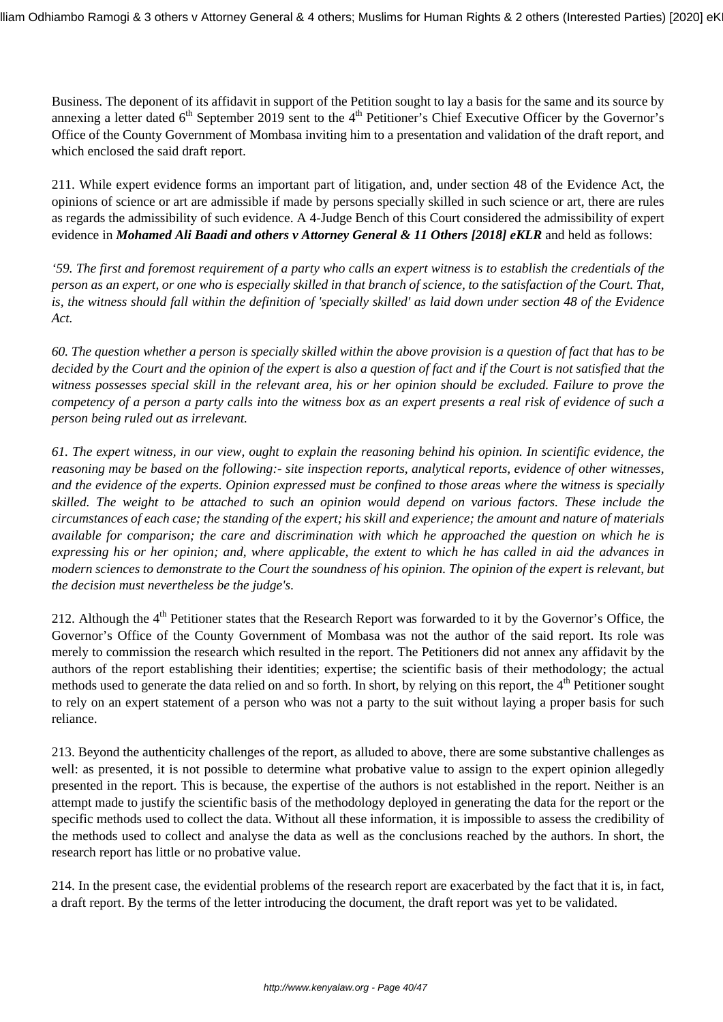Business. The deponent of its affidavit in support of the Petition sought to lay a basis for the same and its source by annexing a letter dated  $6<sup>th</sup>$  September 2019 sent to the  $4<sup>th</sup>$  Petitioner's Chief Executive Officer by the Governor's Office of the County Government of Mombasa inviting him to a presentation and validation of the draft report, and which enclosed the said draft report.

211. While expert evidence forms an important part of litigation, and, under section 48 of the Evidence Act, the opinions of science or art are admissible if made by persons specially skilled in such science or art, there are rules as regards the admissibility of such evidence. A 4-Judge Bench of this Court considered the admissibility of expert evidence in *Mohamed Ali Baadi and others v Attorney General & 11 Others [2018] eKLR* and held as follows:

*'59. The first and foremost requirement of a party who calls an expert witness is to establish the credentials of the person as an expert, or one who is especially skilled in that branch of science, to the satisfaction of the Court. That, is, the witness should fall within the definition of 'specially skilled' as laid down under section 48 of the Evidence Act.*

*60. The question whether a person is specially skilled within the above provision is a question of fact that has to be decided by the Court and the opinion of the expert is also a question of fact and if the Court is not satisfied that the witness possesses special skill in the relevant area, his or her opinion should be excluded. Failure to prove the competency of a person a party calls into the witness box as an expert presents a real risk of evidence of such a person being ruled out as irrelevant.*

*61. The expert witness, in our view, ought to explain the reasoning behind his opinion. In scientific evidence, the reasoning may be based on the following:- site inspection reports, analytical reports, evidence of other witnesses, and the evidence of the experts. Opinion expressed must be confined to those areas where the witness is specially skilled. The weight to be attached to such an opinion would depend on various factors. These include the circumstances of each case; the standing of the expert; his skill and experience; the amount and nature of materials available for comparison; the care and discrimination with which he approached the question on which he is expressing his or her opinion; and, where applicable, the extent to which he has called in aid the advances in modern sciences to demonstrate to the Court the soundness of his opinion. The opinion of the expert is relevant, but the decision must nevertheless be the judge's*.

212. Although the  $4<sup>th</sup>$  Petitioner states that the Research Report was forwarded to it by the Governor's Office, the Governor's Office of the County Government of Mombasa was not the author of the said report. Its role was merely to commission the research which resulted in the report. The Petitioners did not annex any affidavit by the authors of the report establishing their identities; expertise; the scientific basis of their methodology; the actual methods used to generate the data relied on and so forth. In short, by relying on this report, the 4<sup>th</sup> Petitioner sought to rely on an expert statement of a person who was not a party to the suit without laying a proper basis for such reliance.

213. Beyond the authenticity challenges of the report, as alluded to above, there are some substantive challenges as well: as presented, it is not possible to determine what probative value to assign to the expert opinion allegedly presented in the report. This is because, the expertise of the authors is not established in the report. Neither is an attempt made to justify the scientific basis of the methodology deployed in generating the data for the report or the specific methods used to collect the data. Without all these information, it is impossible to assess the credibility of the methods used to collect and analyse the data as well as the conclusions reached by the authors. In short, the research report has little or no probative value.

214. In the present case, the evidential problems of the research report are exacerbated by the fact that it is, in fact, a draft report. By the terms of the letter introducing the document, the draft report was yet to be validated.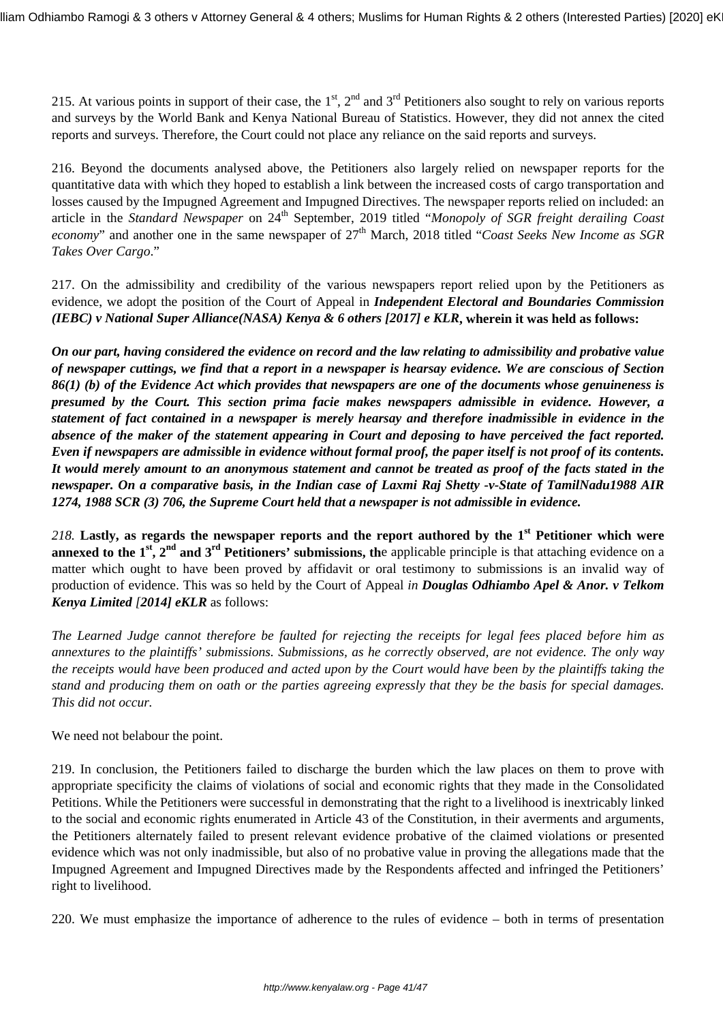215. At various points in support of their case, the  $1<sup>st</sup>$ ,  $2<sup>nd</sup>$  and  $3<sup>rd</sup>$  Petitioners also sought to rely on various reports and surveys by the World Bank and Kenya National Bureau of Statistics. However, they did not annex the cited reports and surveys. Therefore, the Court could not place any reliance on the said reports and surveys.

216. Beyond the documents analysed above, the Petitioners also largely relied on newspaper reports for the quantitative data with which they hoped to establish a link between the increased costs of cargo transportation and losses caused by the Impugned Agreement and Impugned Directives. The newspaper reports relied on included: an article in the *Standard Newspaper* on 24th September, 2019 titled "*Monopoly of SGR freight derailing Coast economy*" and another one in the same newspaper of 27<sup>th</sup> March, 2018 titled "*Coast Seeks New Income as SGR Takes Over Cargo*."

217. On the admissibility and credibility of the various newspapers report relied upon by the Petitioners as evidence, we adopt the position of the Court of Appeal in *Independent Electoral and Boundaries Commission (IEBC) v National Super Alliance(NASA) Kenya & 6 others [2017] e KLR***, wherein it was held as follows:**

*On our part, having considered the evidence on record and the law relating to admissibility and probative value of newspaper cuttings, we find that a report in a newspaper is hearsay evidence. We are conscious of Section 86(1) (b) of the Evidence Act which provides that newspapers are one of the documents whose genuineness is presumed by the Court. This section prima facie makes newspapers admissible in evidence. However, a statement of fact contained in a newspaper is merely hearsay and therefore inadmissible in evidence in the absence of the maker of the statement appearing in Court and deposing to have perceived the fact reported. Even if newspapers are admissible in evidence without formal proof, the paper itself is not proof of its contents. It would merely amount to an anonymous statement and cannot be treated as proof of the facts stated in the newspaper. On a comparative basis, in the Indian case of Laxmi Raj Shetty -v-State of TamilNadu1988 AIR 1274, 1988 SCR (3) 706, the Supreme Court held that a newspaper is not admissible in evidence.*

*218.* **Lastly, as regards the newspaper reports and the report authored by the 1st Petitioner which were annexed to the 1<sup>st</sup>**,  $2^{nd}$  and  $3^{rd}$  Petitioners' submissions, the applicable principle is that attaching evidence on a matter which ought to have been proved by affidavit or oral testimony to submissions is an invalid way of production of evidence. This was so held by the Court of Appeal *in Douglas Odhiambo Apel & Anor. v Telkom Kenya Limited [2014] eKLR* as follows:

*The Learned Judge cannot therefore be faulted for rejecting the receipts for legal fees placed before him as annextures to the plaintiffs' submissions. Submissions, as he correctly observed, are not evidence. The only way the receipts would have been produced and acted upon by the Court would have been by the plaintiffs taking the stand and producing them on oath or the parties agreeing expressly that they be the basis for special damages. This did not occur.*

We need not belabour the point.

219. In conclusion, the Petitioners failed to discharge the burden which the law places on them to prove with appropriate specificity the claims of violations of social and economic rights that they made in the Consolidated Petitions. While the Petitioners were successful in demonstrating that the right to a livelihood is inextricably linked to the social and economic rights enumerated in Article 43 of the Constitution, in their averments and arguments, the Petitioners alternately failed to present relevant evidence probative of the claimed violations or presented evidence which was not only inadmissible, but also of no probative value in proving the allegations made that the Impugned Agreement and Impugned Directives made by the Respondents affected and infringed the Petitioners' right to livelihood.

220. We must emphasize the importance of adherence to the rules of evidence – both in terms of presentation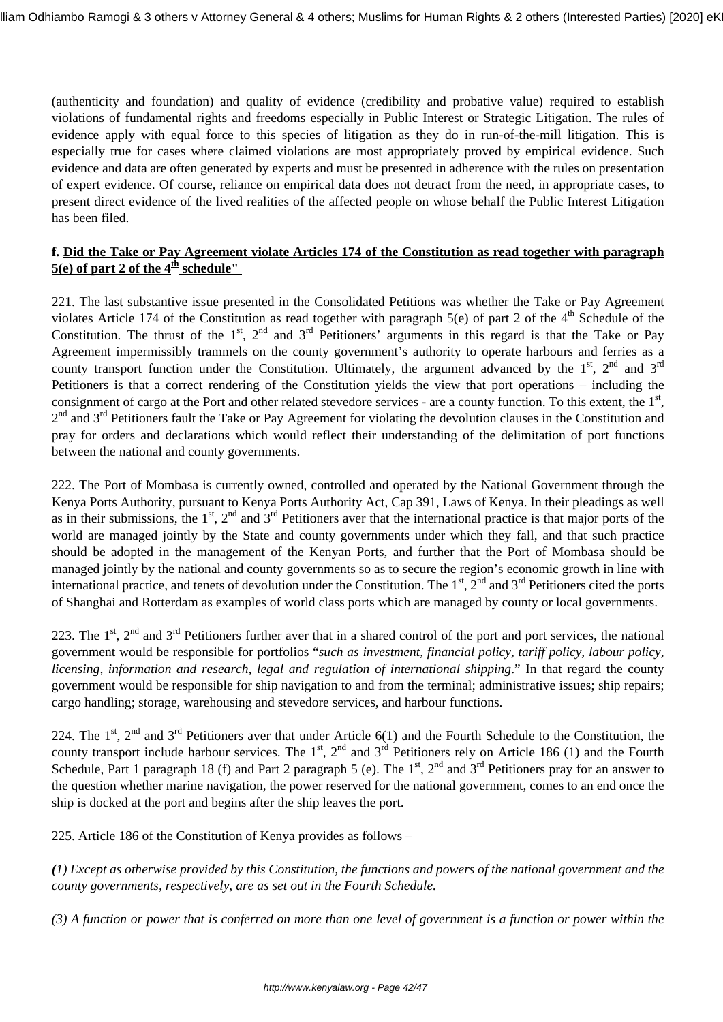(authenticity and foundation) and quality of evidence (credibility and probative value) required to establish violations of fundamental rights and freedoms especially in Public Interest or Strategic Litigation. The rules of evidence apply with equal force to this species of litigation as they do in run-of-the-mill litigation. This is especially true for cases where claimed violations are most appropriately proved by empirical evidence. Such evidence and data are often generated by experts and must be presented in adherence with the rules on presentation of expert evidence. Of course, reliance on empirical data does not detract from the need, in appropriate cases, to present direct evidence of the lived realities of the affected people on whose behalf the Public Interest Litigation has been filed.

## **f. Did the Take or Pay Agreement violate Articles 174 of the Constitution as read together with paragraph**  $5(e)$  of part 2 of the  $4<sup>th</sup>$  schedule"

221. The last substantive issue presented in the Consolidated Petitions was whether the Take or Pay Agreement violates Article 174 of the Constitution as read together with paragraph 5(e) of part 2 of the  $4<sup>th</sup>$  Schedule of the Constitution. The thrust of the  $1<sup>st</sup>$ ,  $2<sup>nd</sup>$  and  $3<sup>rd</sup>$  Petitioners' arguments in this regard is that the Take or Pay Agreement impermissibly trammels on the county government's authority to operate harbours and ferries as a county transport function under the Constitution. Ultimately, the argument advanced by the  $1<sup>st</sup>$ ,  $2<sup>nd</sup>$  and  $3<sup>rd</sup>$ Petitioners is that a correct rendering of the Constitution yields the view that port operations – including the consignment of cargo at the Port and other related stevedore services - are a county function. To this extent, the  $1<sup>st</sup>$ , 2<sup>nd</sup> and 3<sup>rd</sup> Petitioners fault the Take or Pay Agreement for violating the devolution clauses in the Constitution and pray for orders and declarations which would reflect their understanding of the delimitation of port functions between the national and county governments.

222. The Port of Mombasa is currently owned, controlled and operated by the National Government through the Kenya Ports Authority, pursuant to Kenya Ports Authority Act, Cap 391, Laws of Kenya. In their pleadings as well as in their submissions, the  $1<sup>st</sup>$ ,  $2<sup>nd</sup>$  and  $3<sup>rd</sup>$  Petitioners aver that the international practice is that major ports of the world are managed jointly by the State and county governments under which they fall, and that such practice should be adopted in the management of the Kenyan Ports, and further that the Port of Mombasa should be managed jointly by the national and county governments so as to secure the region's economic growth in line with international practice, and tenets of devolution under the Constitution. The  $1<sup>st</sup>$ ,  $2<sup>nd</sup>$  and  $3<sup>rd</sup>$  Petitioners cited the ports of Shanghai and Rotterdam as examples of world class ports which are managed by county or local governments.

223. The  $1<sup>st</sup>$ ,  $2<sup>nd</sup>$  and  $3<sup>rd</sup>$  Petitioners further aver that in a shared control of the port and port services, the national government would be responsible for portfolios "*such as investment, financial policy, tariff policy, labour policy, licensing, information and research, legal and regulation of international shipping*." In that regard the county government would be responsible for ship navigation to and from the terminal; administrative issues; ship repairs; cargo handling; storage, warehousing and stevedore services, and harbour functions.

224. The  $1^{st}$ ,  $2^{nd}$  and  $3^{rd}$  Petitioners aver that under Article 6(1) and the Fourth Schedule to the Constitution, the county transport include harbour services. The  $1<sup>st</sup>$ ,  $2<sup>nd</sup>$  and  $3<sup>rd</sup>$  Petitioners rely on Article 186 (1) and the Fourth Schedule, Part 1 paragraph 18 (f) and Part 2 paragraph 5 (e). The  $1<sup>st</sup>$ ,  $2<sup>nd</sup>$  and  $3<sup>rd</sup>$  Petitioners pray for an answer to the question whether marine navigation, the power reserved for the national government, comes to an end once the ship is docked at the port and begins after the ship leaves the port.

225. Article 186 of the Constitution of Kenya provides as follows –

*(1) Except as otherwise provided by this Constitution, the functions and powers of the national government and the county governments, respectively, are as set out in the Fourth Schedule.*

*(3) A function or power that is conferred on more than one level of government is a function or power within the*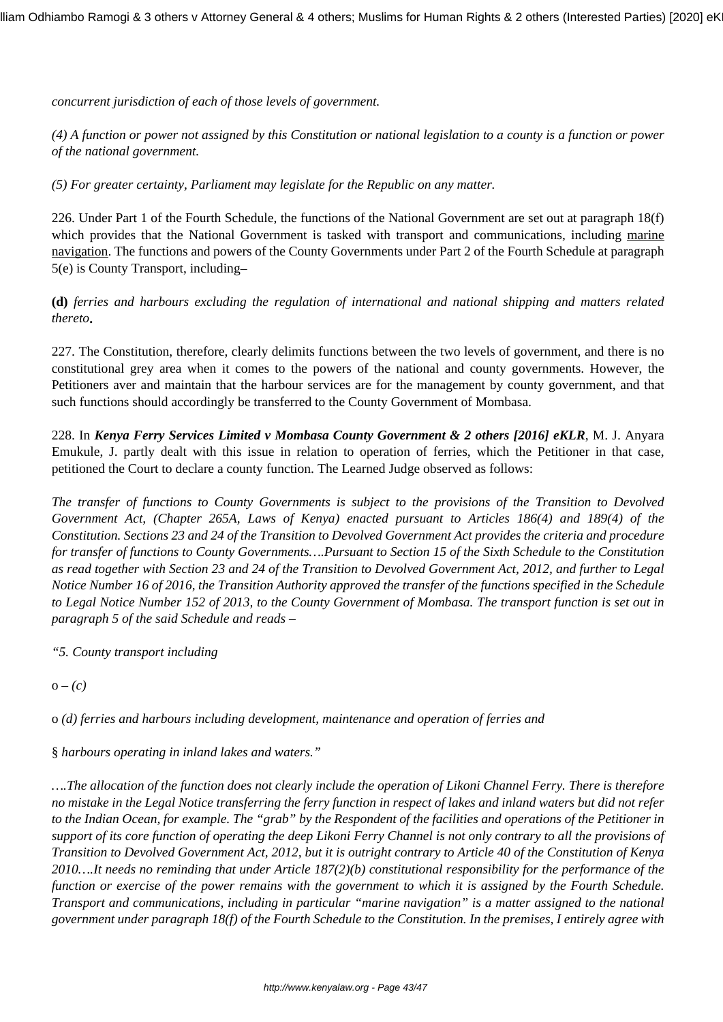*concurrent jurisdiction of each of those levels of government.*

*(4) A function or power not assigned by this Constitution or national legislation to a county is a function or power of the national government.*

*(5) For greater certainty, Parliament may legislate for the Republic on any matter.*

226. Under Part 1 of the Fourth Schedule, the functions of the National Government are set out at paragraph 18(f) which provides that the National Government is tasked with transport and communications, including marine navigation. The functions and powers of the County Governments under Part 2 of the Fourth Schedule at paragraph 5(e) is County Transport, including–

**(d)** *ferries and harbours excluding the regulation of international and national shipping and matters related thereto***.**

227. The Constitution, therefore, clearly delimits functions between the two levels of government, and there is no constitutional grey area when it comes to the powers of the national and county governments. However, the Petitioners aver and maintain that the harbour services are for the management by county government, and that such functions should accordingly be transferred to the County Government of Mombasa.

228. In *Kenya Ferry Services Limited v Mombasa County Government & 2 others [2016] eKLR*, M. J. Anyara Emukule, J. partly dealt with this issue in relation to operation of ferries, which the Petitioner in that case, petitioned the Court to declare a county function. The Learned Judge observed as follows:

*The transfer of functions to County Governments is subject to the provisions of the Transition to Devolved Government Act, (Chapter 265A, Laws of Kenya) enacted pursuant to Articles 186(4) and 189(4) of the Constitution. Sections 23 and 24 of the Transition to Devolved Government Act provides the criteria and procedure for transfer of functions to County Governments….Pursuant to Section 15 of the Sixth Schedule to the Constitution as read together with Section 23 and 24 of the Transition to Devolved Government Act, 2012, and further to Legal Notice Number 16 of 2016, the Transition Authority approved the transfer of the functions specified in the Schedule to Legal Notice Number 152 of 2013, to the County Government of Mombasa. The transport function is set out in paragraph 5 of the said Schedule and reads –*

*"5. County transport including*

 $o - (c)$ 

o *(d) ferries and harbours including development, maintenance and operation of ferries and* 

§ *harbours operating in inland lakes and waters."*

*….The allocation of the function does not clearly include the operation of Likoni Channel Ferry. There is therefore no mistake in the Legal Notice transferring the ferry function in respect of lakes and inland waters but did not refer to the Indian Ocean, for example. The "grab" by the Respondent of the facilities and operations of the Petitioner in support of its core function of operating the deep Likoni Ferry Channel is not only contrary to all the provisions of Transition to Devolved Government Act, 2012, but it is outright contrary to Article 40 of the Constitution of Kenya 2010….It needs no reminding that under Article 187(2)(b) constitutional responsibility for the performance of the function or exercise of the power remains with the government to which it is assigned by the Fourth Schedule. Transport and communications, including in particular "marine navigation" is a matter assigned to the national government under paragraph 18(f) of the Fourth Schedule to the Constitution. In the premises, I entirely agree with*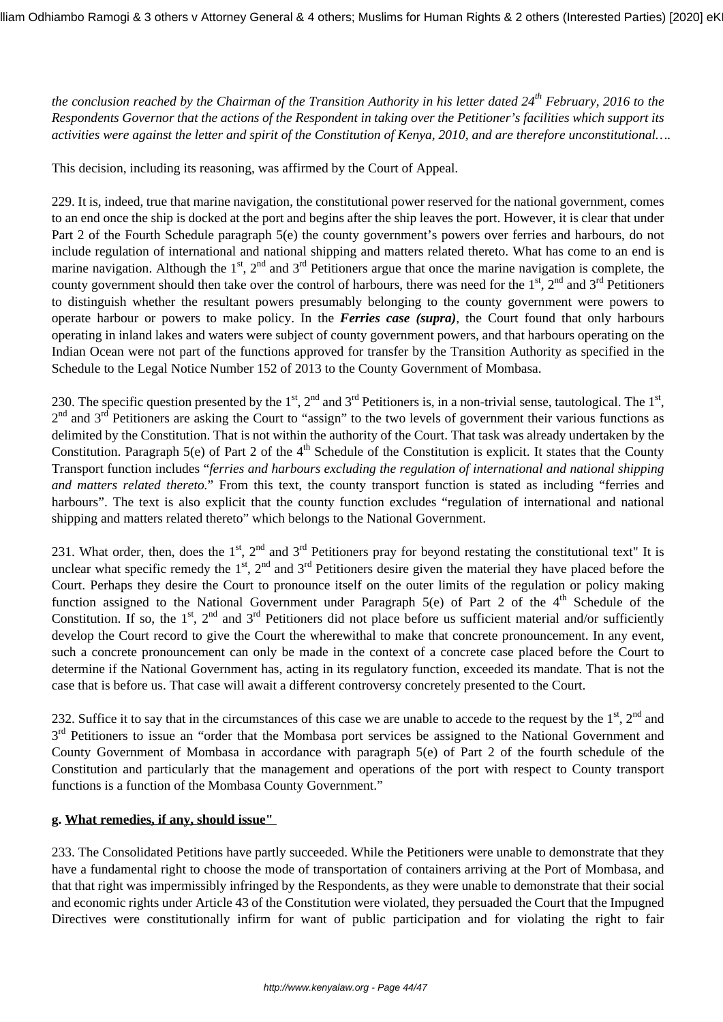*the conclusion reached by the Chairman of the Transition Authority in his letter dated 24th February, 2016 to the Respondents Governor that the actions of the Respondent in taking over the Petitioner's facilities which support its activities were against the letter and spirit of the Constitution of Kenya, 2010, and are therefore unconstitutional….*

This decision, including its reasoning, was affirmed by the Court of Appeal.

229. It is, indeed, true that marine navigation, the constitutional power reserved for the national government, comes to an end once the ship is docked at the port and begins after the ship leaves the port. However, it is clear that under Part 2 of the Fourth Schedule paragraph 5(e) the county government's powers over ferries and harbours, do not include regulation of international and national shipping and matters related thereto. What has come to an end is marine navigation. Although the  $1<sup>st</sup>$ ,  $2<sup>nd</sup>$  and  $3<sup>rd</sup>$  Petitioners argue that once the marine navigation is complete, the county government should then take over the control of harbours, there was need for the  $1<sup>st</sup>$ ,  $2<sup>nd</sup>$  and  $3<sup>rd</sup>$  Petitioners to distinguish whether the resultant powers presumably belonging to the county government were powers to operate harbour or powers to make policy. In the *Ferries case (supra)*, the Court found that only harbours operating in inland lakes and waters were subject of county government powers, and that harbours operating on the Indian Ocean were not part of the functions approved for transfer by the Transition Authority as specified in the Schedule to the Legal Notice Number 152 of 2013 to the County Government of Mombasa.

230. The specific question presented by the  $1^{st}$ ,  $2^{nd}$  and  $3^{rd}$  Petitioners is, in a non-trivial sense, tautological. The  $1^{st}$ ,  $2<sup>nd</sup>$  and  $3<sup>rd</sup>$  Petitioners are asking the Court to "assign" to the two levels of government their various functions as delimited by the Constitution. That is not within the authority of the Court. That task was already undertaken by the Constitution. Paragraph 5(e) of Part 2 of the  $4<sup>th</sup>$  Schedule of the Constitution is explicit. It states that the County Transport function includes "*ferries and harbours excluding the regulation of international and national shipping and matters related thereto.*" From this text, the county transport function is stated as including "ferries and harbours". The text is also explicit that the county function excludes "regulation of international and national shipping and matters related thereto" which belongs to the National Government.

231. What order, then, does the  $1<sup>st</sup>$ ,  $2<sup>nd</sup>$  and  $3<sup>rd</sup>$  Petitioners pray for beyond restating the constitutional text" It is unclear what specific remedy the  $1<sup>st</sup>$ ,  $2<sup>nd</sup>$  and  $3<sup>rd</sup>$  Petitioners desire given the material they have placed before the Court. Perhaps they desire the Court to pronounce itself on the outer limits of the regulation or policy making function assigned to the National Government under Paragraph  $5(e)$  of Part 2 of the 4<sup>th</sup> Schedule of the Constitution. If so, the  $1<sup>st</sup>$ ,  $2<sup>nd</sup>$  and  $3<sup>rd</sup>$  Petitioners did not place before us sufficient material and/or sufficiently develop the Court record to give the Court the wherewithal to make that concrete pronouncement. In any event, such a concrete pronouncement can only be made in the context of a concrete case placed before the Court to determine if the National Government has, acting in its regulatory function, exceeded its mandate. That is not the case that is before us. That case will await a different controversy concretely presented to the Court.

232. Suffice it to say that in the circumstances of this case we are unable to accede to the request by the  $1<sup>st</sup>$ ,  $2<sup>nd</sup>$  and 3<sup>rd</sup> Petitioners to issue an "order that the Mombasa port services be assigned to the National Government and County Government of Mombasa in accordance with paragraph 5(e) of Part 2 of the fourth schedule of the Constitution and particularly that the management and operations of the port with respect to County transport functions is a function of the Mombasa County Government."

#### **g. What remedies, if any, should issue"**

233. The Consolidated Petitions have partly succeeded. While the Petitioners were unable to demonstrate that they have a fundamental right to choose the mode of transportation of containers arriving at the Port of Mombasa, and that that right was impermissibly infringed by the Respondents, as they were unable to demonstrate that their social and economic rights under Article 43 of the Constitution were violated, they persuaded the Court that the Impugned Directives were constitutionally infirm for want of public participation and for violating the right to fair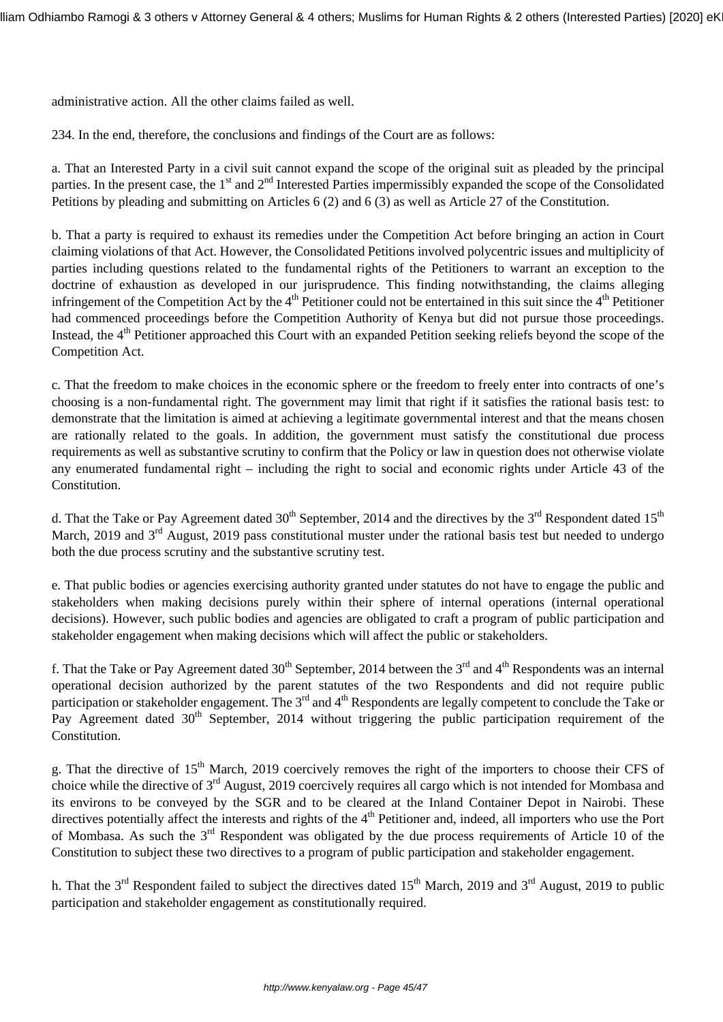administrative action. All the other claims failed as well.

234. In the end, therefore, the conclusions and findings of the Court are as follows:

a. That an Interested Party in a civil suit cannot expand the scope of the original suit as pleaded by the principal parties. In the present case, the  $1<sup>st</sup>$  and  $2<sup>nd</sup>$  Interested Parties impermissibly expanded the scope of the Consolidated Petitions by pleading and submitting on Articles 6 (2) and 6 (3) as well as Article 27 of the Constitution.

b. That a party is required to exhaust its remedies under the Competition Act before bringing an action in Court claiming violations of that Act. However, the Consolidated Petitions involved polycentric issues and multiplicity of parties including questions related to the fundamental rights of the Petitioners to warrant an exception to the doctrine of exhaustion as developed in our jurisprudence. This finding notwithstanding, the claims alleging infringement of the Competition Act by the  $4<sup>th</sup>$  Petitioner could not be entertained in this suit since the  $4<sup>th</sup>$  Petitioner had commenced proceedings before the Competition Authority of Kenya but did not pursue those proceedings. Instead, the 4<sup>th</sup> Petitioner approached this Court with an expanded Petition seeking reliefs beyond the scope of the Competition Act.

c. That the freedom to make choices in the economic sphere or the freedom to freely enter into contracts of one's choosing is a non-fundamental right. The government may limit that right if it satisfies the rational basis test: to demonstrate that the limitation is aimed at achieving a legitimate governmental interest and that the means chosen are rationally related to the goals. In addition, the government must satisfy the constitutional due process requirements as well as substantive scrutiny to confirm that the Policy or law in question does not otherwise violate any enumerated fundamental right – including the right to social and economic rights under Article 43 of the Constitution.

d. That the Take or Pay Agreement dated  $30^{th}$  September, 2014 and the directives by the  $3^{rd}$  Respondent dated  $15^{th}$ March, 2019 and 3<sup>rd</sup> August, 2019 pass constitutional muster under the rational basis test but needed to undergo both the due process scrutiny and the substantive scrutiny test.

e. That public bodies or agencies exercising authority granted under statutes do not have to engage the public and stakeholders when making decisions purely within their sphere of internal operations (internal operational decisions). However, such public bodies and agencies are obligated to craft a program of public participation and stakeholder engagement when making decisions which will affect the public or stakeholders.

f. That the Take or Pay Agreement dated  $30<sup>th</sup>$  September, 2014 between the 3<sup>rd</sup> and 4<sup>th</sup> Respondents was an internal operational decision authorized by the parent statutes of the two Respondents and did not require public participation or stakeholder engagement. The  $3<sup>rd</sup>$  and  $4<sup>th</sup>$  Respondents are legally competent to conclude the Take or Pay Agreement dated 30<sup>th</sup> September, 2014 without triggering the public participation requirement of the Constitution.

g. That the directive of 15<sup>th</sup> March, 2019 coercively removes the right of the importers to choose their CFS of choice while the directive of 3rd August, 2019 coercively requires all cargo which is not intended for Mombasa and its environs to be conveyed by the SGR and to be cleared at the Inland Container Depot in Nairobi. These directives potentially affect the interests and rights of the  $4<sup>th</sup>$  Petitioner and, indeed, all importers who use the Port of Mombasa. As such the  $3<sup>rd</sup>$  Respondent was obligated by the due process requirements of Article 10 of the Constitution to subject these two directives to a program of public participation and stakeholder engagement.

h. That the  $3<sup>rd</sup>$  Respondent failed to subject the directives dated 15<sup>th</sup> March, 2019 and  $3<sup>rd</sup>$  August, 2019 to public participation and stakeholder engagement as constitutionally required.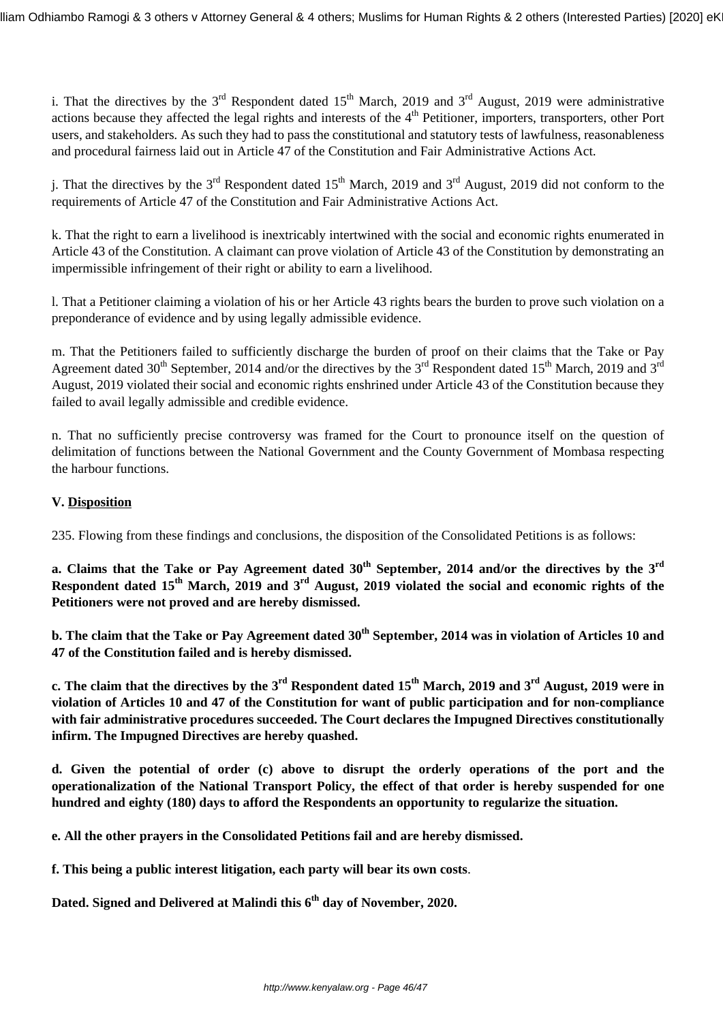i. That the directives by the  $3^{rd}$  Respondent dated  $15^{th}$  March, 2019 and  $3^{rd}$  August, 2019 were administrative actions because they affected the legal rights and interests of the  $4<sup>th</sup>$  Petitioner, importers, transporters, other Port users, and stakeholders*.* As such they had to pass the constitutional and statutory tests of lawfulness, reasonableness and procedural fairness laid out in Article 47 of the Constitution and Fair Administrative Actions Act.

j. That the directives by the  $3<sup>rd</sup>$  Respondent dated 15<sup>th</sup> March, 2019 and  $3<sup>rd</sup>$  August, 2019 did not conform to the requirements of Article 47 of the Constitution and Fair Administrative Actions Act.

k. That the right to earn a livelihood is inextricably intertwined with the social and economic rights enumerated in Article 43 of the Constitution. A claimant can prove violation of Article 43 of the Constitution by demonstrating an impermissible infringement of their right or ability to earn a livelihood.

l. That a Petitioner claiming a violation of his or her Article 43 rights bears the burden to prove such violation on a preponderance of evidence and by using legally admissible evidence.

m. That the Petitioners failed to sufficiently discharge the burden of proof on their claims that the Take or Pay Agreement dated 30<sup>th</sup> September, 2014 and/or the directives by the 3<sup>rd</sup> Respondent dated 15<sup>th</sup> March, 2019 and 3<sup>rd</sup> August, 2019 violated their social and economic rights enshrined under Article 43 of the Constitution because they failed to avail legally admissible and credible evidence.

n. That no sufficiently precise controversy was framed for the Court to pronounce itself on the question of delimitation of functions between the National Government and the County Government of Mombasa respecting the harbour functions.

## **V. Disposition**

235. Flowing from these findings and conclusions, the disposition of the Consolidated Petitions is as follows:

**a. Claims that the Take or Pay Agreement dated 30th September, 2014 and/or the directives by the 3rd Respondent dated 15th March, 2019 and 3rd August, 2019 violated the social and economic rights of the Petitioners were not proved and are hereby dismissed.**

**b. The claim that the Take or Pay Agreement dated 30th September, 2014 was in violation of Articles 10 and 47 of the Constitution failed and is hereby dismissed.**

**c. The claim that the directives by the 3rd Respondent dated 15th March, 2019 and 3rd August, 2019 were in violation of Articles 10 and 47 of the Constitution for want of public participation and for non-compliance with fair administrative procedures succeeded. The Court declares the Impugned Directives constitutionally infirm. The Impugned Directives are hereby quashed.**

**d. Given the potential of order (c) above to disrupt the orderly operations of the port and the operationalization of the National Transport Policy, the effect of that order is hereby suspended for one hundred and eighty (180) days to afford the Respondents an opportunity to regularize the situation.**

**e. All the other prayers in the Consolidated Petitions fail and are hereby dismissed.**

**f. This being a public interest litigation, each party will bear its own costs**.

**Dated. Signed and Delivered at Malindi this 6th day of November, 2020.**